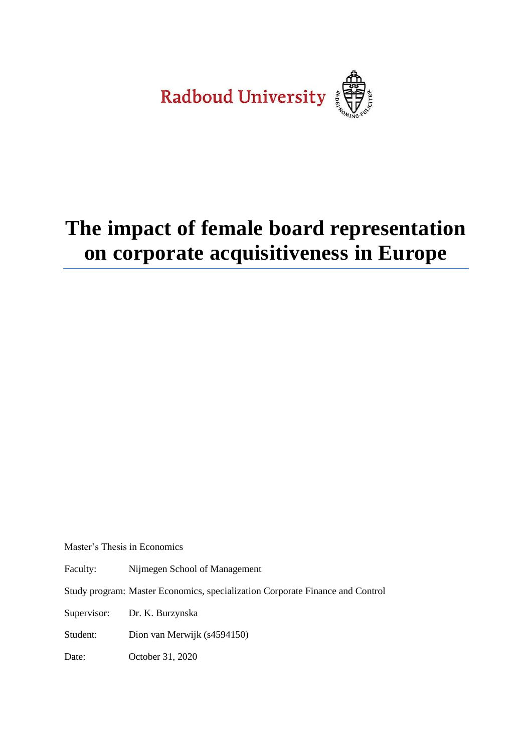Radboud University

# **The impact of female board representation on corporate acquisitiveness in Europe**

Master's Thesis in Economics

Faculty: Nijmegen School of Management

Study program: Master Economics, specialization Corporate Finance and Control

Supervisor: Dr. K. Burzynska

Student: Dion van Merwijk (s4594150)

Date: October 31, 2020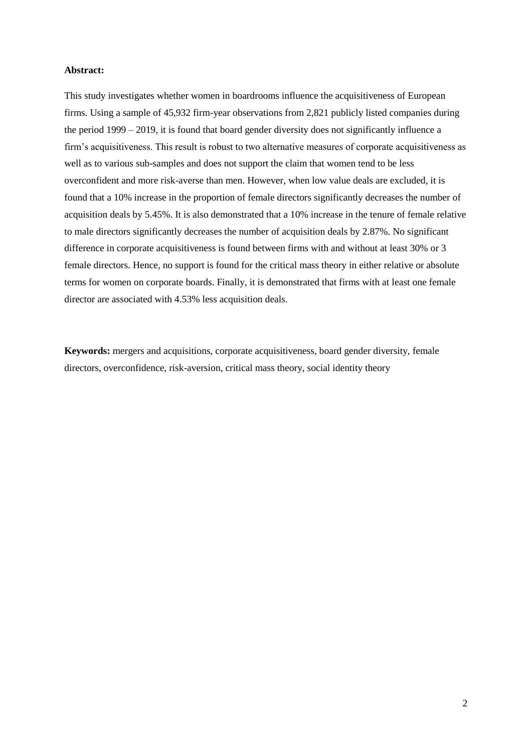#### **Abstract:**

This study investigates whether women in boardrooms influence the acquisitiveness of European firms. Using a sample of 45,932 firm-year observations from 2,821 publicly listed companies during the period 1999 – 2019, it is found that board gender diversity does not significantly influence a firm's acquisitiveness. This result is robust to two alternative measures of corporate acquisitiveness as well as to various sub-samples and does not support the claim that women tend to be less overconfident and more risk-averse than men. However, when low value deals are excluded, it is found that a 10% increase in the proportion of female directors significantly decreases the number of acquisition deals by 5.45%. It is also demonstrated that a 10% increase in the tenure of female relative to male directors significantly decreases the number of acquisition deals by 2.87%. No significant difference in corporate acquisitiveness is found between firms with and without at least 30% or 3 female directors. Hence, no support is found for the critical mass theory in either relative or absolute terms for women on corporate boards. Finally, it is demonstrated that firms with at least one female director are associated with 4.53% less acquisition deals.

**Keywords:** mergers and acquisitions, corporate acquisitiveness, board gender diversity, female directors, overconfidence, risk-aversion, critical mass theory, social identity theory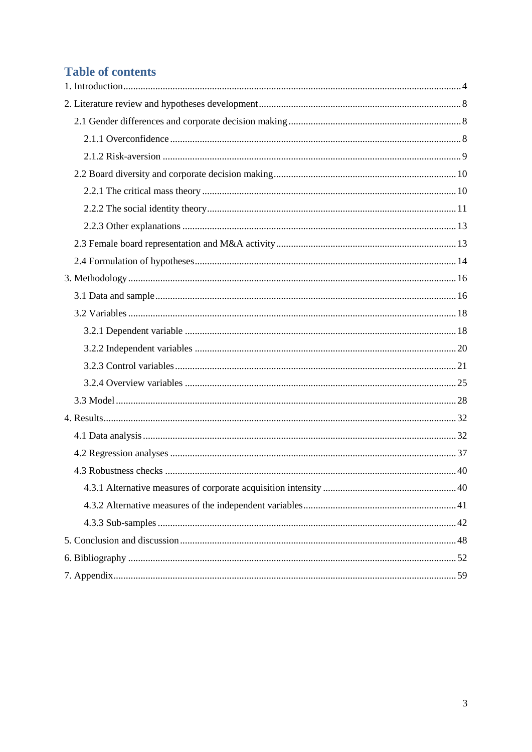# **Table of contents**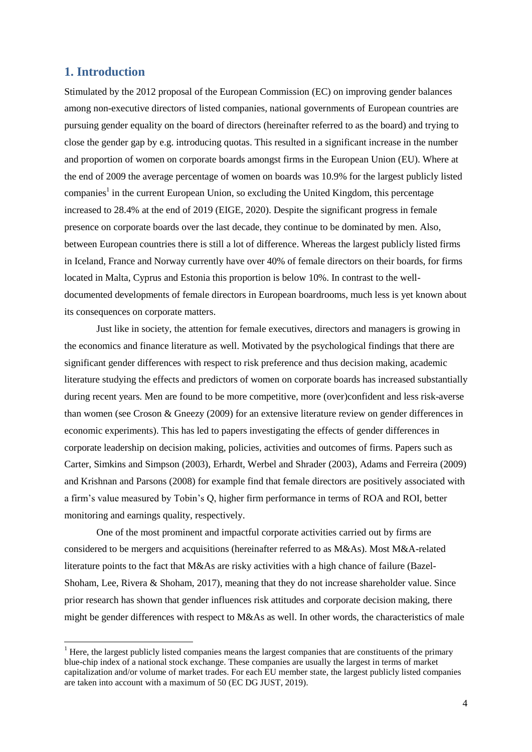# <span id="page-3-0"></span>**1. Introduction**

-

Stimulated by the 2012 proposal of the European Commission (EC) on improving gender balances among non-executive directors of listed companies, national governments of European countries are pursuing gender equality on the board of directors (hereinafter referred to as the board) and trying to close the gender gap by e.g. introducing quotas. This resulted in a significant increase in the number and proportion of women on corporate boards amongst firms in the European Union (EU). Where at the end of 2009 the average percentage of women on boards was 10.9% for the largest publicly listed companies<sup>1</sup> in the current European Union, so excluding the United Kingdom, this percentage increased to 28.4% at the end of 2019 (EIGE, 2020). Despite the significant progress in female presence on corporate boards over the last decade, they continue to be dominated by men. Also, between European countries there is still a lot of difference. Whereas the largest publicly listed firms in Iceland, France and Norway currently have over 40% of female directors on their boards, for firms located in Malta, Cyprus and Estonia this proportion is below 10%. In contrast to the welldocumented developments of female directors in European boardrooms, much less is yet known about its consequences on corporate matters.

Just like in society, the attention for female executives, directors and managers is growing in the economics and finance literature as well. Motivated by the psychological findings that there are significant gender differences with respect to risk preference and thus decision making, academic literature studying the effects and predictors of women on corporate boards has increased substantially during recent years. Men are found to be more competitive, more (over)confident and less risk-averse than women (see Croson & Gneezy (2009) for an extensive literature review on gender differences in economic experiments). This has led to papers investigating the effects of gender differences in corporate leadership on decision making, policies, activities and outcomes of firms. Papers such as Carter, Simkins and Simpson (2003), Erhardt, Werbel and Shrader (2003), Adams and Ferreira (2009) and Krishnan and Parsons (2008) for example find that female directors are positively associated with a firm's value measured by Tobin's Q, higher firm performance in terms of ROA and ROI, better monitoring and earnings quality, respectively.

One of the most prominent and impactful corporate activities carried out by firms are considered to be mergers and acquisitions (hereinafter referred to as M&As). Most M&A-related literature points to the fact that M&As are risky activities with a high chance of failure (Bazel-Shoham, Lee, Rivera & Shoham, 2017), meaning that they do not increase shareholder value. Since prior research has shown that gender influences risk attitudes and corporate decision making, there might be gender differences with respect to M&As as well. In other words, the characteristics of male

 $<sup>1</sup>$  Here, the largest publicly listed companies means the largest companies that are constituents of the primary</sup> blue-chip index of a national stock exchange. These companies are usually the largest in terms of market capitalization and/or volume of market trades. For each EU member state, the largest publicly listed companies are taken into account with a maximum of 50 (EC DG JUST, 2019).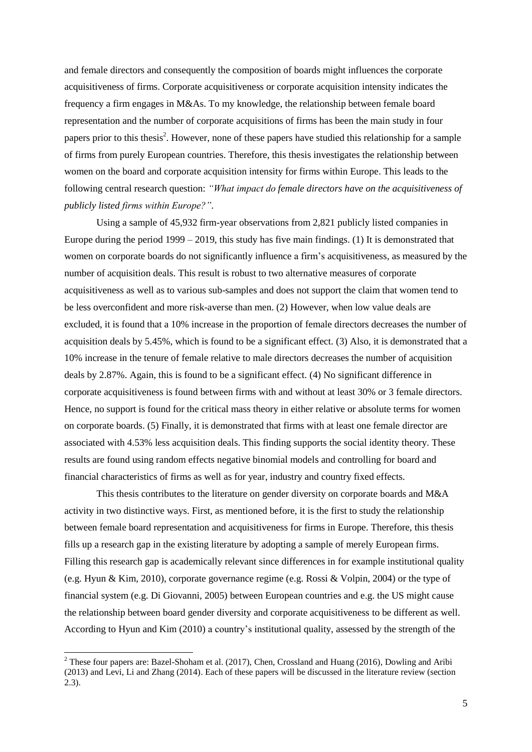and female directors and consequently the composition of boards might influences the corporate acquisitiveness of firms. Corporate acquisitiveness or corporate acquisition intensity indicates the frequency a firm engages in M&As. To my knowledge, the relationship between female board representation and the number of corporate acquisitions of firms has been the main study in four papers prior to this thesis<sup>2</sup>. However, none of these papers have studied this relationship for a sample of firms from purely European countries. Therefore, this thesis investigates the relationship between women on the board and corporate acquisition intensity for firms within Europe. This leads to the following central research question: *"What impact do female directors have on the acquisitiveness of publicly listed firms within Europe?"*.

Using a sample of 45,932 firm-year observations from 2,821 publicly listed companies in Europe during the period 1999 – 2019, this study has five main findings. (1) It is demonstrated that women on corporate boards do not significantly influence a firm's acquisitiveness, as measured by the number of acquisition deals. This result is robust to two alternative measures of corporate acquisitiveness as well as to various sub-samples and does not support the claim that women tend to be less overconfident and more risk-averse than men. (2) However, when low value deals are excluded, it is found that a 10% increase in the proportion of female directors decreases the number of acquisition deals by 5.45%, which is found to be a significant effect. (3) Also, it is demonstrated that a 10% increase in the tenure of female relative to male directors decreases the number of acquisition deals by 2.87%. Again, this is found to be a significant effect. (4) No significant difference in corporate acquisitiveness is found between firms with and without at least 30% or 3 female directors. Hence, no support is found for the critical mass theory in either relative or absolute terms for women on corporate boards. (5) Finally, it is demonstrated that firms with at least one female director are associated with 4.53% less acquisition deals. This finding supports the social identity theory. These results are found using random effects negative binomial models and controlling for board and financial characteristics of firms as well as for year, industry and country fixed effects.

This thesis contributes to the literature on gender diversity on corporate boards and M&A activity in two distinctive ways. First, as mentioned before, it is the first to study the relationship between female board representation and acquisitiveness for firms in Europe. Therefore, this thesis fills up a research gap in the existing literature by adopting a sample of merely European firms. Filling this research gap is academically relevant since differences in for example institutional quality (e.g. Hyun & Kim, 2010), corporate governance regime (e.g. Rossi & Volpin, 2004) or the type of financial system (e.g. Di Giovanni, 2005) between European countries and e.g. the US might cause the relationship between board gender diversity and corporate acquisitiveness to be different as well. According to Hyun and Kim (2010) a country's institutional quality, assessed by the strength of the

1

 $2$  These four papers are: Bazel-Shoham et al. (2017), Chen, Crossland and Huang (2016), Dowling and Aribi (2013) and Levi, Li and Zhang (2014). Each of these papers will be discussed in the literature review (section 2.3).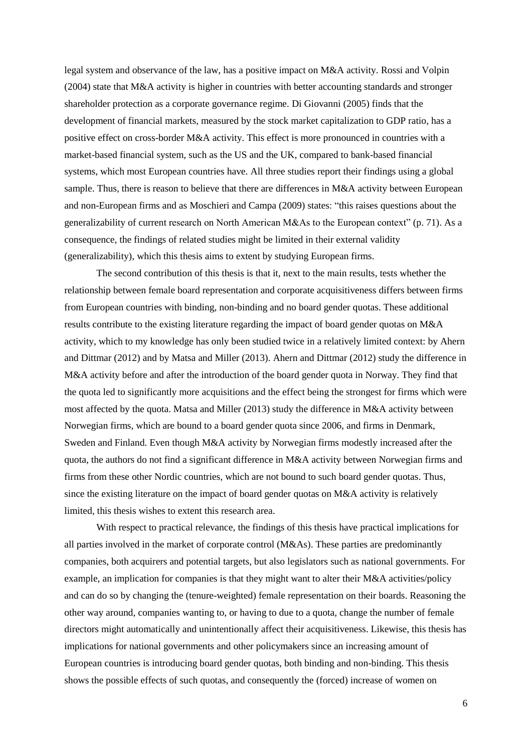legal system and observance of the law, has a positive impact on M&A activity. Rossi and Volpin (2004) state that M&A activity is higher in countries with better accounting standards and stronger shareholder protection as a corporate governance regime. Di Giovanni (2005) finds that the development of financial markets, measured by the stock market capitalization to GDP ratio, has a positive effect on cross-border M&A activity. This effect is more pronounced in countries with a market-based financial system, such as the US and the UK, compared to bank-based financial systems, which most European countries have. All three studies report their findings using a global sample. Thus, there is reason to believe that there are differences in M&A activity between European and non-European firms and as Moschieri and Campa (2009) states: "this raises questions about the generalizability of current research on North American M&As to the European context" (p. 71). As a consequence, the findings of related studies might be limited in their external validity (generalizability), which this thesis aims to extent by studying European firms.

The second contribution of this thesis is that it, next to the main results, tests whether the relationship between female board representation and corporate acquisitiveness differs between firms from European countries with binding, non-binding and no board gender quotas. These additional results contribute to the existing literature regarding the impact of board gender quotas on M&A activity, which to my knowledge has only been studied twice in a relatively limited context: by Ahern and Dittmar (2012) and by Matsa and Miller (2013). Ahern and Dittmar (2012) study the difference in M&A activity before and after the introduction of the board gender quota in Norway. They find that the quota led to significantly more acquisitions and the effect being the strongest for firms which were most affected by the quota. Matsa and Miller (2013) study the difference in M&A activity between Norwegian firms, which are bound to a board gender quota since 2006, and firms in Denmark, Sweden and Finland. Even though M&A activity by Norwegian firms modestly increased after the quota, the authors do not find a significant difference in M&A activity between Norwegian firms and firms from these other Nordic countries, which are not bound to such board gender quotas. Thus, since the existing literature on the impact of board gender quotas on M&A activity is relatively limited, this thesis wishes to extent this research area.

With respect to practical relevance, the findings of this thesis have practical implications for all parties involved in the market of corporate control (M&As). These parties are predominantly companies, both acquirers and potential targets, but also legislators such as national governments. For example, an implication for companies is that they might want to alter their M&A activities/policy and can do so by changing the (tenure-weighted) female representation on their boards. Reasoning the other way around, companies wanting to, or having to due to a quota, change the number of female directors might automatically and unintentionally affect their acquisitiveness. Likewise, this thesis has implications for national governments and other policymakers since an increasing amount of European countries is introducing board gender quotas, both binding and non-binding. This thesis shows the possible effects of such quotas, and consequently the (forced) increase of women on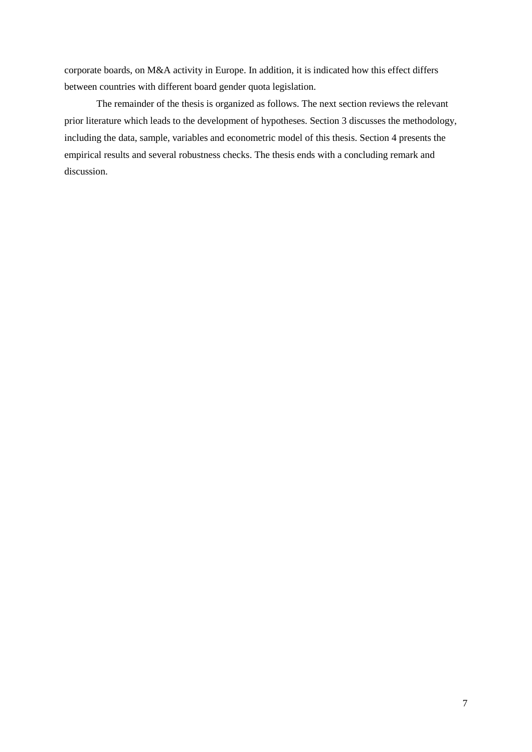corporate boards, on M&A activity in Europe. In addition, it is indicated how this effect differs between countries with different board gender quota legislation.

The remainder of the thesis is organized as follows. The next section reviews the relevant prior literature which leads to the development of hypotheses. Section 3 discusses the methodology, including the data, sample, variables and econometric model of this thesis. Section 4 presents the empirical results and several robustness checks. The thesis ends with a concluding remark and discussion.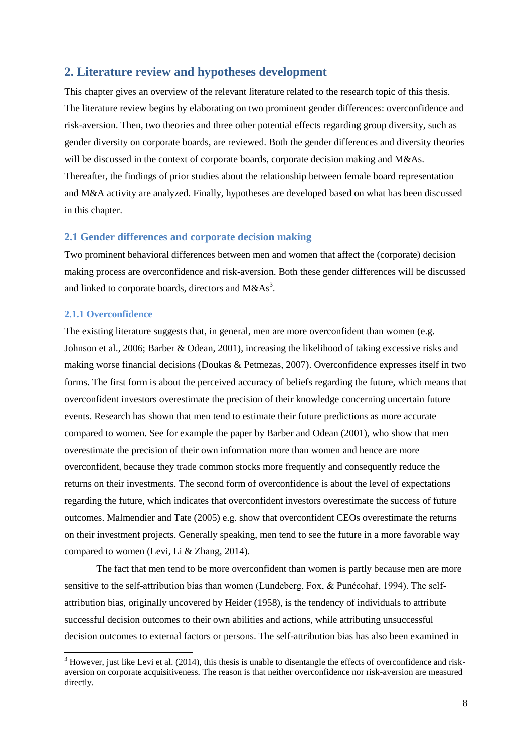# <span id="page-7-0"></span>**2. Literature review and hypotheses development**

This chapter gives an overview of the relevant literature related to the research topic of this thesis. The literature review begins by elaborating on two prominent gender differences: overconfidence and risk-aversion. Then, two theories and three other potential effects regarding group diversity, such as gender diversity on corporate boards, are reviewed. Both the gender differences and diversity theories will be discussed in the context of corporate boards, corporate decision making and M&As. Thereafter, the findings of prior studies about the relationship between female board representation and M&A activity are analyzed. Finally, hypotheses are developed based on what has been discussed in this chapter.

### <span id="page-7-1"></span>**2.1 Gender differences and corporate decision making**

Two prominent behavioral differences between men and women that affect the (corporate) decision making process are overconfidence and risk-aversion. Both these gender differences will be discussed and linked to corporate boards, directors and  $M&As^3$ .

# <span id="page-7-2"></span>**2.1.1 Overconfidence**

1

The existing literature suggests that, in general, men are more overconfident than women (e.g. Johnson et al., 2006; Barber & Odean, 2001), increasing the likelihood of taking excessive risks and making worse financial decisions (Doukas & Petmezas, 2007). Overconfidence expresses itself in two forms. The first form is about the perceived accuracy of beliefs regarding the future, which means that overconfident investors overestimate the precision of their knowledge concerning uncertain future events. Research has shown that men tend to estimate their future predictions as more accurate compared to women. See for example the paper by Barber and Odean (2001), who show that men overestimate the precision of their own information more than women and hence are more overconfident, because they trade common stocks more frequently and consequently reduce the returns on their investments. The second form of overconfidence is about the level of expectations regarding the future, which indicates that overconfident investors overestimate the success of future outcomes. Malmendier and Tate (2005) e.g. show that overconfident CEOs overestimate the returns on their investment projects. Generally speaking, men tend to see the future in a more favorable way compared to women (Levi, Li & Zhang, 2014).

The fact that men tend to be more overconfident than women is partly because men are more sensitive to the self-attribution bias than women (Lundeberg, Fox, & Punćcohaŕ, 1994). The selfattribution bias, originally uncovered by Heider (1958), is the tendency of individuals to attribute successful decision outcomes to their own abilities and actions, while attributing unsuccessful decision outcomes to external factors or persons. The self-attribution bias has also been examined in

 $3$  However, just like Levi et al. (2014), this thesis is unable to disentangle the effects of overconfidence and riskaversion on corporate acquisitiveness. The reason is that neither overconfidence nor risk-aversion are measured directly.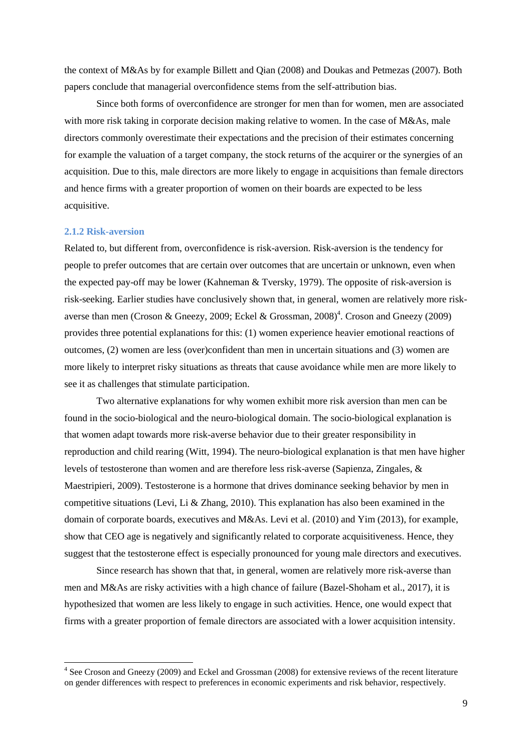the context of M&As by for example Billett and Qian (2008) and Doukas and Petmezas (2007). Both papers conclude that managerial overconfidence stems from the self-attribution bias.

Since both forms of overconfidence are stronger for men than for women, men are associated with more risk taking in corporate decision making relative to women. In the case of M&As, male directors commonly overestimate their expectations and the precision of their estimates concerning for example the valuation of a target company, the stock returns of the acquirer or the synergies of an acquisition. Due to this, male directors are more likely to engage in acquisitions than female directors and hence firms with a greater proportion of women on their boards are expected to be less acquisitive.

#### <span id="page-8-0"></span>**2.1.2 Risk-aversion**

Related to, but different from, overconfidence is risk-aversion. Risk-aversion is the tendency for people to prefer outcomes that are certain over outcomes that are uncertain or unknown, even when the expected pay-off may be lower (Kahneman & Tversky, 1979). The opposite of risk-aversion is risk-seeking. Earlier studies have conclusively shown that, in general, women are relatively more riskaverse than men (Croson & Gneezy, 2009; Eckel & Grossman,  $2008)^4$ . Croson and Gneezy (2009) provides three potential explanations for this: (1) women experience heavier emotional reactions of outcomes, (2) women are less (over)confident than men in uncertain situations and (3) women are more likely to interpret risky situations as threats that cause avoidance while men are more likely to see it as challenges that stimulate participation.

Two alternative explanations for why women exhibit more risk aversion than men can be found in the socio-biological and the neuro-biological domain. The socio-biological explanation is that women adapt towards more risk-averse behavior due to their greater responsibility in reproduction and child rearing (Witt, 1994). The neuro-biological explanation is that men have higher levels of testosterone than women and are therefore less risk-averse (Sapienza, Zingales, & Maestripieri, 2009). Testosterone is a hormone that drives dominance seeking behavior by men in competitive situations (Levi, Li & Zhang, 2010). This explanation has also been examined in the domain of corporate boards, executives and M&As. Levi et al. (2010) and Yim (2013), for example, show that CEO age is negatively and significantly related to corporate acquisitiveness. Hence, they suggest that the testosterone effect is especially pronounced for young male directors and executives.

Since research has shown that that, in general, women are relatively more risk-averse than men and M&As are risky activities with a high chance of failure (Bazel-Shoham et al., 2017), it is hypothesized that women are less likely to engage in such activities. Hence, one would expect that firms with a greater proportion of female directors are associated with a lower acquisition intensity.

<sup>&</sup>lt;sup>4</sup> See Croson and Gneezy (2009) and Eckel and Grossman (2008) for extensive reviews of the recent literature on gender differences with respect to preferences in economic experiments and risk behavior, respectively.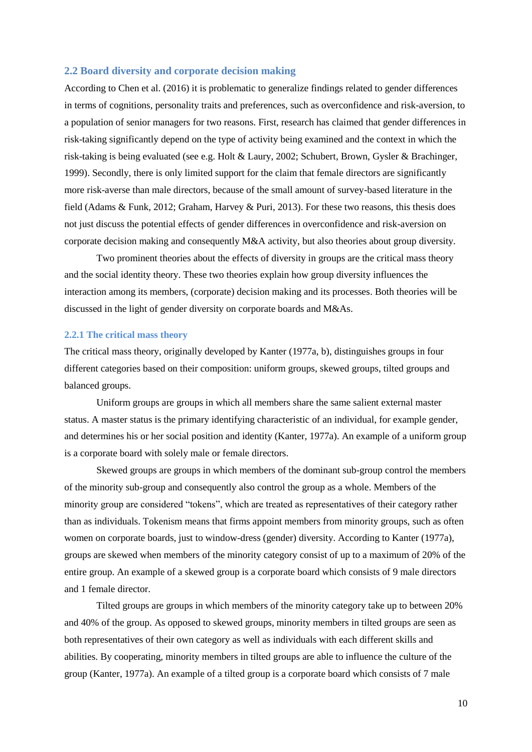### <span id="page-9-0"></span>**2.2 Board diversity and corporate decision making**

According to Chen et al. (2016) it is problematic to generalize findings related to gender differences in terms of cognitions, personality traits and preferences, such as overconfidence and risk-aversion, to a population of senior managers for two reasons. First, research has claimed that gender differences in risk-taking significantly depend on the type of activity being examined and the context in which the risk-taking is being evaluated (see e.g. Holt & Laury, 2002; Schubert, Brown, Gysler & Brachinger, 1999). Secondly, there is only limited support for the claim that female directors are significantly more risk-averse than male directors, because of the small amount of survey-based literature in the field (Adams & Funk, 2012; Graham, Harvey & Puri, 2013). For these two reasons, this thesis does not just discuss the potential effects of gender differences in overconfidence and risk-aversion on corporate decision making and consequently M&A activity, but also theories about group diversity.

Two prominent theories about the effects of diversity in groups are the critical mass theory and the social identity theory. These two theories explain how group diversity influences the interaction among its members, (corporate) decision making and its processes. Both theories will be discussed in the light of gender diversity on corporate boards and M&As.

#### <span id="page-9-1"></span>**2.2.1 The critical mass theory**

The critical mass theory, originally developed by Kanter (1977a, b), distinguishes groups in four different categories based on their composition: uniform groups, skewed groups, tilted groups and balanced groups.

Uniform groups are groups in which all members share the same salient external master status. A master status is the primary identifying characteristic of an individual, for example gender, and determines his or her social position and identity (Kanter, 1977a). An example of a uniform group is a corporate board with solely male or female directors.

Skewed groups are groups in which members of the dominant sub-group control the members of the minority sub-group and consequently also control the group as a whole. Members of the minority group are considered "tokens", which are treated as representatives of their category rather than as individuals. Tokenism means that firms appoint members from minority groups, such as often women on corporate boards, just to window-dress (gender) diversity. According to Kanter (1977a), groups are skewed when members of the minority category consist of up to a maximum of 20% of the entire group. An example of a skewed group is a corporate board which consists of 9 male directors and 1 female director.

Tilted groups are groups in which members of the minority category take up to between 20% and 40% of the group. As opposed to skewed groups, minority members in tilted groups are seen as both representatives of their own category as well as individuals with each different skills and abilities. By cooperating, minority members in tilted groups are able to influence the culture of the group (Kanter, 1977a). An example of a tilted group is a corporate board which consists of 7 male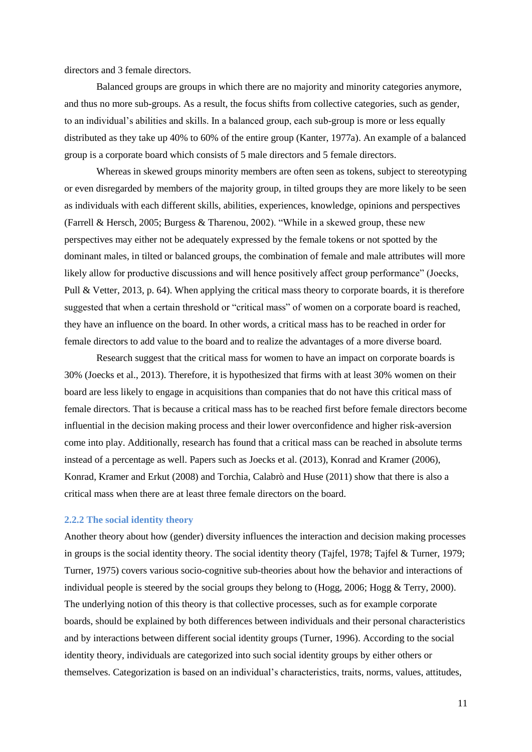directors and 3 female directors.

Balanced groups are groups in which there are no majority and minority categories anymore, and thus no more sub-groups. As a result, the focus shifts from collective categories, such as gender, to an individual's abilities and skills. In a balanced group, each sub-group is more or less equally distributed as they take up 40% to 60% of the entire group (Kanter, 1977a). An example of a balanced group is a corporate board which consists of 5 male directors and 5 female directors.

Whereas in skewed groups minority members are often seen as tokens, subject to stereotyping or even disregarded by members of the majority group, in tilted groups they are more likely to be seen as individuals with each different skills, abilities, experiences, knowledge, opinions and perspectives (Farrell & Hersch, 2005; Burgess & Tharenou, 2002). "While in a skewed group, these new perspectives may either not be adequately expressed by the female tokens or not spotted by the dominant males, in tilted or balanced groups, the combination of female and male attributes will more likely allow for productive discussions and will hence positively affect group performance" (Joecks, Pull & Vetter, 2013, p. 64). When applying the critical mass theory to corporate boards, it is therefore suggested that when a certain threshold or "critical mass" of women on a corporate board is reached, they have an influence on the board. In other words, a critical mass has to be reached in order for female directors to add value to the board and to realize the advantages of a more diverse board.

Research suggest that the critical mass for women to have an impact on corporate boards is 30% (Joecks et al., 2013). Therefore, it is hypothesized that firms with at least 30% women on their board are less likely to engage in acquisitions than companies that do not have this critical mass of female directors. That is because a critical mass has to be reached first before female directors become influential in the decision making process and their lower overconfidence and higher risk-aversion come into play. Additionally, research has found that a critical mass can be reached in absolute terms instead of a percentage as well. Papers such as Joecks et al. (2013), Konrad and Kramer (2006), Konrad, Kramer and Erkut (2008) and Torchia, Calabrò and Huse (2011) show that there is also a critical mass when there are at least three female directors on the board.

#### <span id="page-10-0"></span>**2.2.2 The social identity theory**

Another theory about how (gender) diversity influences the interaction and decision making processes in groups is the social identity theory. The social identity theory (Tajfel, 1978; Tajfel & Turner, 1979; Turner, 1975) covers various socio-cognitive sub-theories about how the behavior and interactions of individual people is steered by the social groups they belong to (Hogg, 2006; Hogg & Terry, 2000). The underlying notion of this theory is that collective processes, such as for example corporate boards, should be explained by both differences between individuals and their personal characteristics and by interactions between different social identity groups (Turner, 1996). According to the social identity theory, individuals are categorized into such social identity groups by either others or themselves. Categorization is based on an individual's characteristics, traits, norms, values, attitudes,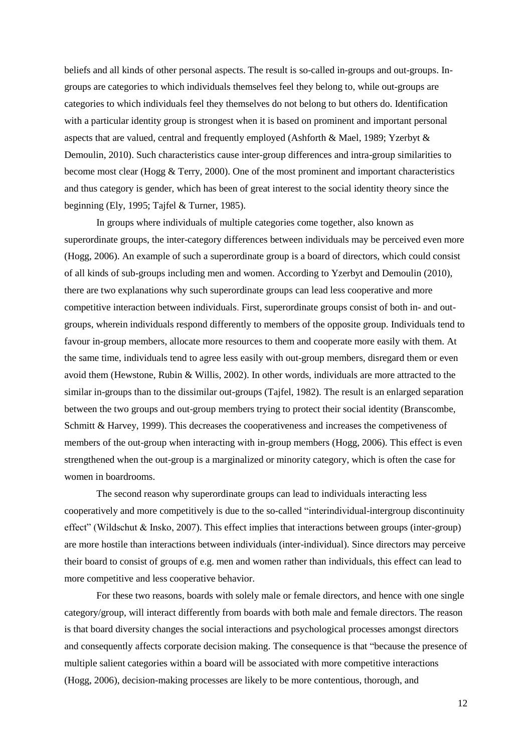beliefs and all kinds of other personal aspects. The result is so-called in-groups and out-groups. Ingroups are categories to which individuals themselves feel they belong to, while out-groups are categories to which individuals feel they themselves do not belong to but others do. Identification with a particular identity group is strongest when it is based on prominent and important personal aspects that are valued, central and frequently employed (Ashforth & Mael, 1989; Yzerbyt & Demoulin, 2010). Such characteristics cause inter-group differences and intra-group similarities to become most clear (Hogg & Terry, 2000). One of the most prominent and important characteristics and thus category is gender, which has been of great interest to the social identity theory since the beginning (Ely, 1995; Tajfel & Turner, 1985).

In groups where individuals of multiple categories come together, also known as superordinate groups, the inter-category differences between individuals may be perceived even more (Hogg, 2006). An example of such a superordinate group is a board of directors, which could consist of all kinds of sub-groups including men and women. According to Yzerbyt and Demoulin (2010), there are two explanations why such superordinate groups can lead less cooperative and more competitive interaction between individuals. First, superordinate groups consist of both in- and outgroups, wherein individuals respond differently to members of the opposite group. Individuals tend to favour in-group members, allocate more resources to them and cooperate more easily with them. At the same time, individuals tend to agree less easily with out-group members, disregard them or even avoid them (Hewstone, Rubin & Willis, 2002). In other words, individuals are more attracted to the similar in-groups than to the dissimilar out-groups (Tajfel, 1982). The result is an enlarged separation between the two groups and out-group members trying to protect their social identity (Branscombe, Schmitt & Harvey, 1999). This decreases the cooperativeness and increases the competiveness of members of the out-group when interacting with in-group members (Hogg, 2006). This effect is even strengthened when the out-group is a marginalized or minority category, which is often the case for women in boardrooms.

The second reason why superordinate groups can lead to individuals interacting less cooperatively and more competitively is due to the so-called "interindividual-intergroup discontinuity effect" (Wildschut & Insko, 2007). This effect implies that interactions between groups (inter-group) are more hostile than interactions between individuals (inter-individual). Since directors may perceive their board to consist of groups of e.g. men and women rather than individuals, this effect can lead to more competitive and less cooperative behavior.

For these two reasons, boards with solely male or female directors, and hence with one single category/group, will interact differently from boards with both male and female directors. The reason is that board diversity changes the social interactions and psychological processes amongst directors and consequently affects corporate decision making. The consequence is that "because the presence of multiple salient categories within a board will be associated with more competitive interactions (Hogg, 2006), decision-making processes are likely to be more contentious, thorough, and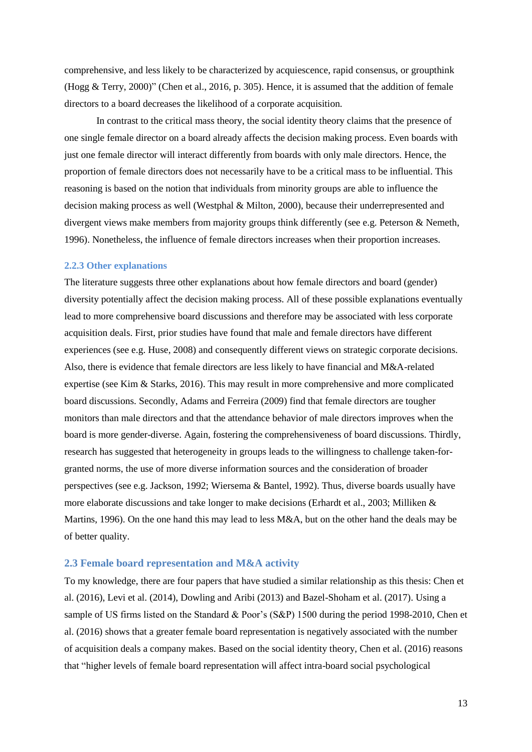comprehensive, and less likely to be characterized by acquiescence, rapid consensus, or groupthink (Hogg & Terry, 2000)" (Chen et al., 2016, p. 305). Hence, it is assumed that the addition of female directors to a board decreases the likelihood of a corporate acquisition.

In contrast to the critical mass theory, the social identity theory claims that the presence of one single female director on a board already affects the decision making process. Even boards with just one female director will interact differently from boards with only male directors. Hence, the proportion of female directors does not necessarily have to be a critical mass to be influential. This reasoning is based on the notion that individuals from minority groups are able to influence the decision making process as well (Westphal & Milton, 2000), because their underrepresented and divergent views make members from majority groups think differently (see e.g. Peterson & Nemeth, 1996). Nonetheless, the influence of female directors increases when their proportion increases.

#### <span id="page-12-0"></span>**2.2.3 Other explanations**

The literature suggests three other explanations about how female directors and board (gender) diversity potentially affect the decision making process. All of these possible explanations eventually lead to more comprehensive board discussions and therefore may be associated with less corporate acquisition deals. First, prior studies have found that male and female directors have different experiences (see e.g. Huse, 2008) and consequently different views on strategic corporate decisions. Also, there is evidence that female directors are less likely to have financial and M&A-related expertise (see Kim & Starks, 2016). This may result in more comprehensive and more complicated board discussions. Secondly, Adams and Ferreira (2009) find that female directors are tougher monitors than male directors and that the attendance behavior of male directors improves when the board is more gender-diverse. Again, fostering the comprehensiveness of board discussions. Thirdly, research has suggested that heterogeneity in groups leads to the willingness to challenge taken-forgranted norms, the use of more diverse information sources and the consideration of broader perspectives (see e.g. Jackson, 1992; Wiersema & Bantel, 1992). Thus, diverse boards usually have more elaborate discussions and take longer to make decisions (Erhardt et al., 2003; Milliken & Martins, 1996). On the one hand this may lead to less M&A, but on the other hand the deals may be of better quality.

# <span id="page-12-1"></span>**2.3 Female board representation and M&A activity**

To my knowledge, there are four papers that have studied a similar relationship as this thesis: Chen et al. (2016), Levi et al. (2014), Dowling and Aribi (2013) and Bazel-Shoham et al. (2017). Using a sample of US firms listed on the Standard & Poor's (S&P) 1500 during the period 1998-2010, Chen et al. (2016) shows that a greater female board representation is negatively associated with the number of acquisition deals a company makes. Based on the social identity theory, Chen et al. (2016) reasons that "higher levels of female board representation will affect intra-board social psychological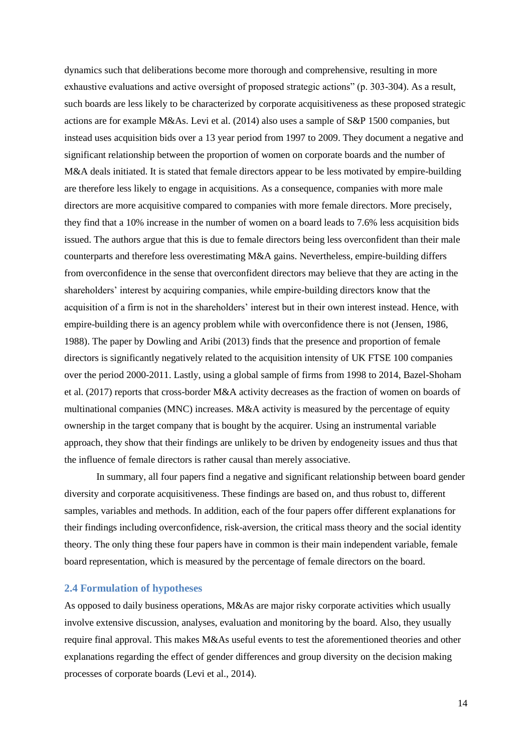dynamics such that deliberations become more thorough and comprehensive, resulting in more exhaustive evaluations and active oversight of proposed strategic actions" (p. 303-304). As a result, such boards are less likely to be characterized by corporate acquisitiveness as these proposed strategic actions are for example M&As. Levi et al. (2014) also uses a sample of S&P 1500 companies, but instead uses acquisition bids over a 13 year period from 1997 to 2009. They document a negative and significant relationship between the proportion of women on corporate boards and the number of M&A deals initiated. It is stated that female directors appear to be less motivated by empire-building are therefore less likely to engage in acquisitions. As a consequence, companies with more male directors are more acquisitive compared to companies with more female directors. More precisely, they find that a 10% increase in the number of women on a board leads to 7.6% less acquisition bids issued. The authors argue that this is due to female directors being less overconfident than their male counterparts and therefore less overestimating M&A gains. Nevertheless, empire-building differs from overconfidence in the sense that overconfident directors may believe that they are acting in the shareholders' interest by acquiring companies, while empire-building directors know that the acquisition of a firm is not in the shareholders' interest but in their own interest instead. Hence, with empire-building there is an agency problem while with overconfidence there is not (Jensen, 1986, 1988). The paper by Dowling and Aribi (2013) finds that the presence and proportion of female directors is significantly negatively related to the acquisition intensity of UK FTSE 100 companies over the period 2000-2011. Lastly, using a global sample of firms from 1998 to 2014, Bazel-Shoham et al. (2017) reports that cross-border M&A activity decreases as the fraction of women on boards of multinational companies (MNC) increases. M&A activity is measured by the percentage of equity ownership in the target company that is bought by the acquirer. Using an instrumental variable approach, they show that their findings are unlikely to be driven by endogeneity issues and thus that the influence of female directors is rather causal than merely associative.

In summary, all four papers find a negative and significant relationship between board gender diversity and corporate acquisitiveness. These findings are based on, and thus robust to, different samples, variables and methods. In addition, each of the four papers offer different explanations for their findings including overconfidence, risk-aversion, the critical mass theory and the social identity theory. The only thing these four papers have in common is their main independent variable, female board representation, which is measured by the percentage of female directors on the board.

#### <span id="page-13-0"></span>**2.4 Formulation of hypotheses**

As opposed to daily business operations, M&As are major risky corporate activities which usually involve extensive discussion, analyses, evaluation and monitoring by the board. Also, they usually require final approval. This makes M&As useful events to test the aforementioned theories and other explanations regarding the effect of gender differences and group diversity on the decision making processes of corporate boards (Levi et al., 2014).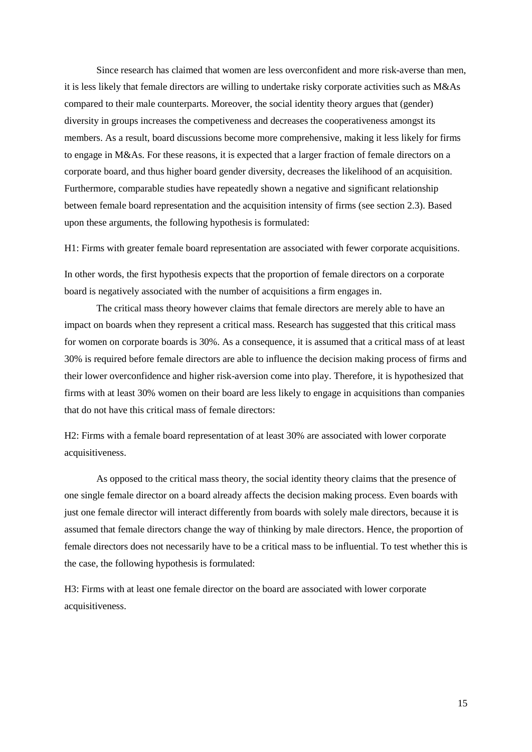Since research has claimed that women are less overconfident and more risk-averse than men, it is less likely that female directors are willing to undertake risky corporate activities such as M&As compared to their male counterparts. Moreover, the social identity theory argues that (gender) diversity in groups increases the competiveness and decreases the cooperativeness amongst its members. As a result, board discussions become more comprehensive, making it less likely for firms to engage in M&As. For these reasons, it is expected that a larger fraction of female directors on a corporate board, and thus higher board gender diversity, decreases the likelihood of an acquisition. Furthermore, comparable studies have repeatedly shown a negative and significant relationship between female board representation and the acquisition intensity of firms (see section 2.3). Based upon these arguments, the following hypothesis is formulated:

H1: Firms with greater female board representation are associated with fewer corporate acquisitions.

In other words, the first hypothesis expects that the proportion of female directors on a corporate board is negatively associated with the number of acquisitions a firm engages in.

The critical mass theory however claims that female directors are merely able to have an impact on boards when they represent a critical mass. Research has suggested that this critical mass for women on corporate boards is 30%. As a consequence, it is assumed that a critical mass of at least 30% is required before female directors are able to influence the decision making process of firms and their lower overconfidence and higher risk-aversion come into play. Therefore, it is hypothesized that firms with at least 30% women on their board are less likely to engage in acquisitions than companies that do not have this critical mass of female directors:

H2: Firms with a female board representation of at least 30% are associated with lower corporate acquisitiveness.

As opposed to the critical mass theory, the social identity theory claims that the presence of one single female director on a board already affects the decision making process. Even boards with just one female director will interact differently from boards with solely male directors, because it is assumed that female directors change the way of thinking by male directors. Hence, the proportion of female directors does not necessarily have to be a critical mass to be influential. To test whether this is the case, the following hypothesis is formulated:

H3: Firms with at least one female director on the board are associated with lower corporate acquisitiveness.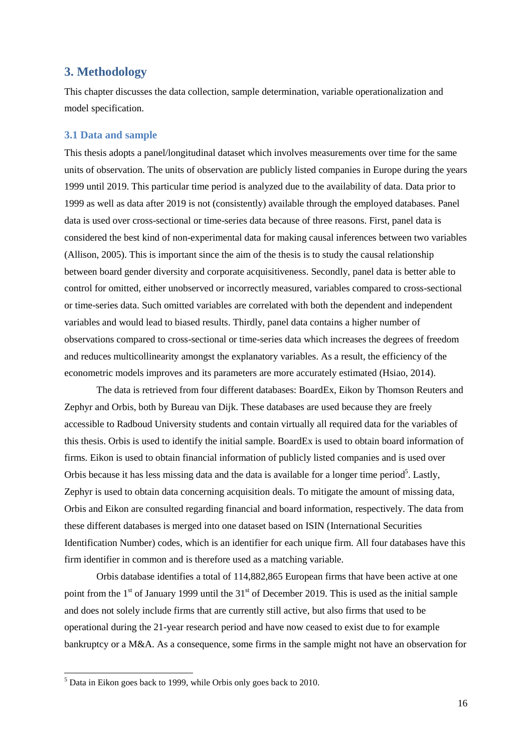# <span id="page-15-0"></span>**3. Methodology**

This chapter discusses the data collection, sample determination, variable operationalization and model specification.

### <span id="page-15-1"></span>**3.1 Data and sample**

This thesis adopts a panel/longitudinal dataset which involves measurements over time for the same units of observation. The units of observation are publicly listed companies in Europe during the years 1999 until 2019. This particular time period is analyzed due to the availability of data. Data prior to 1999 as well as data after 2019 is not (consistently) available through the employed databases. Panel data is used over cross-sectional or time-series data because of three reasons. First, panel data is considered the best kind of non-experimental data for making causal inferences between two variables (Allison, 2005). This is important since the aim of the thesis is to study the causal relationship between board gender diversity and corporate acquisitiveness. Secondly, panel data is better able to control for omitted, either unobserved or incorrectly measured, variables compared to cross-sectional or time-series data. Such omitted variables are correlated with both the dependent and independent variables and would lead to biased results. Thirdly, panel data contains a higher number of observations compared to cross-sectional or time-series data which increases the degrees of freedom and reduces multicollinearity amongst the explanatory variables. As a result, the efficiency of the econometric models improves and its parameters are more accurately estimated (Hsiao, 2014).

The data is retrieved from four different databases: BoardEx, Eikon by Thomson Reuters and Zephyr and Orbis, both by Bureau van Dijk. These databases are used because they are freely accessible to Radboud University students and contain virtually all required data for the variables of this thesis. Orbis is used to identify the initial sample. BoardEx is used to obtain board information of firms. Eikon is used to obtain financial information of publicly listed companies and is used over Orbis because it has less missing data and the data is available for a longer time period<sup>5</sup>. Lastly, Zephyr is used to obtain data concerning acquisition deals. To mitigate the amount of missing data, Orbis and Eikon are consulted regarding financial and board information, respectively. The data from these different databases is merged into one dataset based on ISIN (International Securities Identification Number) codes, which is an identifier for each unique firm. All four databases have this firm identifier in common and is therefore used as a matching variable.

Orbis database identifies a total of 114,882,865 European firms that have been active at one point from the 1<sup>st</sup> of January 1999 until the 31<sup>st</sup> of December 2019. This is used as the initial sample and does not solely include firms that are currently still active, but also firms that used to be operational during the 21-year research period and have now ceased to exist due to for example bankruptcy or a M&A. As a consequence, some firms in the sample might not have an observation for

 $<sup>5</sup>$  Data in Eikon goes back to 1999, while Orbis only goes back to 2010.</sup>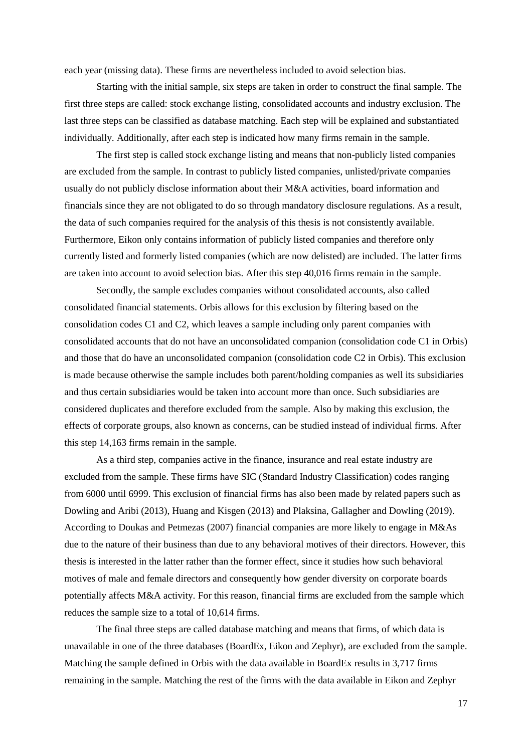each year (missing data). These firms are nevertheless included to avoid selection bias.

Starting with the initial sample, six steps are taken in order to construct the final sample. The first three steps are called: stock exchange listing, consolidated accounts and industry exclusion. The last three steps can be classified as database matching. Each step will be explained and substantiated individually. Additionally, after each step is indicated how many firms remain in the sample.

The first step is called stock exchange listing and means that non-publicly listed companies are excluded from the sample. In contrast to publicly listed companies, unlisted/private companies usually do not publicly disclose information about their M&A activities, board information and financials since they are not obligated to do so through mandatory disclosure regulations. As a result, the data of such companies required for the analysis of this thesis is not consistently available. Furthermore, Eikon only contains information of publicly listed companies and therefore only currently listed and formerly listed companies (which are now delisted) are included. The latter firms are taken into account to avoid selection bias. After this step 40,016 firms remain in the sample.

Secondly, the sample excludes companies without consolidated accounts, also called consolidated financial statements. Orbis allows for this exclusion by filtering based on the consolidation codes C1 and C2, which leaves a sample including only parent companies with consolidated accounts that do not have an unconsolidated companion (consolidation code C1 in Orbis) and those that do have an unconsolidated companion (consolidation code C2 in Orbis). This exclusion is made because otherwise the sample includes both parent/holding companies as well its subsidiaries and thus certain subsidiaries would be taken into account more than once. Such subsidiaries are considered duplicates and therefore excluded from the sample. Also by making this exclusion, the effects of corporate groups, also known as concerns, can be studied instead of individual firms. After this step 14,163 firms remain in the sample.

As a third step, companies active in the finance, insurance and real estate industry are excluded from the sample. These firms have SIC (Standard Industry Classification) codes ranging from 6000 until 6999. This exclusion of financial firms has also been made by related papers such as Dowling and Aribi (2013), Huang and Kisgen (2013) and Plaksina, Gallagher and Dowling (2019). According to Doukas and Petmezas (2007) financial companies are more likely to engage in M&As due to the nature of their business than due to any behavioral motives of their directors. However, this thesis is interested in the latter rather than the former effect, since it studies how such behavioral motives of male and female directors and consequently how gender diversity on corporate boards potentially affects M&A activity. For this reason, financial firms are excluded from the sample which reduces the sample size to a total of 10,614 firms.

The final three steps are called database matching and means that firms, of which data is unavailable in one of the three databases (BoardEx, Eikon and Zephyr), are excluded from the sample. Matching the sample defined in Orbis with the data available in BoardEx results in 3,717 firms remaining in the sample. Matching the rest of the firms with the data available in Eikon and Zephyr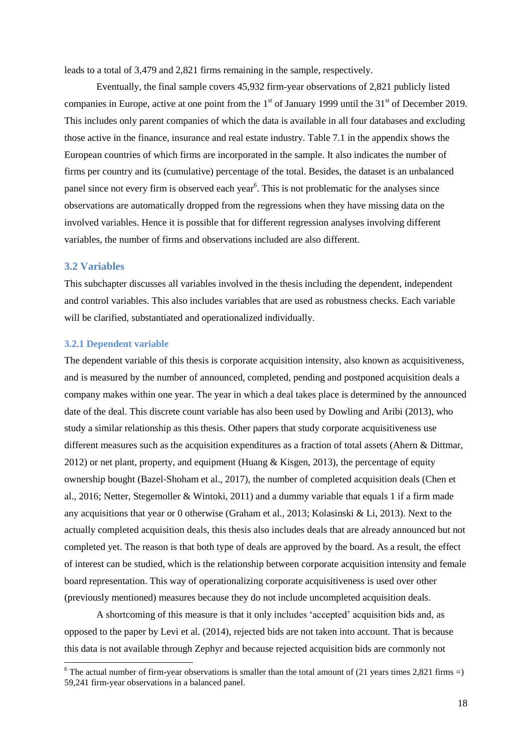leads to a total of 3,479 and 2,821 firms remaining in the sample, respectively.

Eventually, the final sample covers 45,932 firm-year observations of 2,821 publicly listed companies in Europe, active at one point from the  $1<sup>st</sup>$  of January 1999 until the  $31<sup>st</sup>$  of December 2019. This includes only parent companies of which the data is available in all four databases and excluding those active in the finance, insurance and real estate industry. Table 7.1 in the appendix shows the European countries of which firms are incorporated in the sample. It also indicates the number of firms per country and its (cumulative) percentage of the total. Besides, the dataset is an unbalanced panel since not every firm is observed each year<sup>6</sup>. This is not problematic for the analyses since observations are automatically dropped from the regressions when they have missing data on the involved variables. Hence it is possible that for different regression analyses involving different variables, the number of firms and observations included are also different.

### <span id="page-17-0"></span>**3.2 Variables**

1

This subchapter discusses all variables involved in the thesis including the dependent, independent and control variables. This also includes variables that are used as robustness checks. Each variable will be clarified, substantiated and operationalized individually.

#### <span id="page-17-1"></span>**3.2.1 Dependent variable**

The dependent variable of this thesis is corporate acquisition intensity, also known as acquisitiveness, and is measured by the number of announced, completed, pending and postponed acquisition deals a company makes within one year. The year in which a deal takes place is determined by the announced date of the deal. This discrete count variable has also been used by Dowling and Aribi (2013), who study a similar relationship as this thesis. Other papers that study corporate acquisitiveness use different measures such as the acquisition expenditures as a fraction of total assets (Ahern & Dittmar, 2012) or net plant, property, and equipment (Huang & Kisgen, 2013), the percentage of equity ownership bought (Bazel-Shoham et al., 2017), the number of completed acquisition deals (Chen et al., 2016; Netter, Stegemoller & Wintoki, 2011) and a dummy variable that equals 1 if a firm made any acquisitions that year or 0 otherwise (Graham et al., 2013; Kolasinski & Li, 2013). Next to the actually completed acquisition deals, this thesis also includes deals that are already announced but not completed yet. The reason is that both type of deals are approved by the board. As a result, the effect of interest can be studied, which is the relationship between corporate acquisition intensity and female board representation. This way of operationalizing corporate acquisitiveness is used over other (previously mentioned) measures because they do not include uncompleted acquisition deals.

A shortcoming of this measure is that it only includes 'accepted' acquisition bids and, as opposed to the paper by Levi et al. (2014), rejected bids are not taken into account. That is because this data is not available through Zephyr and because rejected acquisition bids are commonly not

<sup>&</sup>lt;sup>6</sup> The actual number of firm-year observations is smaller than the total amount of  $(21 \text{ years times } 2,821 \text{ firms} =)$ 59,241 firm-year observations in a balanced panel.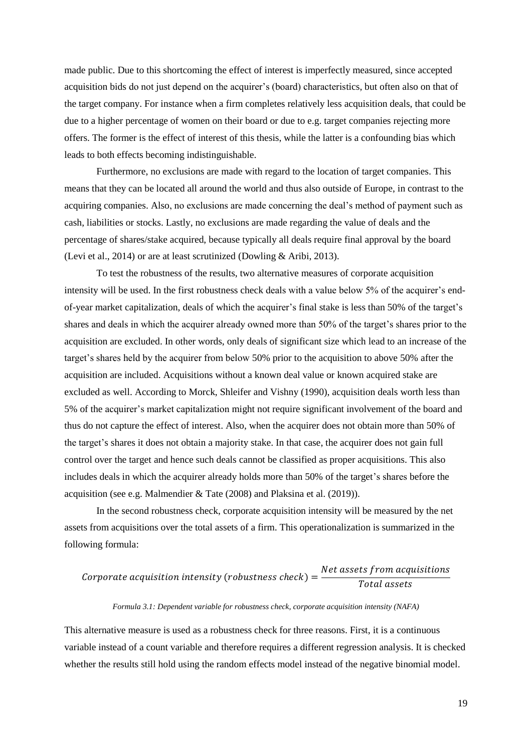made public. Due to this shortcoming the effect of interest is imperfectly measured, since accepted acquisition bids do not just depend on the acquirer's (board) characteristics, but often also on that of the target company. For instance when a firm completes relatively less acquisition deals, that could be due to a higher percentage of women on their board or due to e.g. target companies rejecting more offers. The former is the effect of interest of this thesis, while the latter is a confounding bias which leads to both effects becoming indistinguishable.

Furthermore, no exclusions are made with regard to the location of target companies. This means that they can be located all around the world and thus also outside of Europe, in contrast to the acquiring companies. Also, no exclusions are made concerning the deal's method of payment such as cash, liabilities or stocks. Lastly, no exclusions are made regarding the value of deals and the percentage of shares/stake acquired, because typically all deals require final approval by the board (Levi et al., 2014) or are at least scrutinized (Dowling & Aribi, 2013).

To test the robustness of the results, two alternative measures of corporate acquisition intensity will be used. In the first robustness check deals with a value below 5% of the acquirer's endof-year market capitalization, deals of which the acquirer's final stake is less than 50% of the target's shares and deals in which the acquirer already owned more than 50% of the target's shares prior to the acquisition are excluded. In other words, only deals of significant size which lead to an increase of the target's shares held by the acquirer from below 50% prior to the acquisition to above 50% after the acquisition are included. Acquisitions without a known deal value or known acquired stake are excluded as well. According to Morck, Shleifer and Vishny (1990), acquisition deals worth less than 5% of the acquirer's market capitalization might not require significant involvement of the board and thus do not capture the effect of interest. Also, when the acquirer does not obtain more than 50% of the target's shares it does not obtain a majority stake. In that case, the acquirer does not gain full control over the target and hence such deals cannot be classified as proper acquisitions. This also includes deals in which the acquirer already holds more than 50% of the target's shares before the acquisition (see e.g. Malmendier & Tate (2008) and Plaksina et al. (2019)).

In the second robustness check, corporate acquisition intensity will be measured by the net assets from acquisitions over the total assets of a firm. This operationalization is summarized in the following formula:

#### $\mathcal{C}_{0}^{(n)}$  $\boldsymbol{N}$  $\boldsymbol{T}$

#### *Formula 3.1: Dependent variable for robustness check, corporate acquisition intensity (NAFA)*

This alternative measure is used as a robustness check for three reasons. First, it is a continuous variable instead of a count variable and therefore requires a different regression analysis. It is checked whether the results still hold using the random effects model instead of the negative binomial model.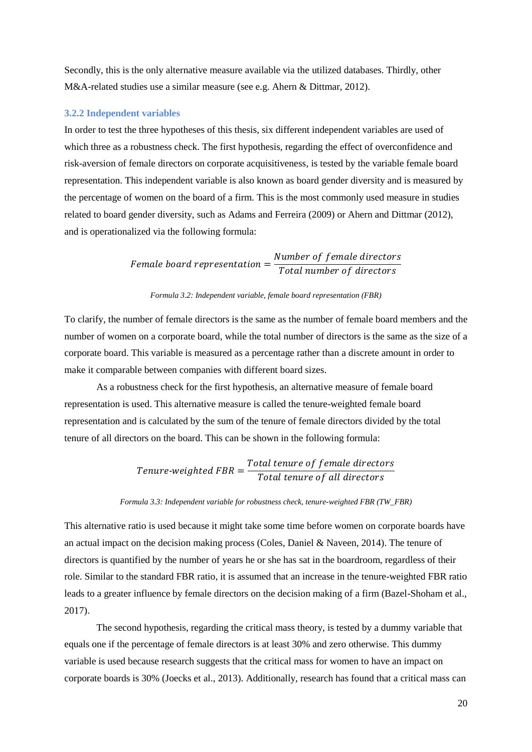Secondly, this is the only alternative measure available via the utilized databases. Thirdly, other M&A-related studies use a similar measure (see e.g. Ahern & Dittmar, 2012).

#### <span id="page-19-0"></span>**3.2.2 Independent variables**

In order to test the three hypotheses of this thesis, six different independent variables are used of which three as a robustness check. The first hypothesis, regarding the effect of overconfidence and risk-aversion of female directors on corporate acquisitiveness, is tested by the variable female board representation. This independent variable is also known as board gender diversity and is measured by the percentage of women on the board of a firm. This is the most commonly used measure in studies related to board gender diversity, such as Adams and Ferreira (2009) or Ahern and Dittmar (2012), and is operationalized via the following formula:

> F  $\boldsymbol{N}$  $\boldsymbol{T}$

#### *Formula 3.2: Independent variable, female board representation (FBR)*

To clarify, the number of female directors is the same as the number of female board members and the number of women on a corporate board, while the total number of directors is the same as the size of a corporate board. This variable is measured as a percentage rather than a discrete amount in order to make it comparable between companies with different board sizes.

As a robustness check for the first hypothesis, an alternative measure of female board representation is used. This alternative measure is called the tenure-weighted female board representation and is calculated by the sum of the tenure of female directors divided by the total tenure of all directors on the board. This can be shown in the following formula:

#### $\overline{T}$  $\overline{T}$  $\boldsymbol{T}$

#### *Formula 3.3: Independent variable for robustness check, tenure-weighted FBR (TW\_FBR)*

This alternative ratio is used because it might take some time before women on corporate boards have an actual impact on the decision making process (Coles, Daniel & Naveen, 2014). The tenure of directors is quantified by the number of years he or she has sat in the boardroom, regardless of their role. Similar to the standard FBR ratio, it is assumed that an increase in the tenure-weighted FBR ratio leads to a greater influence by female directors on the decision making of a firm (Bazel-Shoham et al., 2017).

The second hypothesis, regarding the critical mass theory, is tested by a dummy variable that equals one if the percentage of female directors is at least 30% and zero otherwise. This dummy variable is used because research suggests that the critical mass for women to have an impact on corporate boards is 30% (Joecks et al., 2013). Additionally, research has found that a critical mass can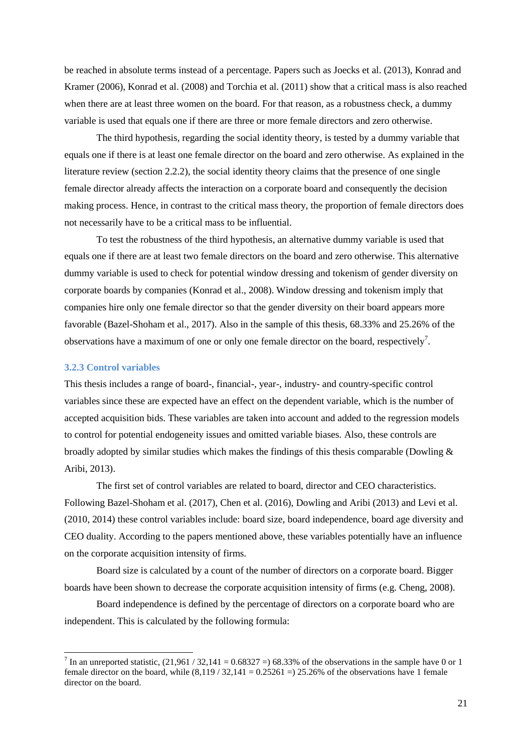be reached in absolute terms instead of a percentage. Papers such as Joecks et al. (2013), Konrad and Kramer (2006), Konrad et al. (2008) and Torchia et al. (2011) show that a critical mass is also reached when there are at least three women on the board. For that reason, as a robustness check, a dummy variable is used that equals one if there are three or more female directors and zero otherwise.

The third hypothesis, regarding the social identity theory, is tested by a dummy variable that equals one if there is at least one female director on the board and zero otherwise. As explained in the literature review (section 2.2.2), the social identity theory claims that the presence of one single female director already affects the interaction on a corporate board and consequently the decision making process. Hence, in contrast to the critical mass theory, the proportion of female directors does not necessarily have to be a critical mass to be influential.

To test the robustness of the third hypothesis, an alternative dummy variable is used that equals one if there are at least two female directors on the board and zero otherwise. This alternative dummy variable is used to check for potential window dressing and tokenism of gender diversity on corporate boards by companies (Konrad et al., 2008). Window dressing and tokenism imply that companies hire only one female director so that the gender diversity on their board appears more favorable (Bazel-Shoham et al., 2017). Also in the sample of this thesis, 68.33% and 25.26% of the observations have a maximum of one or only one female director on the board, respectively<sup>7</sup>.

#### <span id="page-20-0"></span>**3.2.3 Control variables**

1

This thesis includes a range of board-, financial-, year-, industry- and country-specific control variables since these are expected have an effect on the dependent variable, which is the number of accepted acquisition bids. These variables are taken into account and added to the regression models to control for potential endogeneity issues and omitted variable biases. Also, these controls are broadly adopted by similar studies which makes the findings of this thesis comparable (Dowling  $\&$ Aribi, 2013).

The first set of control variables are related to board, director and CEO characteristics. Following Bazel-Shoham et al. (2017), Chen et al. (2016), Dowling and Aribi (2013) and Levi et al. (2010, 2014) these control variables include: board size, board independence, board age diversity and CEO duality. According to the papers mentioned above, these variables potentially have an influence on the corporate acquisition intensity of firms.

Board size is calculated by a count of the number of directors on a corporate board. Bigger boards have been shown to decrease the corporate acquisition intensity of firms (e.g. Cheng, 2008).

Board independence is defined by the percentage of directors on a corporate board who are independent. This is calculated by the following formula:

<sup>&</sup>lt;sup>7</sup> In an unreported statistic,  $(21,961 / 32,141 = 0.68327 = 68.33\%$  of the observations in the sample have 0 or 1 female director on the board, while  $(8.119 / 32.141 = 0.25261 = 25.26\%$  of the observations have 1 female director on the board.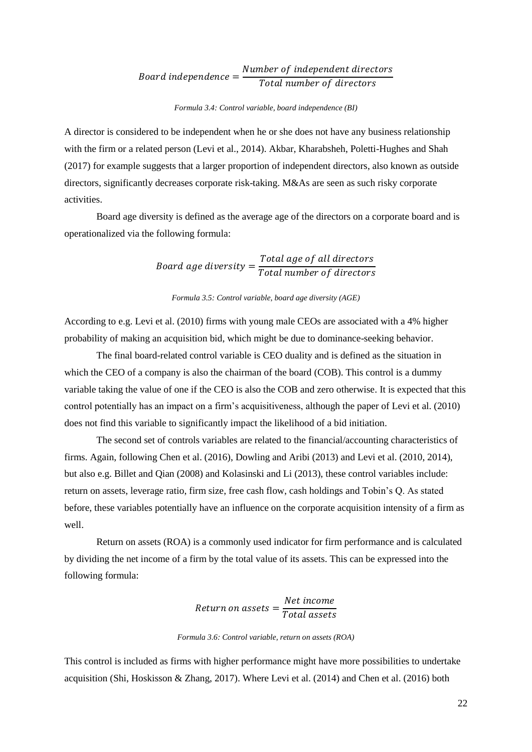#### $\boldsymbol{B}$  $\boldsymbol{N}$  $\overline{T}$

#### *Formula 3.4: Control variable, board independence (BI)*

A director is considered to be independent when he or she does not have any business relationship with the firm or a related person (Levi et al., 2014). Akbar, Kharabsheh, Poletti-Hughes and Shah (2017) for example suggests that a larger proportion of independent directors, also known as outside directors, significantly decreases corporate risk-taking. M&As are seen as such risky corporate activities.

Board age diversity is defined as the average age of the directors on a corporate board and is operationalized via the following formula:

> $\boldsymbol{B}$  $\overline{T}$  $\overline{T}$

#### *Formula 3.5: Control variable, board age diversity (AGE)*

According to e.g. Levi et al. (2010) firms with young male CEOs are associated with a 4% higher probability of making an acquisition bid, which might be due to dominance-seeking behavior.

The final board-related control variable is CEO duality and is defined as the situation in which the CEO of a company is also the chairman of the board (COB). This control is a dummy variable taking the value of one if the CEO is also the COB and zero otherwise. It is expected that this control potentially has an impact on a firm's acquisitiveness, although the paper of Levi et al. (2010) does not find this variable to significantly impact the likelihood of a bid initiation.

The second set of controls variables are related to the financial/accounting characteristics of firms. Again, following Chen et al. (2016), Dowling and Aribi (2013) and Levi et al. (2010, 2014), but also e.g. Billet and Qian (2008) and Kolasinski and Li (2013), these control variables include: return on assets, leverage ratio, firm size, free cash flow, cash holdings and Tobin's Q. As stated before, these variables potentially have an influence on the corporate acquisition intensity of a firm as well.

Return on assets (ROA) is a commonly used indicator for firm performance and is calculated by dividing the net income of a firm by the total value of its assets. This can be expressed into the following formula:

> $\boldsymbol{R}$  $\boldsymbol{N}$  $\boldsymbol{T}$

#### *Formula 3.6: Control variable, return on assets (ROA)*

This control is included as firms with higher performance might have more possibilities to undertake acquisition (Shi, Hoskisson & Zhang, 2017). Where Levi et al. (2014) and Chen et al. (2016) both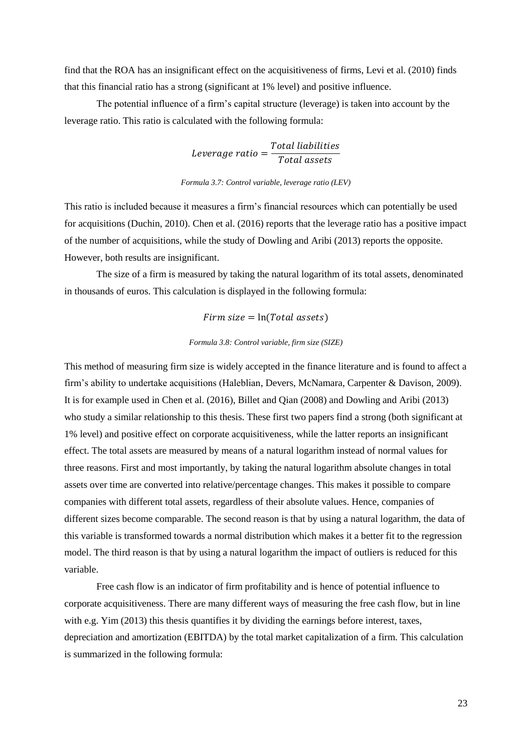find that the ROA has an insignificant effect on the acquisitiveness of firms, Levi et al. (2010) finds that this financial ratio has a strong (significant at 1% level) and positive influence.

The potential influence of a firm's capital structure (leverage) is taken into account by the leverage ratio. This ratio is calculated with the following formula:

> L  $\boldsymbol{T}$ T

*Formula 3.7: Control variable, leverage ratio (LEV)*

This ratio is included because it measures a firm's financial resources which can potentially be used for acquisitions (Duchin, 2010). Chen et al. (2016) reports that the leverage ratio has a positive impact of the number of acquisitions, while the study of Dowling and Aribi (2013) reports the opposite. However, both results are insignificant.

The size of a firm is measured by taking the natural logarithm of its total assets, denominated in thousands of euros. This calculation is displayed in the following formula:

 $Firm size = ln(Total assets)$ 

#### *Formula 3.8: Control variable, firm size (SIZE)*

This method of measuring firm size is widely accepted in the finance literature and is found to affect a firm's ability to undertake acquisitions (Haleblian, Devers, McNamara, Carpenter & Davison, 2009). It is for example used in Chen et al. (2016), Billet and Qian (2008) and Dowling and Aribi (2013) who study a similar relationship to this thesis. These first two papers find a strong (both significant at 1% level) and positive effect on corporate acquisitiveness, while the latter reports an insignificant effect. The total assets are measured by means of a natural logarithm instead of normal values for three reasons. First and most importantly, by taking the natural logarithm absolute changes in total assets over time are converted into relative/percentage changes. This makes it possible to compare companies with different total assets, regardless of their absolute values. Hence, companies of different sizes become comparable. The second reason is that by using a natural logarithm, the data of this variable is transformed towards a normal distribution which makes it a better fit to the regression model. The third reason is that by using a natural logarithm the impact of outliers is reduced for this variable.

Free cash flow is an indicator of firm profitability and is hence of potential influence to corporate acquisitiveness. There are many different ways of measuring the free cash flow, but in line with e.g. Yim (2013) this thesis quantifies it by dividing the earnings before interest, taxes, depreciation and amortization (EBITDA) by the total market capitalization of a firm. This calculation is summarized in the following formula: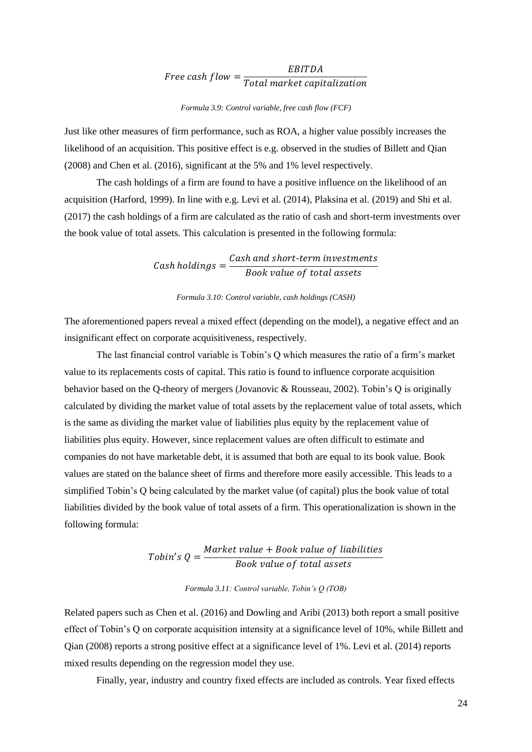#### F E  $\overline{T}$

#### *Formula 3.9: Control variable, free cash flow (FCF)*

Just like other measures of firm performance, such as ROA, a higher value possibly increases the likelihood of an acquisition. This positive effect is e.g. observed in the studies of Billett and Qian (2008) and Chen et al. (2016), significant at the 5% and 1% level respectively.

The cash holdings of a firm are found to have a positive influence on the likelihood of an acquisition (Harford, 1999). In line with e.g. Levi et al. (2014), Plaksina et al. (2019) and Shi et al. (2017) the cash holdings of a firm are calculated as the ratio of cash and short-term investments over the book value of total assets. This calculation is presented in the following formula:

> $\mathcal{C}_{0}^{(n)}$  $\mathcal{C}_{0}^{(n)}$  $\boldsymbol{B}$

#### *Formula 3.10: Control variable, cash holdings (CASH)*

The aforementioned papers reveal a mixed effect (depending on the model), a negative effect and an insignificant effect on corporate acquisitiveness, respectively.

The last financial control variable is Tobin's Q which measures the ratio of a firm's market value to its replacements costs of capital. This ratio is found to influence corporate acquisition behavior based on the Q-theory of mergers (Jovanovic & Rousseau, 2002). Tobin's Q is originally calculated by dividing the market value of total assets by the replacement value of total assets, which is the same as dividing the market value of liabilities plus equity by the replacement value of liabilities plus equity. However, since replacement values are often difficult to estimate and companies do not have marketable debt, it is assumed that both are equal to its book value. Book values are stated on the balance sheet of firms and therefore more easily accessible. This leads to a simplified Tobin's Q being calculated by the market value (of capital) plus the book value of total liabilities divided by the book value of total assets of a firm. This operationalization is shown in the following formula:

$$
Tobin's Q = \frac{Market\ value + Book\ value\ of\ liabilities}{Book\ value\ of\ total\ assets}
$$

#### *Formula 3.11: Control variable, Tobin's Q (TOB)*

Related papers such as Chen et al. (2016) and Dowling and Aribi (2013) both report a small positive effect of Tobin's Q on corporate acquisition intensity at a significance level of 10%, while Billett and Qian (2008) reports a strong positive effect at a significance level of 1%. Levi et al. (2014) reports mixed results depending on the regression model they use.

Finally, year, industry and country fixed effects are included as controls. Year fixed effects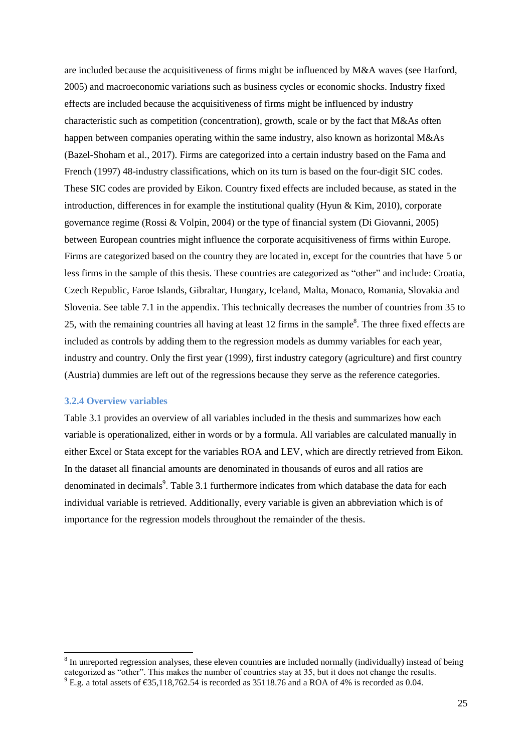are included because the acquisitiveness of firms might be influenced by M&A waves (see Harford, 2005) and macroeconomic variations such as business cycles or economic shocks. Industry fixed effects are included because the acquisitiveness of firms might be influenced by industry characteristic such as competition (concentration), growth, scale or by the fact that M&As often happen between companies operating within the same industry, also known as horizontal M&As (Bazel-Shoham et al., 2017). Firms are categorized into a certain industry based on the Fama and French (1997) 48-industry classifications, which on its turn is based on the four-digit SIC codes. These SIC codes are provided by Eikon. Country fixed effects are included because, as stated in the introduction, differences in for example the institutional quality (Hyun  $\&$  Kim, 2010), corporate governance regime (Rossi & Volpin, 2004) or the type of financial system (Di Giovanni, 2005) between European countries might influence the corporate acquisitiveness of firms within Europe. Firms are categorized based on the country they are located in, except for the countries that have 5 or less firms in the sample of this thesis. These countries are categorized as "other" and include: Croatia, Czech Republic, Faroe Islands, Gibraltar, Hungary, Iceland, Malta, Monaco, Romania, Slovakia and Slovenia. See table 7.1 in the appendix. This technically decreases the number of countries from 35 to 25, with the remaining countries all having at least 12 firms in the sample $\delta$ . The three fixed effects are included as controls by adding them to the regression models as dummy variables for each year, industry and country. Only the first year (1999), first industry category (agriculture) and first country (Austria) dummies are left out of the regressions because they serve as the reference categories.

#### <span id="page-24-0"></span>**3.2.4 Overview variables**

1

Table 3.1 provides an overview of all variables included in the thesis and summarizes how each variable is operationalized, either in words or by a formula. All variables are calculated manually in either Excel or Stata except for the variables ROA and LEV, which are directly retrieved from Eikon. In the dataset all financial amounts are denominated in thousands of euros and all ratios are denominated in decimals<sup>9</sup>. Table 3.1 furthermore indicates from which database the data for each individual variable is retrieved. Additionally, every variable is given an abbreviation which is of importance for the regression models throughout the remainder of the thesis.

 $8$  In unreported regression analyses, these eleven countries are included normally (individually) instead of being categorized as "other". This makes the number of countries stay at 35, but it does not change the results.  $9$  E.g. a total assets of  $\epsilon$ 35,118,762.54 is recorded as 35118.76 and a ROA of 4% is recorded as 0.04.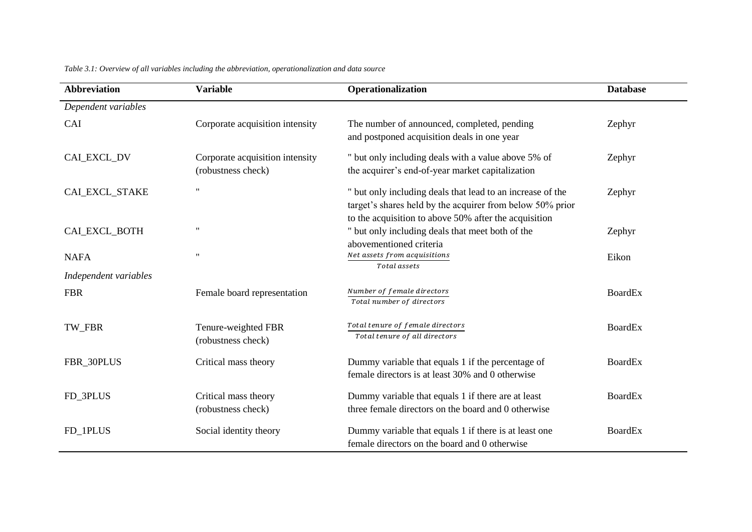| <b>Abbreviation</b>   | <b>Variable</b>                                       | Operationalization                                                                                                                                                               | <b>Database</b> |
|-----------------------|-------------------------------------------------------|----------------------------------------------------------------------------------------------------------------------------------------------------------------------------------|-----------------|
| Dependent variables   |                                                       |                                                                                                                                                                                  |                 |
| CAI                   | Corporate acquisition intensity                       | The number of announced, completed, pending<br>and postponed acquisition deals in one year                                                                                       | Zephyr          |
| CAL EXCL_DV           | Corporate acquisition intensity<br>(robustness check) | " but only including deals with a value above 5% of<br>the acquirer's end-of-year market capitalization                                                                          | Zephyr          |
| CAL_EXCL_STAKE        | $^{\prime}$                                           | " but only including deals that lead to an increase of the<br>target's shares held by the acquirer from below 50% prior<br>to the acquisition to above 50% after the acquisition | Zephyr          |
| CAL EXCL_BOTH         | $^{\dagger}$                                          | " but only including deals that meet both of the<br>abovementioned criteria                                                                                                      | Zephyr          |
| <b>NAFA</b>           | $^{\dagger}$                                          | Net assets from acquisitions<br>Total assets                                                                                                                                     | Eikon           |
| Independent variables |                                                       |                                                                                                                                                                                  |                 |
| <b>FBR</b>            | Female board representation                           | Number of female directors<br>Total number of directors                                                                                                                          | <b>BoardEx</b>  |
| TW_FBR                | Tenure-weighted FBR<br>(robustness check)             | Total tenure of female directors<br>Total tenure of all directors                                                                                                                | <b>BoardEx</b>  |
| FBR_30PLUS            | Critical mass theory                                  | Dummy variable that equals 1 if the percentage of<br>female directors is at least 30% and 0 otherwise                                                                            | <b>BoardEx</b>  |
| FD_3PLUS              | Critical mass theory<br>(robustness check)            | Dummy variable that equals 1 if there are at least<br>three female directors on the board and 0 otherwise                                                                        | <b>BoardEx</b>  |
| FD_1PLUS              | Social identity theory                                | Dummy variable that equals 1 if there is at least one<br>female directors on the board and 0 otherwise                                                                           | <b>BoardEx</b>  |

*Table 3.1: Overview of all variables including the abbreviation, operationalization and data source*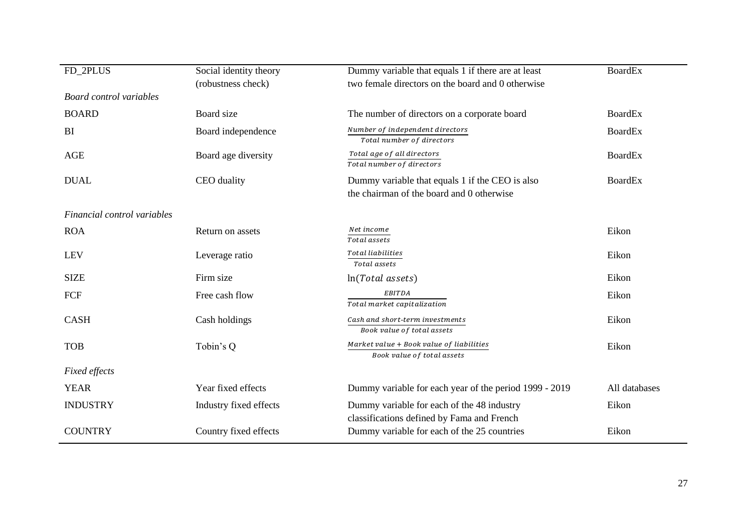| FD_2PLUS                       | Social identity theory | Dummy variable that equals 1 if there are at least                                           | <b>BoardEx</b> |
|--------------------------------|------------------------|----------------------------------------------------------------------------------------------|----------------|
| <b>Board control variables</b> | (robustness check)     | two female directors on the board and 0 otherwise                                            |                |
| <b>BOARD</b>                   | Board size             | The number of directors on a corporate board                                                 | <b>BoardEx</b> |
| BI                             | Board independence     | Number of independent directors<br>Total number of directors                                 | <b>BoardEx</b> |
| <b>AGE</b>                     | Board age diversity    | Total age of all directors<br>Total number of directors                                      | <b>BoardEx</b> |
| <b>DUAL</b>                    | CEO duality            | Dummy variable that equals 1 if the CEO is also<br>the chairman of the board and 0 otherwise | <b>BoardEx</b> |
| Financial control variables    |                        |                                                                                              |                |
| <b>ROA</b>                     | Return on assets       | Net income<br>Total assets                                                                   | Eikon          |
| <b>LEV</b>                     | Leverage ratio         | <b>Total liabilities</b><br>Total assets                                                     | Eikon          |
| <b>SIZE</b>                    | Firm size              | $ln(Total$ assets)                                                                           | Eikon          |
| FCF                            | Free cash flow         | <b>EBITDA</b><br>Total market capitalization                                                 | Eikon          |
| <b>CASH</b>                    | Cash holdings          | Cash and short-term investments<br>Book value of total assets                                | Eikon          |
| <b>TOB</b>                     | Tobin's Q              | Market value + Book value of liabilities<br>Book value of total assets                       | Eikon          |
| <b>Fixed effects</b>           |                        |                                                                                              |                |
| <b>YEAR</b>                    | Year fixed effects     | Dummy variable for each year of the period 1999 - 2019                                       | All databases  |
| <b>INDUSTRY</b>                | Industry fixed effects | Dummy variable for each of the 48 industry<br>classifications defined by Fama and French     | Eikon          |
| <b>COUNTRY</b>                 | Country fixed effects  | Dummy variable for each of the 25 countries                                                  | Eikon          |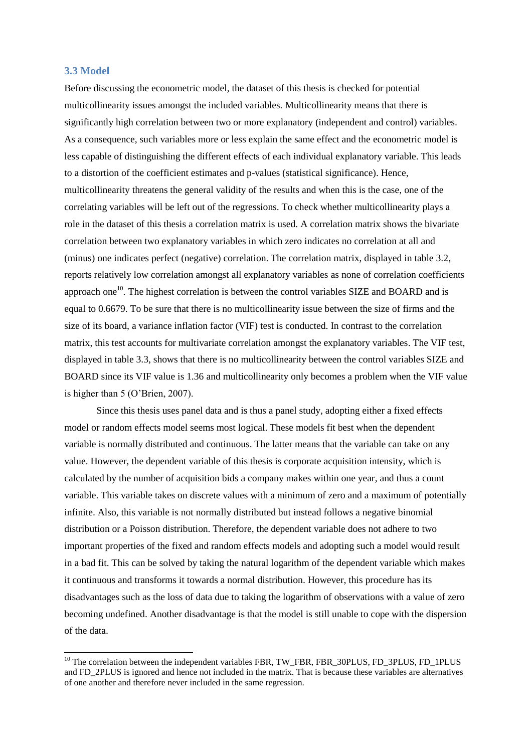# <span id="page-27-0"></span>**3.3 Model**

1

Before discussing the econometric model, the dataset of this thesis is checked for potential multicollinearity issues amongst the included variables. Multicollinearity means that there is significantly high correlation between two or more explanatory (independent and control) variables. As a consequence, such variables more or less explain the same effect and the econometric model is less capable of distinguishing the different effects of each individual explanatory variable. This leads to a distortion of the coefficient estimates and p-values (statistical significance). Hence, multicollinearity threatens the general validity of the results and when this is the case, one of the correlating variables will be left out of the regressions. To check whether multicollinearity plays a role in the dataset of this thesis a correlation matrix is used. A correlation matrix shows the bivariate correlation between two explanatory variables in which zero indicates no correlation at all and (minus) one indicates perfect (negative) correlation. The correlation matrix, displayed in table 3.2, reports relatively low correlation amongst all explanatory variables as none of correlation coefficients approach one<sup>10</sup>. The highest correlation is between the control variables SIZE and BOARD and is equal to 0.6679. To be sure that there is no multicollinearity issue between the size of firms and the size of its board, a variance inflation factor (VIF) test is conducted. In contrast to the correlation matrix, this test accounts for multivariate correlation amongst the explanatory variables. The VIF test, displayed in table 3.3, shows that there is no multicollinearity between the control variables SIZE and BOARD since its VIF value is 1.36 and multicollinearity only becomes a problem when the VIF value is higher than 5 (O'Brien, 2007).

Since this thesis uses panel data and is thus a panel study, adopting either a fixed effects model or random effects model seems most logical. These models fit best when the dependent variable is normally distributed and continuous. The latter means that the variable can take on any value. However, the dependent variable of this thesis is corporate acquisition intensity, which is calculated by the number of acquisition bids a company makes within one year, and thus a count variable. This variable takes on discrete values with a minimum of zero and a maximum of potentially infinite. Also, this variable is not normally distributed but instead follows a negative binomial distribution or a Poisson distribution. Therefore, the dependent variable does not adhere to two important properties of the fixed and random effects models and adopting such a model would result in a bad fit. This can be solved by taking the natural logarithm of the dependent variable which makes it continuous and transforms it towards a normal distribution. However, this procedure has its disadvantages such as the loss of data due to taking the logarithm of observations with a value of zero becoming undefined. Another disadvantage is that the model is still unable to cope with the dispersion of the data.

<sup>&</sup>lt;sup>10</sup> The correlation between the independent variables FBR, TW\_FBR, FBR\_30PLUS, FD\_3PLUS, FD\_1PLUS and FD\_2PLUS is ignored and hence not included in the matrix. That is because these variables are alternatives of one another and therefore never included in the same regression.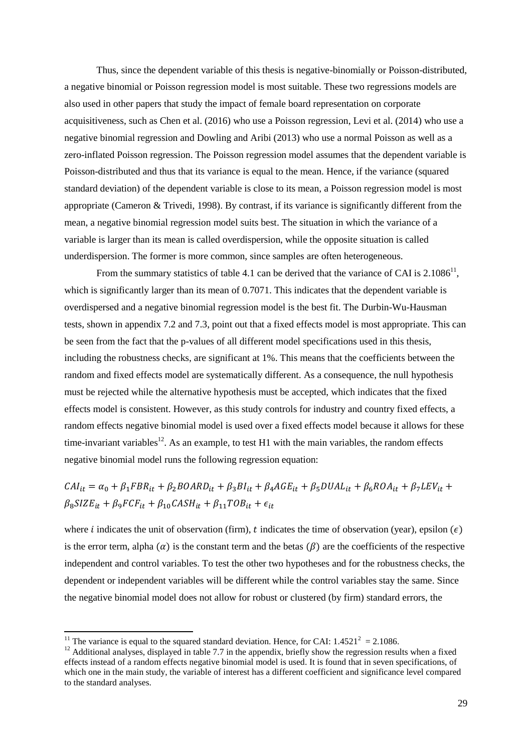Thus, since the dependent variable of this thesis is negative-binomially or Poisson-distributed, a negative binomial or Poisson regression model is most suitable. These two regressions models are also used in other papers that study the impact of female board representation on corporate acquisitiveness, such as Chen et al. (2016) who use a Poisson regression, Levi et al. (2014) who use a negative binomial regression and Dowling and Aribi (2013) who use a normal Poisson as well as a zero-inflated Poisson regression. The Poisson regression model assumes that the dependent variable is Poisson-distributed and thus that its variance is equal to the mean. Hence, if the variance (squared standard deviation) of the dependent variable is close to its mean, a Poisson regression model is most appropriate (Cameron & Trivedi, 1998). By contrast, if its variance is significantly different from the mean, a negative binomial regression model suits best. The situation in which the variance of a variable is larger than its mean is called overdispersion, while the opposite situation is called underdispersion. The former is more common, since samples are often heterogeneous.

From the summary statistics of table 4.1 can be derived that the variance of CAI is  $2.1086^{11}$ , which is significantly larger than its mean of 0.7071. This indicates that the dependent variable is overdispersed and a negative binomial regression model is the best fit. The Durbin-Wu-Hausman tests, shown in appendix 7.2 and 7.3, point out that a fixed effects model is most appropriate. This can be seen from the fact that the p-values of all different model specifications used in this thesis, including the robustness checks, are significant at 1%. This means that the coefficients between the random and fixed effects model are systematically different. As a consequence, the null hypothesis must be rejected while the alternative hypothesis must be accepted, which indicates that the fixed effects model is consistent. However, as this study controls for industry and country fixed effects, a random effects negative binomial model is used over a fixed effects model because it allows for these time-invariant variables<sup>12</sup>. As an example, to test H1 with the main variables, the random effects negative binomial model runs the following regression equation:

# $CAI_{it} = \alpha_0 + \beta_1 FBR_{it} + \beta_2 BOARD_{it} + \beta_3 BI_{it} + \beta_4 AGE_{it} + \beta_5 DUAL_{it} + \beta_6 ROA_{it} + \beta_7 LEV_{it} +$  $\beta_8 SIZE_{it} + \beta_9 FCF_{it} + \beta_{10} CASH_{it} + \beta_{11} TOP_{it} + \epsilon_{it}$

where *i* indicates the unit of observation (firm), *t* indicates the time of observation (year), epsilon ( $\epsilon$ ) is the error term, alpha  $\alpha$  is the constant term and the betas  $\beta$  are the coefficients of the respective independent and control variables. To test the other two hypotheses and for the robustness checks, the dependent or independent variables will be different while the control variables stay the same. Since the negative binomial model does not allow for robust or clustered (by firm) standard errors, the

<sup>&</sup>lt;sup>11</sup> The variance is equal to the squared standard deviation. Hence, for CAI:  $1.4521^2 = 2.1086$ .

 $12$  Additional analyses, displayed in table 7.7 in the appendix, briefly show the regression results when a fixed effects instead of a random effects negative binomial model is used. It is found that in seven specifications, of which one in the main study, the variable of interest has a different coefficient and significance level compared to the standard analyses.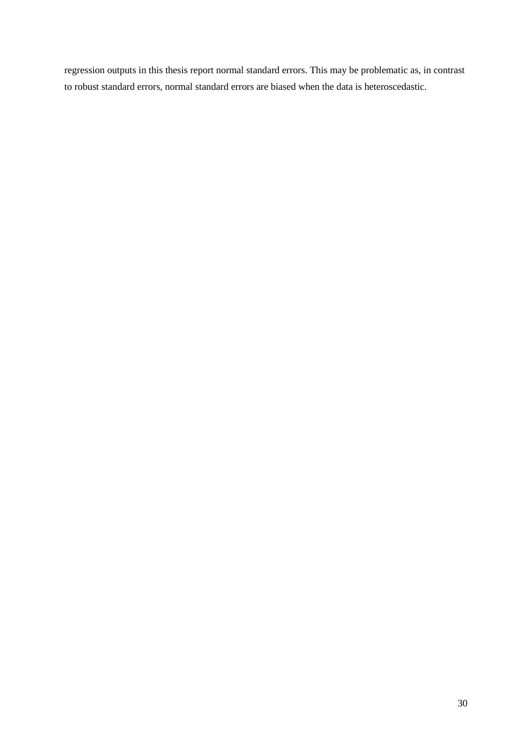regression outputs in this thesis report normal standard errors. This may be problematic as, in contrast to robust standard errors, normal standard errors are biased when the data is heteroscedastic.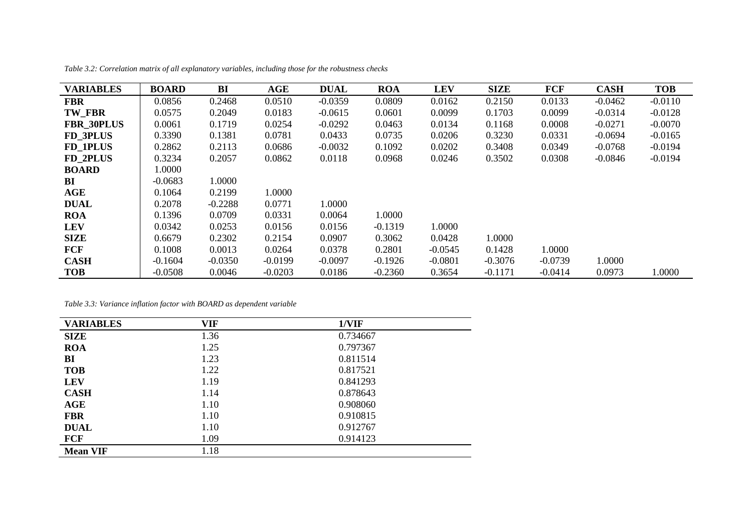| <b>VARIABLES</b>  | <b>BOARD</b> | BI        | <b>AGE</b> | <b>DUAL</b> | <b>ROA</b> | <b>LEV</b> | <b>SIZE</b> | <b>FCF</b> | <b>CASH</b> | <b>TOB</b> |
|-------------------|--------------|-----------|------------|-------------|------------|------------|-------------|------------|-------------|------------|
| <b>FBR</b>        | 0.0856       | 0.2468    | 0.0510     | $-0.0359$   | 0.0809     | 0.0162     | 0.2150      | 0.0133     | $-0.0462$   | $-0.0110$  |
| TW FBR            | 0.0575       | 0.2049    | 0.0183     | $-0.0615$   | 0.0601     | 0.0099     | 0.1703      | 0.0099     | $-0.0314$   | $-0.0128$  |
| <b>FBR 30PLUS</b> | 0.0061       | 0.1719    | 0.0254     | $-0.0292$   | 0.0463     | 0.0134     | 0.1168      | 0.0008     | $-0.0271$   | $-0.0070$  |
| FD 3PLUS          | 0.3390       | 0.1381    | 0.0781     | 0.0433      | 0.0735     | 0.0206     | 0.3230      | 0.0331     | $-0.0694$   | $-0.0165$  |
| FD 1PLUS          | 0.2862       | 0.2113    | 0.0686     | $-0.0032$   | 0.1092     | 0.0202     | 0.3408      | 0.0349     | $-0.0768$   | $-0.0194$  |
| FD 2PLUS          | 0.3234       | 0.2057    | 0.0862     | 0.0118      | 0.0968     | 0.0246     | 0.3502      | 0.0308     | $-0.0846$   | $-0.0194$  |
| <b>BOARD</b>      | 1.0000       |           |            |             |            |            |             |            |             |            |
| BI                | $-0.0683$    | 1.0000    |            |             |            |            |             |            |             |            |
| AGE               | 0.1064       | 0.2199    | 1.0000     |             |            |            |             |            |             |            |
| <b>DUAL</b>       | 0.2078       | $-0.2288$ | 0.0771     | 1.0000      |            |            |             |            |             |            |
| <b>ROA</b>        | 0.1396       | 0.0709    | 0.0331     | 0.0064      | 1.0000     |            |             |            |             |            |
| <b>LEV</b>        | 0.0342       | 0.0253    | 0.0156     | 0.0156      | $-0.1319$  | 1.0000     |             |            |             |            |
| <b>SIZE</b>       | 0.6679       | 0.2302    | 0.2154     | 0.0907      | 0.3062     | 0.0428     | 1.0000      |            |             |            |
| <b>FCF</b>        | 0.1008       | 0.0013    | 0.0264     | 0.0378      | 0.2801     | $-0.0545$  | 0.1428      | 1.0000     |             |            |
| <b>CASH</b>       | $-0.1604$    | $-0.0350$ | $-0.0199$  | $-0.0097$   | $-0.1926$  | $-0.0801$  | $-0.3076$   | $-0.0739$  | 1.0000      |            |
| <b>TOB</b>        | $-0.0508$    | 0.0046    | $-0.0203$  | 0.0186      | $-0.2360$  | 0.3654     | $-0.1171$   | $-0.0414$  | 0.0973      | 1.0000     |

*Table 3.2: Correlation matrix of all explanatory variables, including those for the robustness checks*

*Table 3.3: Variance inflation factor with BOARD as dependent variable*

| <b>VARIABLES</b> | <b>VIF</b> | 1/VIF    |
|------------------|------------|----------|
| <b>SIZE</b>      | 1.36       | 0.734667 |
| <b>ROA</b>       | 1.25       | 0.797367 |
| BI               | 1.23       | 0.811514 |
| <b>TOB</b>       | 1.22       | 0.817521 |
| <b>LEV</b>       | 1.19       | 0.841293 |
| <b>CASH</b>      | 1.14       | 0.878643 |
| AGE              | 1.10       | 0.908060 |
| <b>FBR</b>       | 1.10       | 0.910815 |
| <b>DUAL</b>      | 1.10       | 0.912767 |
| <b>FCF</b>       | 1.09       | 0.914123 |
| <b>Mean VIF</b>  | 1.18       |          |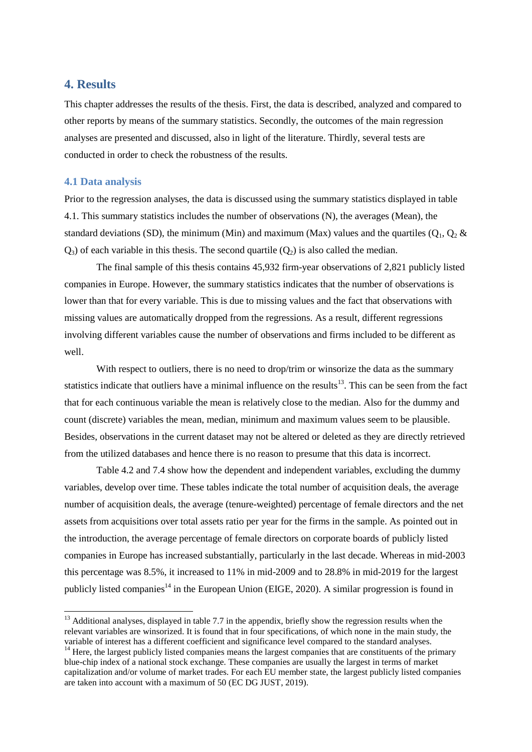# <span id="page-31-0"></span>**4. Results**

This chapter addresses the results of the thesis. First, the data is described, analyzed and compared to other reports by means of the summary statistics. Secondly, the outcomes of the main regression analyses are presented and discussed, also in light of the literature. Thirdly, several tests are conducted in order to check the robustness of the results.

# <span id="page-31-1"></span>**4.1 Data analysis**

-

Prior to the regression analyses, the data is discussed using the summary statistics displayed in table 4.1. This summary statistics includes the number of observations (N), the averages (Mean), the standard deviations (SD), the minimum (Min) and maximum (Max) values and the quartiles ( $O_1$ ,  $O_2$  &  $Q_3$ ) of each variable in this thesis. The second quartile  $(Q_2)$  is also called the median.

The final sample of this thesis contains 45,932 firm-year observations of 2,821 publicly listed companies in Europe. However, the summary statistics indicates that the number of observations is lower than that for every variable. This is due to missing values and the fact that observations with missing values are automatically dropped from the regressions. As a result, different regressions involving different variables cause the number of observations and firms included to be different as well.

With respect to outliers, there is no need to drop/trim or winsorize the data as the summary statistics indicate that outliers have a minimal influence on the results $13$ . This can be seen from the fact that for each continuous variable the mean is relatively close to the median. Also for the dummy and count (discrete) variables the mean, median, minimum and maximum values seem to be plausible. Besides, observations in the current dataset may not be altered or deleted as they are directly retrieved from the utilized databases and hence there is no reason to presume that this data is incorrect.

Table 4.2 and 7.4 show how the dependent and independent variables, excluding the dummy variables, develop over time. These tables indicate the total number of acquisition deals, the average number of acquisition deals, the average (tenure-weighted) percentage of female directors and the net assets from acquisitions over total assets ratio per year for the firms in the sample. As pointed out in the introduction, the average percentage of female directors on corporate boards of publicly listed companies in Europe has increased substantially, particularly in the last decade. Whereas in mid-2003 this percentage was 8.5%, it increased to 11% in mid-2009 and to 28.8% in mid-2019 for the largest publicly listed companies<sup>14</sup> in the European Union (EIGE, 2020). A similar progression is found in

 $13$  Additional analyses, displayed in table 7.7 in the appendix, briefly show the regression results when the relevant variables are winsorized. It is found that in four specifications, of which none in the main study, the variable of interest has a different coefficient and significance level compared to the standard analyses.

<sup>&</sup>lt;sup>14</sup> Here, the largest publicly listed companies means the largest companies that are constituents of the primary blue-chip index of a national stock exchange. These companies are usually the largest in terms of market capitalization and/or volume of market trades. For each EU member state, the largest publicly listed companies are taken into account with a maximum of 50 (EC DG JUST, 2019).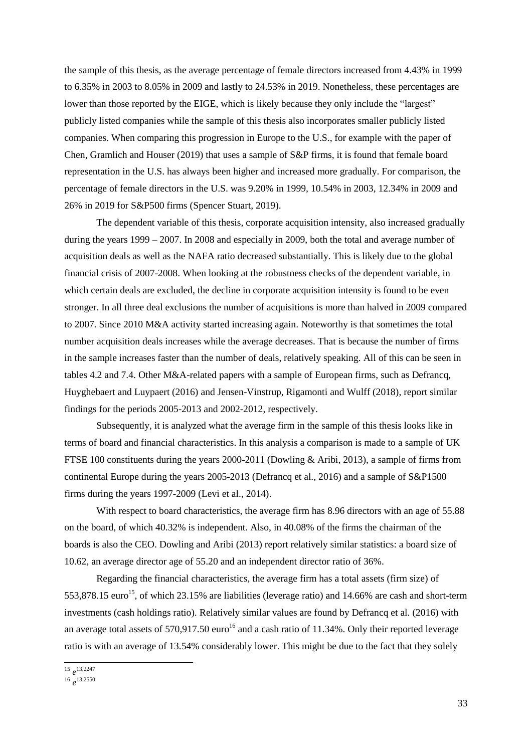the sample of this thesis, as the average percentage of female directors increased from 4.43% in 1999 to 6.35% in 2003 to 8.05% in 2009 and lastly to 24.53% in 2019. Nonetheless, these percentages are lower than those reported by the EIGE, which is likely because they only include the "largest" publicly listed companies while the sample of this thesis also incorporates smaller publicly listed companies. When comparing this progression in Europe to the U.S., for example with the paper of Chen, Gramlich and Houser (2019) that uses a sample of S&P firms, it is found that female board representation in the U.S. has always been higher and increased more gradually. For comparison, the percentage of female directors in the U.S. was 9.20% in 1999, 10.54% in 2003, 12.34% in 2009 and 26% in 2019 for S&P500 firms (Spencer Stuart, 2019).

The dependent variable of this thesis, corporate acquisition intensity, also increased gradually during the years 1999 – 2007. In 2008 and especially in 2009, both the total and average number of acquisition deals as well as the NAFA ratio decreased substantially. This is likely due to the global financial crisis of 2007-2008. When looking at the robustness checks of the dependent variable, in which certain deals are excluded, the decline in corporate acquisition intensity is found to be even stronger. In all three deal exclusions the number of acquisitions is more than halved in 2009 compared to 2007. Since 2010 M&A activity started increasing again. Noteworthy is that sometimes the total number acquisition deals increases while the average decreases. That is because the number of firms in the sample increases faster than the number of deals, relatively speaking. All of this can be seen in tables 4.2 and 7.4. Other M&A-related papers with a sample of European firms, such as Defrancq, Huyghebaert and Luypaert (2016) and Jensen-Vinstrup, Rigamonti and Wulff (2018), report similar findings for the periods 2005-2013 and 2002-2012, respectively.

Subsequently, it is analyzed what the average firm in the sample of this thesis looks like in terms of board and financial characteristics. In this analysis a comparison is made to a sample of UK FTSE 100 constituents during the years 2000-2011 (Dowling & Aribi, 2013), a sample of firms from continental Europe during the years 2005-2013 (Defrancq et al., 2016) and a sample of S&P1500 firms during the years 1997-2009 (Levi et al., 2014).

With respect to board characteristics, the average firm has 8.96 directors with an age of 55.88 on the board, of which 40.32% is independent. Also, in 40.08% of the firms the chairman of the boards is also the CEO. Dowling and Aribi (2013) report relatively similar statistics: a board size of 10.62, an average director age of 55.20 and an independent director ratio of 36%.

Regarding the financial characteristics, the average firm has a total assets (firm size) of 553,878.15 euro<sup>15</sup>, of which 23.15% are liabilities (leverage ratio) and 14.66% are cash and short-term investments (cash holdings ratio). Relatively similar values are found by Defrancq et al. (2016) with an average total assets of  $570,917.50$  euro<sup>16</sup> and a cash ratio of 11.34%. Only their reported leverage ratio is with an average of 13.54% considerably lower. This might be due to the fact that they solely

 15 *e* 13.2247

<sup>16</sup> *e* 13.2550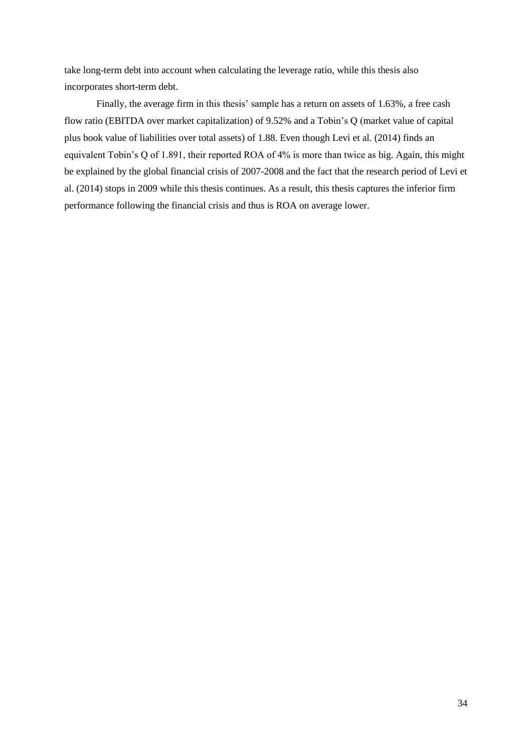take long-term debt into account when calculating the leverage ratio, while this thesis also incorporates short-term debt.

Finally, the average firm in this thesis' sample has a return on assets of 1.63%, a free cash flow ratio (EBITDA over market capitalization) of 9.52% and a Tobin's Q (market value of capital plus book value of liabilities over total assets) of 1.88. Even though Levi et al. (2014) finds an equivalent Tobin's Q of 1.891, their reported ROA of 4% is more than twice as big. Again, this might be explained by the global financial crisis of 2007-2008 and the fact that the research period of Levi et al. (2014) stops in 2009 while this thesis continues. As a result, this thesis captures the inferior firm performance following the financial crisis and thus is ROA on average lower.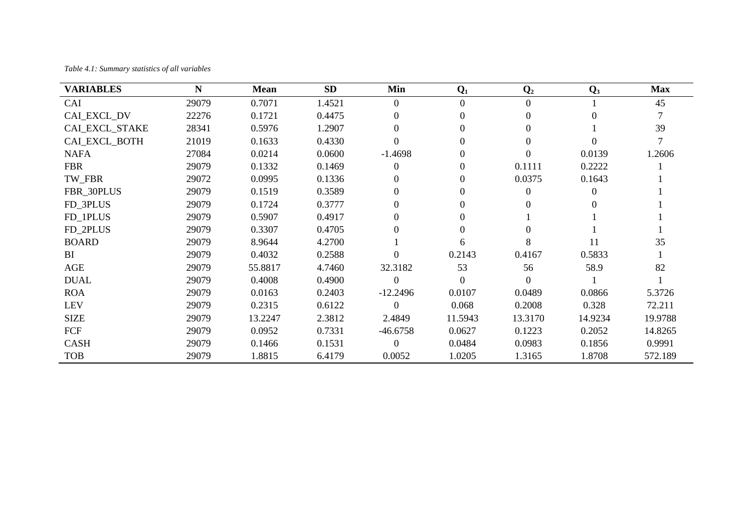*Table 4.1: Summary statistics of all variables*

| <b>VARIABLES</b>      | N     | <b>Mean</b> | <b>SD</b> | Min            | $Q_1$          | $\mathbf{Q}_2$ | $\mathbf{Q}_3$ | <b>Max</b> |
|-----------------------|-------|-------------|-----------|----------------|----------------|----------------|----------------|------------|
| CAI                   | 29079 | 0.7071      | 1.4521    | $\overline{0}$ | $\overline{0}$ | $\Omega$       |                | 45         |
| CAL EXCL_DV           | 22276 | 0.1721      | 0.4475    |                | $\Omega$       | 0              |                |            |
| <b>CAL EXCL_STAKE</b> | 28341 | 0.5976      | 1.2907    |                | 0              |                |                | 39         |
| CAL EXCL BOTH         | 21019 | 0.1633      | 0.4330    | $\Omega$       | $\Omega$       | $\Omega$       |                |            |
| <b>NAFA</b>           | 27084 | 0.0214      | 0.0600    | $-1.4698$      |                | 0              | 0.0139         | 1.2606     |
| <b>FBR</b>            | 29079 | 0.1332      | 0.1469    | $\theta$       | 0              | 0.1111         | 0.2222         |            |
| TW FBR                | 29072 | 0.0995      | 0.1336    | 0              | $\Omega$       | 0.0375         | 0.1643         |            |
| FBR_30PLUS            | 29079 | 0.1519      | 0.3589    |                | 0              | 0              |                |            |
| FD 3PLUS              | 29079 | 0.1724      | 0.3777    |                | 0              |                |                |            |
| FD_1PLUS              | 29079 | 0.5907      | 0.4917    |                | $\Omega$       |                |                |            |
| FD_2PLUS              | 29079 | 0.3307      | 0.4705    |                | $\Omega$       |                |                |            |
| <b>BOARD</b>          | 29079 | 8.9644      | 4.2700    |                | 6              |                | 11             | 35         |
| BI                    | 29079 | 0.4032      | 0.2588    | $\Omega$       | 0.2143         | 0.4167         | 0.5833         |            |
| AGE                   | 29079 | 55.8817     | 4.7460    | 32.3182        | 53             | 56             | 58.9           | 82         |
| <b>DUAL</b>           | 29079 | 0.4008      | 0.4900    | $\theta$       | $\Omega$       | $\Omega$       |                |            |
| <b>ROA</b>            | 29079 | 0.0163      | 0.2403    | $-12.2496$     | 0.0107         | 0.0489         | 0.0866         | 5.3726     |
| <b>LEV</b>            | 29079 | 0.2315      | 0.6122    | $\Omega$       | 0.068          | 0.2008         | 0.328          | 72.211     |
| <b>SIZE</b>           | 29079 | 13.2247     | 2.3812    | 2.4849         | 11.5943        | 13.3170        | 14.9234        | 19.9788    |
| FCF                   | 29079 | 0.0952      | 0.7331    | $-46.6758$     | 0.0627         | 0.1223         | 0.2052         | 14.8265    |
| <b>CASH</b>           | 29079 | 0.1466      | 0.1531    | $\Omega$       | 0.0484         | 0.0983         | 0.1856         | 0.9991     |
| <b>TOB</b>            | 29079 | 1.8815      | 6.4179    | 0.0052         | 1.0205         | 1.3165         | 1.8708         | 572.189    |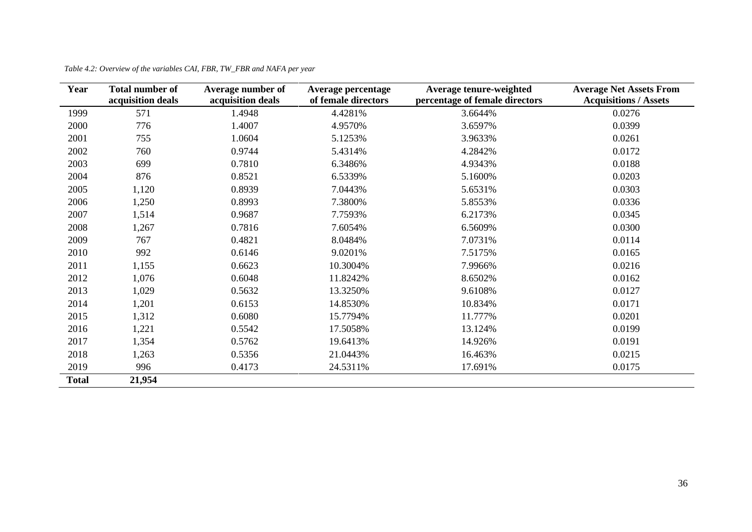| Year         | <b>Total number of</b> | Average number of | Average percentage  | Average tenure-weighted        | <b>Average Net Assets From</b> |
|--------------|------------------------|-------------------|---------------------|--------------------------------|--------------------------------|
|              | acquisition deals      | acquisition deals | of female directors | percentage of female directors | <b>Acquisitions / Assets</b>   |
| 1999         | 571                    | 1.4948            | 4.4281%             | 3.6644%                        | 0.0276                         |
| 2000         | 776                    | 1.4007            | 4.9570%             | 3.6597%                        | 0.0399                         |
| 2001         | 755                    | 1.0604            | 5.1253%             | 3.9633%                        | 0.0261                         |
| 2002         | 760                    | 0.9744            | 5.4314%             | 4.2842%                        | 0.0172                         |
| 2003         | 699                    | 0.7810            | 6.3486%             | 4.9343%                        | 0.0188                         |
| 2004         | 876                    | 0.8521            | 6.5339%             | 5.1600%                        | 0.0203                         |
| 2005         | 1,120                  | 0.8939            | 7.0443%             | 5.6531%                        | 0.0303                         |
| 2006         | 1,250                  | 0.8993            | 7.3800%             | 5.8553%                        | 0.0336                         |
| 2007         | 1,514                  | 0.9687            | 7.7593%             | 6.2173%                        | 0.0345                         |
| 2008         | 1,267                  | 0.7816            | 7.6054%             | 6.5609%                        | 0.0300                         |
| 2009         | 767                    | 0.4821            | 8.0484%             | 7.0731%                        | 0.0114                         |
| 2010         | 992                    | 0.6146            | 9.0201%             | 7.5175%                        | 0.0165                         |
| 2011         | 1,155                  | 0.6623            | 10.3004%            | 7.9966%                        | 0.0216                         |
| 2012         | 1,076                  | 0.6048            | 11.8242%            | 8.6502%                        | 0.0162                         |
| 2013         | 1,029                  | 0.5632            | 13.3250%            | 9.6108%                        | 0.0127                         |
| 2014         | 1,201                  | 0.6153            | 14.8530%            | 10.834%                        | 0.0171                         |
| 2015         | 1,312                  | 0.6080            | 15.7794%            | 11.777%                        | 0.0201                         |
| 2016         | 1,221                  | 0.5542            | 17.5058%            | 13.124%                        | 0.0199                         |
| 2017         | 1,354                  | 0.5762            | 19.6413%            | 14.926%                        | 0.0191                         |
| 2018         | 1,263                  | 0.5356            | 21.0443%            | 16.463%                        | 0.0215                         |
| 2019         | 996                    | 0.4173            | 24.5311%            | 17.691%                        | 0.0175                         |
| <b>Total</b> | 21,954                 |                   |                     |                                |                                |

*Table 4.2: Overview of the variables CAI, FBR, TW\_FBR and NAFA per year*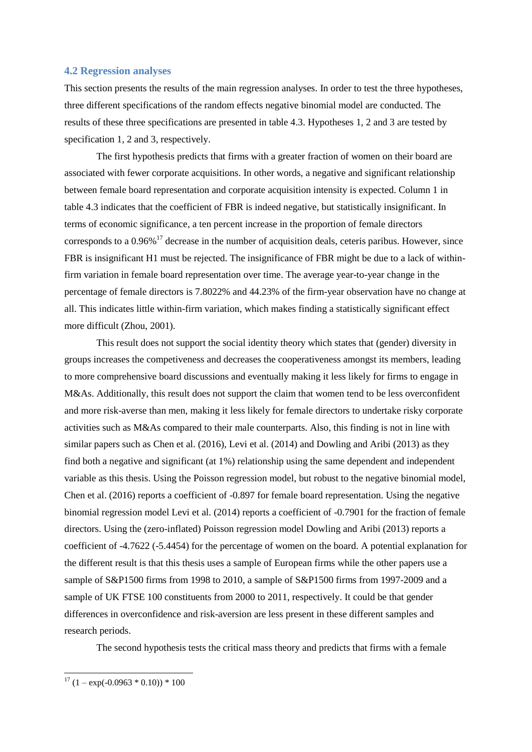#### <span id="page-36-0"></span>**4.2 Regression analyses**

This section presents the results of the main regression analyses. In order to test the three hypotheses, three different specifications of the random effects negative binomial model are conducted. The results of these three specifications are presented in table 4.3. Hypotheses 1, 2 and 3 are tested by specification 1, 2 and 3, respectively.

The first hypothesis predicts that firms with a greater fraction of women on their board are associated with fewer corporate acquisitions. In other words, a negative and significant relationship between female board representation and corporate acquisition intensity is expected. Column 1 in table 4.3 indicates that the coefficient of FBR is indeed negative, but statistically insignificant. In terms of economic significance, a ten percent increase in the proportion of female directors corresponds to a  $0.96\%$ <sup>17</sup> decrease in the number of acquisition deals, ceteris paribus. However, since FBR is insignificant H1 must be rejected. The insignificance of FBR might be due to a lack of withinfirm variation in female board representation over time. The average year-to-year change in the percentage of female directors is 7.8022% and 44.23% of the firm-year observation have no change at all. This indicates little within-firm variation, which makes finding a statistically significant effect more difficult (Zhou, 2001).

This result does not support the social identity theory which states that (gender) diversity in groups increases the competiveness and decreases the cooperativeness amongst its members, leading to more comprehensive board discussions and eventually making it less likely for firms to engage in M&As. Additionally, this result does not support the claim that women tend to be less overconfident and more risk-averse than men, making it less likely for female directors to undertake risky corporate activities such as M&As compared to their male counterparts. Also, this finding is not in line with similar papers such as Chen et al. (2016), Levi et al. (2014) and Dowling and Aribi (2013) as they find both a negative and significant (at 1%) relationship using the same dependent and independent variable as this thesis. Using the Poisson regression model, but robust to the negative binomial model, Chen et al. (2016) reports a coefficient of -0.897 for female board representation. Using the negative binomial regression model Levi et al. (2014) reports a coefficient of -0.7901 for the fraction of female directors. Using the (zero-inflated) Poisson regression model Dowling and Aribi (2013) reports a coefficient of -4.7622 (-5.4454) for the percentage of women on the board. A potential explanation for the different result is that this thesis uses a sample of European firms while the other papers use a sample of S&P1500 firms from 1998 to 2010, a sample of S&P1500 firms from 1997-2009 and a sample of UK FTSE 100 constituents from 2000 to 2011, respectively. It could be that gender differences in overconfidence and risk-aversion are less present in these different samples and research periods.

The second hypothesis tests the critical mass theory and predicts that firms with a female

 $17 (1 - \exp(-0.0963 * 0.10)) * 100$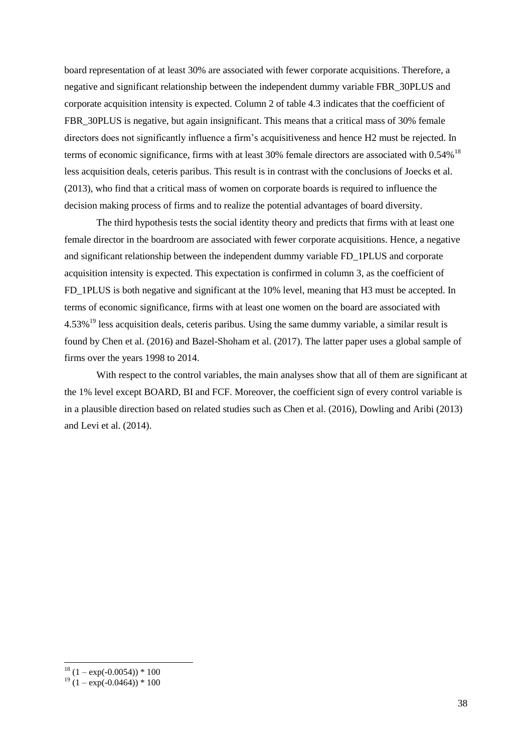board representation of at least 30% are associated with fewer corporate acquisitions. Therefore, a negative and significant relationship between the independent dummy variable FBR\_30PLUS and corporate acquisition intensity is expected. Column 2 of table 4.3 indicates that the coefficient of FBR\_30PLUS is negative, but again insignificant. This means that a critical mass of 30% female directors does not significantly influence a firm's acquisitiveness and hence H2 must be rejected. In terms of economic significance, firms with at least 30% female directors are associated with  $0.54\%$ <sup>18</sup> less acquisition deals, ceteris paribus. This result is in contrast with the conclusions of Joecks et al. (2013), who find that a critical mass of women on corporate boards is required to influence the decision making process of firms and to realize the potential advantages of board diversity.

The third hypothesis tests the social identity theory and predicts that firms with at least one female director in the boardroom are associated with fewer corporate acquisitions. Hence, a negative and significant relationship between the independent dummy variable FD\_1PLUS and corporate acquisition intensity is expected. This expectation is confirmed in column 3, as the coefficient of FD 1PLUS is both negative and significant at the 10% level, meaning that H3 must be accepted. In terms of economic significance, firms with at least one women on the board are associated with 4.53%<sup>19</sup> less acquisition deals, ceteris paribus. Using the same dummy variable, a similar result is found by Chen et al. (2016) and Bazel-Shoham et al. (2017). The latter paper uses a global sample of firms over the years 1998 to 2014.

With respect to the control variables, the main analyses show that all of them are significant at the 1% level except BOARD, BI and FCF. Moreover, the coefficient sign of every control variable is in a plausible direction based on related studies such as Chen et al. (2016), Dowling and Aribi (2013) and Levi et al. (2014).

1

 $18 (1 - \exp(-0.0054)) * 100$ 

 $19(1 - \exp(-0.0464)) * 100$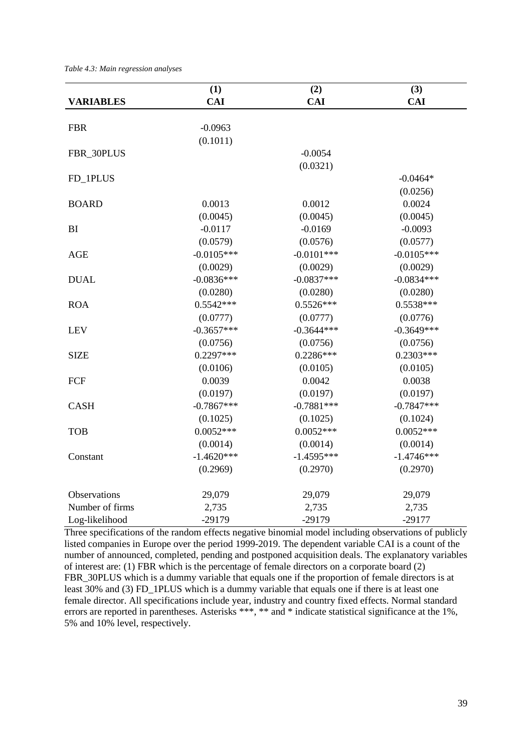*Table 4.3: Main regression analyses*

|                  | (1)          | (2)          | (3)          |
|------------------|--------------|--------------|--------------|
| <b>VARIABLES</b> | <b>CAI</b>   | <b>CAI</b>   | <b>CAI</b>   |
|                  |              |              |              |
| <b>FBR</b>       | $-0.0963$    |              |              |
|                  | (0.1011)     |              |              |
| FBR_30PLUS       |              | $-0.0054$    |              |
|                  |              | (0.0321)     |              |
| FD_1PLUS         |              |              | $-0.0464*$   |
|                  |              |              | (0.0256)     |
| <b>BOARD</b>     | 0.0013       | 0.0012       | 0.0024       |
|                  | (0.0045)     | (0.0045)     | (0.0045)     |
| BI               | $-0.0117$    | $-0.0169$    | $-0.0093$    |
|                  | (0.0579)     | (0.0576)     | (0.0577)     |
| <b>AGE</b>       | $-0.0105***$ | $-0.0101***$ | $-0.0105***$ |
|                  | (0.0029)     | (0.0029)     | (0.0029)     |
| <b>DUAL</b>      | $-0.0836***$ | $-0.0837***$ | $-0.0834***$ |
|                  | (0.0280)     | (0.0280)     | (0.0280)     |
| <b>ROA</b>       | $0.5542***$  | $0.5526***$  | $0.5538***$  |
|                  | (0.0777)     | (0.0777)     | (0.0776)     |
| <b>LEV</b>       | $-0.3657***$ | $-0.3644***$ | $-0.3649***$ |
|                  | (0.0756)     | (0.0756)     | (0.0756)     |
| <b>SIZE</b>      | $0.2297***$  | 0.2286***    | $0.2303***$  |
|                  | (0.0106)     | (0.0105)     | (0.0105)     |
| FCF              | 0.0039       | 0.0042       | 0.0038       |
|                  | (0.0197)     | (0.0197)     | (0.0197)     |
| <b>CASH</b>      | $-0.7867***$ | $-0.7881***$ | $-0.7847***$ |
|                  | (0.1025)     | (0.1025)     | (0.1024)     |
| <b>TOB</b>       | $0.0052***$  | $0.0052***$  | $0.0052***$  |
|                  | (0.0014)     | (0.0014)     | (0.0014)     |
| Constant         | $-1.4620***$ | $-1.4595***$ | $-1.4746***$ |
|                  | (0.2969)     | (0.2970)     | (0.2970)     |
|                  |              |              |              |
| Observations     | 29,079       | 29,079       | 29,079       |
| Number of firms  | 2,735        | 2,735        | 2,735        |
| Log-likelihood   | $-29179$     | $-29179$     | $-29177$     |

Three specifications of the random effects negative binomial model including observations of publicly listed companies in Europe over the period 1999-2019. The dependent variable CAI is a count of the number of announced, completed, pending and postponed acquisition deals. The explanatory variables of interest are: (1) FBR which is the percentage of female directors on a corporate board (2) FBR\_30PLUS which is a dummy variable that equals one if the proportion of female directors is at least 30% and (3) FD\_1PLUS which is a dummy variable that equals one if there is at least one female director. All specifications include year, industry and country fixed effects. Normal standard errors are reported in parentheses. Asterisks \*\*\*, \*\* and \* indicate statistical significance at the 1%, 5% and 10% level, respectively.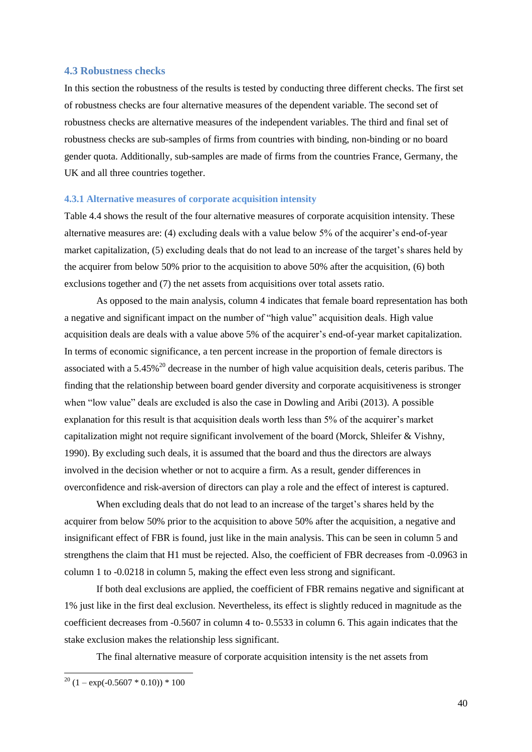#### <span id="page-39-0"></span>**4.3 Robustness checks**

In this section the robustness of the results is tested by conducting three different checks. The first set of robustness checks are four alternative measures of the dependent variable. The second set of robustness checks are alternative measures of the independent variables. The third and final set of robustness checks are sub-samples of firms from countries with binding, non-binding or no board gender quota. Additionally, sub-samples are made of firms from the countries France, Germany, the UK and all three countries together.

#### <span id="page-39-1"></span>**4.3.1 Alternative measures of corporate acquisition intensity**

Table 4.4 shows the result of the four alternative measures of corporate acquisition intensity. These alternative measures are: (4) excluding deals with a value below 5% of the acquirer's end-of-year market capitalization, (5) excluding deals that do not lead to an increase of the target's shares held by the acquirer from below 50% prior to the acquisition to above 50% after the acquisition, (6) both exclusions together and (7) the net assets from acquisitions over total assets ratio.

As opposed to the main analysis, column 4 indicates that female board representation has both a negative and significant impact on the number of "high value" acquisition deals. High value acquisition deals are deals with a value above 5% of the acquirer's end-of-year market capitalization. In terms of economic significance, a ten percent increase in the proportion of female directors is associated with a 5.45%<sup>20</sup> decrease in the number of high value acquisition deals, ceteris paribus. The finding that the relationship between board gender diversity and corporate acquisitiveness is stronger when "low value" deals are excluded is also the case in Dowling and Aribi (2013). A possible explanation for this result is that acquisition deals worth less than 5% of the acquirer's market capitalization might not require significant involvement of the board (Morck, Shleifer & Vishny, 1990). By excluding such deals, it is assumed that the board and thus the directors are always involved in the decision whether or not to acquire a firm. As a result, gender differences in overconfidence and risk-aversion of directors can play a role and the effect of interest is captured.

When excluding deals that do not lead to an increase of the target's shares held by the acquirer from below 50% prior to the acquisition to above 50% after the acquisition, a negative and insignificant effect of FBR is found, just like in the main analysis. This can be seen in column 5 and strengthens the claim that H1 must be rejected. Also, the coefficient of FBR decreases from -0.0963 in column 1 to -0.0218 in column 5, making the effect even less strong and significant.

If both deal exclusions are applied, the coefficient of FBR remains negative and significant at 1% just like in the first deal exclusion. Nevertheless, its effect is slightly reduced in magnitude as the coefficient decreases from -0.5607 in column 4 to- 0.5533 in column 6. This again indicates that the stake exclusion makes the relationship less significant.

The final alternative measure of corporate acquisition intensity is the net assets from

 $20 (1 - \exp(-0.5607 * 0.10)) * 100$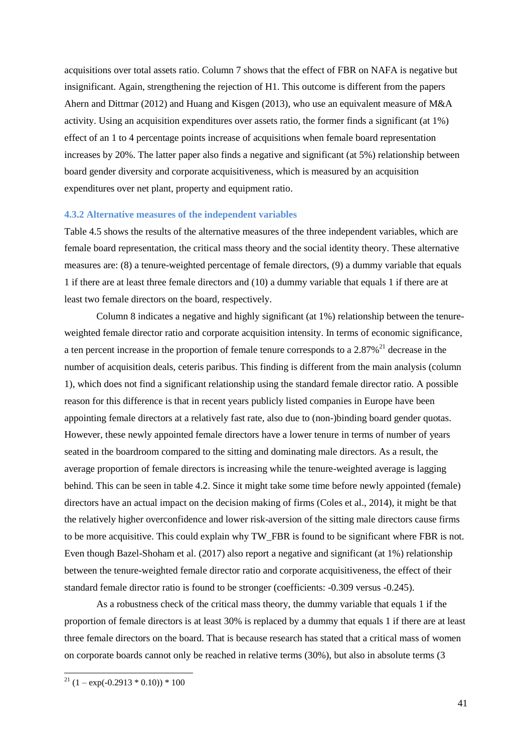acquisitions over total assets ratio. Column 7 shows that the effect of FBR on NAFA is negative but insignificant. Again, strengthening the rejection of H1. This outcome is different from the papers Ahern and Dittmar (2012) and Huang and Kisgen (2013), who use an equivalent measure of M&A activity. Using an acquisition expenditures over assets ratio, the former finds a significant (at 1%) effect of an 1 to 4 percentage points increase of acquisitions when female board representation increases by 20%. The latter paper also finds a negative and significant (at 5%) relationship between board gender diversity and corporate acquisitiveness, which is measured by an acquisition expenditures over net plant, property and equipment ratio.

#### <span id="page-40-0"></span>**4.3.2 Alternative measures of the independent variables**

Table 4.5 shows the results of the alternative measures of the three independent variables, which are female board representation, the critical mass theory and the social identity theory. These alternative measures are: (8) a tenure-weighted percentage of female directors, (9) a dummy variable that equals 1 if there are at least three female directors and (10) a dummy variable that equals 1 if there are at least two female directors on the board, respectively.

Column 8 indicates a negative and highly significant (at 1%) relationship between the tenureweighted female director ratio and corporate acquisition intensity. In terms of economic significance, a ten percent increase in the proportion of female tenure corresponds to a  $2.87\%$ <sup>21</sup> decrease in the number of acquisition deals, ceteris paribus. This finding is different from the main analysis (column 1), which does not find a significant relationship using the standard female director ratio. A possible reason for this difference is that in recent years publicly listed companies in Europe have been appointing female directors at a relatively fast rate, also due to (non-)binding board gender quotas. However, these newly appointed female directors have a lower tenure in terms of number of years seated in the boardroom compared to the sitting and dominating male directors. As a result, the average proportion of female directors is increasing while the tenure-weighted average is lagging behind. This can be seen in table 4.2. Since it might take some time before newly appointed (female) directors have an actual impact on the decision making of firms (Coles et al., 2014), it might be that the relatively higher overconfidence and lower risk-aversion of the sitting male directors cause firms to be more acquisitive. This could explain why TW\_FBR is found to be significant where FBR is not. Even though Bazel-Shoham et al. (2017) also report a negative and significant (at 1%) relationship between the tenure-weighted female director ratio and corporate acquisitiveness, the effect of their standard female director ratio is found to be stronger (coefficients: -0.309 versus -0.245).

As a robustness check of the critical mass theory, the dummy variable that equals 1 if the proportion of female directors is at least 30% is replaced by a dummy that equals 1 if there are at least three female directors on the board. That is because research has stated that a critical mass of women on corporate boards cannot only be reached in relative terms (30%), but also in absolute terms (3

 $^{21}$  (1 – exp(-0.2913 \* 0.10)) \* 100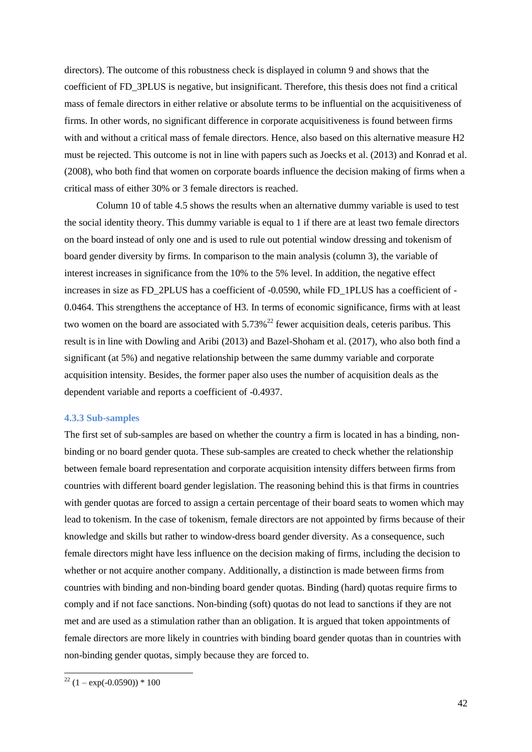directors). The outcome of this robustness check is displayed in column 9 and shows that the coefficient of FD\_3PLUS is negative, but insignificant. Therefore, this thesis does not find a critical mass of female directors in either relative or absolute terms to be influential on the acquisitiveness of firms. In other words, no significant difference in corporate acquisitiveness is found between firms with and without a critical mass of female directors. Hence, also based on this alternative measure H2 must be rejected. This outcome is not in line with papers such as Joecks et al. (2013) and Konrad et al. (2008), who both find that women on corporate boards influence the decision making of firms when a critical mass of either 30% or 3 female directors is reached.

Column 10 of table 4.5 shows the results when an alternative dummy variable is used to test the social identity theory. This dummy variable is equal to 1 if there are at least two female directors on the board instead of only one and is used to rule out potential window dressing and tokenism of board gender diversity by firms. In comparison to the main analysis (column 3), the variable of interest increases in significance from the 10% to the 5% level. In addition, the negative effect increases in size as FD\_2PLUS has a coefficient of -0.0590, while FD\_1PLUS has a coefficient of - 0.0464. This strengthens the acceptance of H3. In terms of economic significance, firms with at least two women on the board are associated with  $5.73\%$ <sup>22</sup> fewer acquisition deals, ceteris paribus. This result is in line with Dowling and Aribi (2013) and Bazel-Shoham et al. (2017), who also both find a significant (at 5%) and negative relationship between the same dummy variable and corporate acquisition intensity. Besides, the former paper also uses the number of acquisition deals as the dependent variable and reports a coefficient of -0.4937.

#### <span id="page-41-0"></span>**4.3.3 Sub-samples**

The first set of sub-samples are based on whether the country a firm is located in has a binding, nonbinding or no board gender quota. These sub-samples are created to check whether the relationship between female board representation and corporate acquisition intensity differs between firms from countries with different board gender legislation. The reasoning behind this is that firms in countries with gender quotas are forced to assign a certain percentage of their board seats to women which may lead to tokenism. In the case of tokenism, female directors are not appointed by firms because of their knowledge and skills but rather to window-dress board gender diversity. As a consequence, such female directors might have less influence on the decision making of firms, including the decision to whether or not acquire another company. Additionally, a distinction is made between firms from countries with binding and non-binding board gender quotas. Binding (hard) quotas require firms to comply and if not face sanctions. Non-binding (soft) quotas do not lead to sanctions if they are not met and are used as a stimulation rather than an obligation. It is argued that token appointments of female directors are more likely in countries with binding board gender quotas than in countries with non-binding gender quotas, simply because they are forced to.

 $22(1 - \exp(-0.0590)) * 100$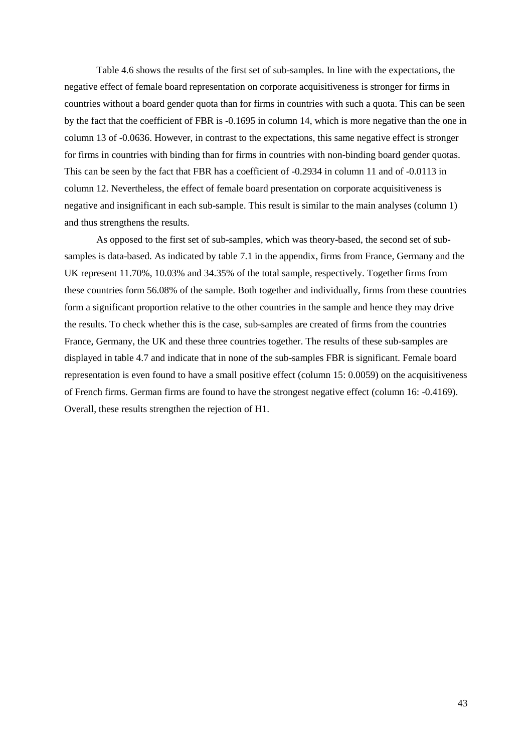Table 4.6 shows the results of the first set of sub-samples. In line with the expectations, the negative effect of female board representation on corporate acquisitiveness is stronger for firms in countries without a board gender quota than for firms in countries with such a quota. This can be seen by the fact that the coefficient of FBR is -0.1695 in column 14, which is more negative than the one in column 13 of -0.0636. However, in contrast to the expectations, this same negative effect is stronger for firms in countries with binding than for firms in countries with non-binding board gender quotas. This can be seen by the fact that FBR has a coefficient of -0.2934 in column 11 and of -0.0113 in column 12. Nevertheless, the effect of female board presentation on corporate acquisitiveness is negative and insignificant in each sub-sample. This result is similar to the main analyses (column 1) and thus strengthens the results.

As opposed to the first set of sub-samples, which was theory-based, the second set of subsamples is data-based. As indicated by table 7.1 in the appendix, firms from France, Germany and the UK represent 11.70%, 10.03% and 34.35% of the total sample, respectively. Together firms from these countries form 56.08% of the sample. Both together and individually, firms from these countries form a significant proportion relative to the other countries in the sample and hence they may drive the results. To check whether this is the case, sub-samples are created of firms from the countries France, Germany, the UK and these three countries together. The results of these sub-samples are displayed in table 4.7 and indicate that in none of the sub-samples FBR is significant. Female board representation is even found to have a small positive effect (column 15: 0.0059) on the acquisitiveness of French firms. German firms are found to have the strongest negative effect (column 16: -0.4169). Overall, these results strengthen the rejection of H1.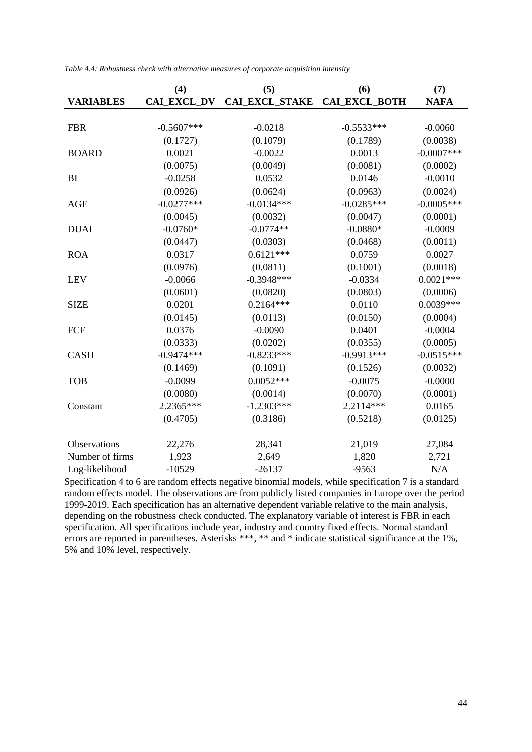|                  | (4)          | (5)            | (6)           | (7)           |
|------------------|--------------|----------------|---------------|---------------|
| <b>VARIABLES</b> | CAI_EXCL_DV  | CAI_EXCL_STAKE | CAI_EXCL_BOTH | <b>NAFA</b>   |
|                  |              |                |               |               |
| <b>FBR</b>       | $-0.5607***$ | $-0.0218$      | $-0.5533***$  | $-0.0060$     |
|                  | (0.1727)     | (0.1079)       | (0.1789)      | (0.0038)      |
| <b>BOARD</b>     | 0.0021       | $-0.0022$      | 0.0013        | $-0.0007$ *** |
|                  | (0.0075)     | (0.0049)       | (0.0081)      | (0.0002)      |
| BI               | $-0.0258$    | 0.0532         | 0.0146        | $-0.0010$     |
|                  | (0.0926)     | (0.0624)       | (0.0963)      | (0.0024)      |
| <b>AGE</b>       | $-0.0277***$ | $-0.0134***$   | $-0.0285***$  | $-0.0005***$  |
|                  | (0.0045)     | (0.0032)       | (0.0047)      | (0.0001)      |
| <b>DUAL</b>      | $-0.0760*$   | $-0.0774**$    | $-0.0880*$    | $-0.0009$     |
|                  | (0.0447)     | (0.0303)       | (0.0468)      | (0.0011)      |
| <b>ROA</b>       | 0.0317       | $0.6121***$    | 0.0759        | 0.0027        |
|                  | (0.0976)     | (0.0811)       | (0.1001)      | (0.0018)      |
| <b>LEV</b>       | $-0.0066$    | $-0.3948***$   | $-0.0334$     | $0.0021***$   |
|                  | (0.0601)     | (0.0820)       | (0.0803)      | (0.0006)      |
| <b>SIZE</b>      | 0.0201       | $0.2164***$    | 0.0110        | $0.0039***$   |
|                  | (0.0145)     | (0.0113)       | (0.0150)      | (0.0004)      |
| FCF              | 0.0376       | $-0.0090$      | 0.0401        | $-0.0004$     |
|                  | (0.0333)     | (0.0202)       | (0.0355)      | (0.0005)      |
| <b>CASH</b>      | $-0.9474***$ | $-0.8233***$   | $-0.9913***$  | $-0.0515***$  |
|                  | (0.1469)     | (0.1091)       | (0.1526)      | (0.0032)      |
| <b>TOB</b>       | $-0.0099$    | $0.0052***$    | $-0.0075$     | $-0.0000$     |
|                  | (0.0080)     | (0.0014)       | (0.0070)      | (0.0001)      |
| Constant         | 2.2365***    | $-1.2303***$   | 2.2114***     | 0.0165        |
|                  | (0.4705)     | (0.3186)       | (0.5218)      | (0.0125)      |
|                  |              |                |               |               |
| Observations     | 22,276       | 28,341         | 21,019        | 27,084        |
| Number of firms  | 1,923        | 2,649          | 1,820         | 2,721         |
| Log-likelihood   | $-10529$     | $-26137$       | $-9563$       | N/A           |

*Table 4.4: Robustness check with alternative measures of corporate acquisition intensity*

Specification 4 to 6 are random effects negative binomial models, while specification 7 is a standard random effects model. The observations are from publicly listed companies in Europe over the period 1999-2019. Each specification has an alternative dependent variable relative to the main analysis, depending on the robustness check conducted. The explanatory variable of interest is FBR in each specification. All specifications include year, industry and country fixed effects. Normal standard errors are reported in parentheses. Asterisks \*\*\*, \*\* and \* indicate statistical significance at the 1%, 5% and 10% level, respectively.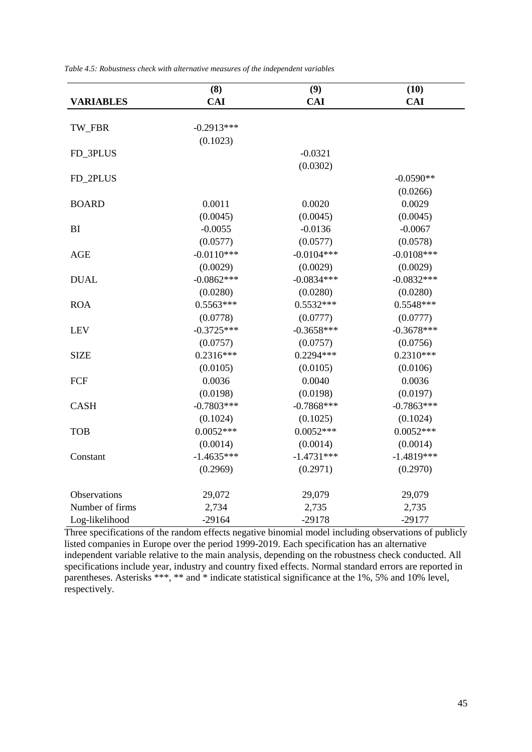|                  | (8)          | (9)          | (10)         |
|------------------|--------------|--------------|--------------|
| <b>VARIABLES</b> | <b>CAI</b>   | <b>CAI</b>   | <b>CAI</b>   |
|                  |              |              |              |
| TW_FBR           | $-0.2913***$ |              |              |
|                  | (0.1023)     |              |              |
| FD_3PLUS         |              | $-0.0321$    |              |
|                  |              | (0.0302)     |              |
| FD_2PLUS         |              |              | $-0.0590**$  |
|                  |              |              | (0.0266)     |
| <b>BOARD</b>     | 0.0011       | 0.0020       | 0.0029       |
|                  | (0.0045)     | (0.0045)     | (0.0045)     |
| BI               | $-0.0055$    | $-0.0136$    | $-0.0067$    |
|                  | (0.0577)     | (0.0577)     | (0.0578)     |
| <b>AGE</b>       | $-0.0110***$ | $-0.0104***$ | $-0.0108***$ |
|                  | (0.0029)     | (0.0029)     | (0.0029)     |
| <b>DUAL</b>      | $-0.0862***$ | $-0.0834***$ | $-0.0832***$ |
|                  | (0.0280)     | (0.0280)     | (0.0280)     |
| <b>ROA</b>       | $0.5563***$  | $0.5532***$  | $0.5548***$  |
|                  | (0.0778)     | (0.0777)     | (0.0777)     |
| <b>LEV</b>       | $-0.3725***$ | $-0.3658***$ | $-0.3678***$ |
|                  | (0.0757)     | (0.0757)     | (0.0756)     |
| <b>SIZE</b>      | $0.2316***$  | $0.2294***$  | $0.2310***$  |
|                  | (0.0105)     | (0.0105)     | (0.0106)     |
| FCF              | 0.0036       | 0.0040       | 0.0036       |
|                  | (0.0198)     | (0.0198)     | (0.0197)     |
| <b>CASH</b>      | $-0.7803***$ | $-0.7868***$ | $-0.7863***$ |
|                  | (0.1024)     | (0.1025)     | (0.1024)     |
| <b>TOB</b>       | $0.0052***$  | $0.0052***$  | $0.0052***$  |
|                  | (0.0014)     | (0.0014)     | (0.0014)     |
| Constant         | $-1.4635***$ | $-1.4731***$ | $-1.4819***$ |
|                  | (0.2969)     | (0.2971)     | (0.2970)     |
| Observations     | 29,072       | 29,079       | 29,079       |
| Number of firms  | 2,734        | 2,735        | 2,735        |
| Log-likelihood   | $-29164$     | $-29178$     | $-29177$     |

*Table 4.5: Robustness check with alternative measures of the independent variables*

Three specifications of the random effects negative binomial model including observations of publicly listed companies in Europe over the period 1999-2019. Each specification has an alternative independent variable relative to the main analysis, depending on the robustness check conducted. All specifications include year, industry and country fixed effects. Normal standard errors are reported in parentheses. Asterisks \*\*\*, \*\* and \* indicate statistical significance at the 1%, 5% and 10% level, respectively.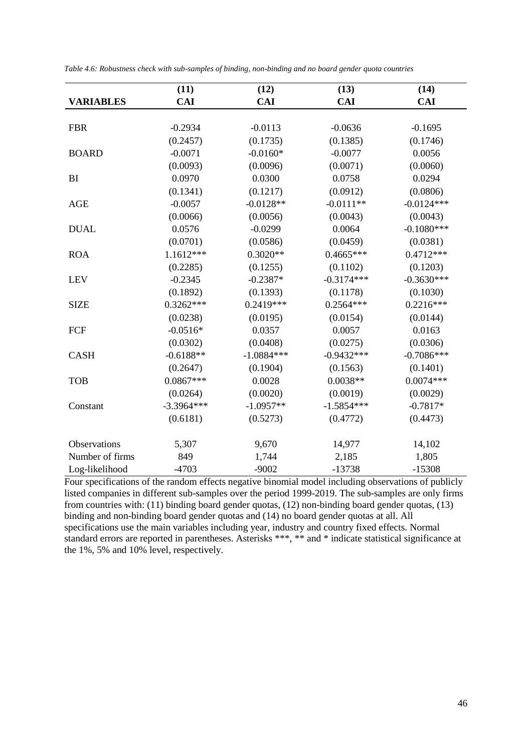|                  | (11)         | (12)         | (13)         | (14)         |
|------------------|--------------|--------------|--------------|--------------|
| <b>VARIABLES</b> | <b>CAI</b>   | <b>CAI</b>   | <b>CAI</b>   | <b>CAI</b>   |
|                  |              |              |              |              |
| <b>FBR</b>       | $-0.2934$    | $-0.0113$    | $-0.0636$    | $-0.1695$    |
|                  | (0.2457)     | (0.1735)     | (0.1385)     | (0.1746)     |
| <b>BOARD</b>     | $-0.0071$    | $-0.0160*$   | $-0.0077$    | 0.0056       |
|                  | (0.0093)     | (0.0096)     | (0.0071)     | (0.0060)     |
| BI               | 0.0970       | 0.0300       | 0.0758       | 0.0294       |
|                  | (0.1341)     | (0.1217)     | (0.0912)     | (0.0806)     |
| <b>AGE</b>       | $-0.0057$    | $-0.0128**$  | $-0.0111**$  | $-0.0124***$ |
|                  | (0.0066)     | (0.0056)     | (0.0043)     | (0.0043)     |
| <b>DUAL</b>      | 0.0576       | $-0.0299$    | 0.0064       | $-0.1080***$ |
|                  | (0.0701)     | (0.0586)     | (0.0459)     | (0.0381)     |
| <b>ROA</b>       | $1.1612***$  | $0.3020**$   | $0.4665***$  | $0.4712***$  |
|                  | (0.2285)     | (0.1255)     | (0.1102)     | (0.1203)     |
| <b>LEV</b>       | $-0.2345$    | $-0.2387*$   | $-0.3174***$ | $-0.3630***$ |
|                  | (0.1892)     | (0.1393)     | (0.1178)     | (0.1030)     |
| <b>SIZE</b>      | $0.3262***$  | $0.2419***$  | $0.2564***$  | $0.2216***$  |
|                  | (0.0238)     | (0.0195)     | (0.0154)     | (0.0144)     |
| <b>FCF</b>       | $-0.0516*$   | 0.0357       | 0.0057       | 0.0163       |
|                  | (0.0302)     | (0.0408)     | (0.0275)     | (0.0306)     |
| <b>CASH</b>      | $-0.6188**$  | $-1.0884***$ | $-0.9432***$ | $-0.7086***$ |
|                  | (0.2647)     | (0.1904)     | (0.1563)     | (0.1401)     |
| <b>TOB</b>       | $0.0867***$  | 0.0028       | $0.0038**$   | $0.0074***$  |
|                  | (0.0264)     | (0.0020)     | (0.0019)     | (0.0029)     |
| Constant         | $-3.3964***$ | $-1.0957**$  | $-1.5854***$ | $-0.7817*$   |
|                  | (0.6181)     | (0.5273)     | (0.4772)     | (0.4473)     |
|                  |              |              |              |              |
| Observations     | 5,307        | 9,670        | 14,977       | 14,102       |
| Number of firms  | 849          | 1,744        | 2,185        | 1,805        |
| Log-likelihood   | $-4703$      | $-9002$      | $-13738$     | $-15308$     |

|  |  |  |  | Table 4.6: Robustness check with sub-samples of binding, non-binding and no board gender quota countries |
|--|--|--|--|----------------------------------------------------------------------------------------------------------|
|  |  |  |  |                                                                                                          |

Four specifications of the random effects negative binomial model including observations of publicly listed companies in different sub-samples over the period 1999-2019. The sub-samples are only firms from countries with: (11) binding board gender quotas, (12) non-binding board gender quotas, (13) binding and non-binding board gender quotas and (14) no board gender quotas at all. All specifications use the main variables including year, industry and country fixed effects. Normal standard errors are reported in parentheses. Asterisks \*\*\*, \*\* and \* indicate statistical significance at the 1%, 5% and 10% level, respectively.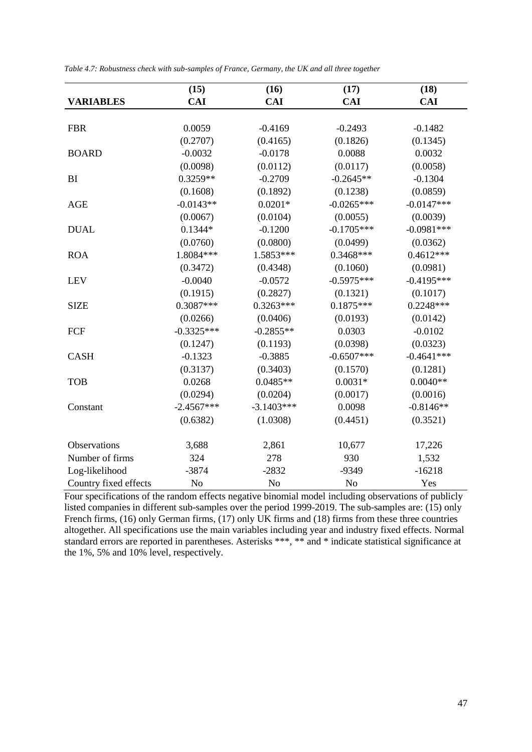|                       | (15)         | (16)         | (17)         | (18)         |
|-----------------------|--------------|--------------|--------------|--------------|
| <b>VARIABLES</b>      | <b>CAI</b>   | <b>CAI</b>   | <b>CAI</b>   | <b>CAI</b>   |
|                       |              |              |              |              |
| <b>FBR</b>            | 0.0059       | $-0.4169$    | $-0.2493$    | $-0.1482$    |
|                       | (0.2707)     | (0.4165)     | (0.1826)     | (0.1345)     |
| <b>BOARD</b>          | $-0.0032$    | $-0.0178$    | 0.0088       | 0.0032       |
|                       | (0.0098)     | (0.0112)     | (0.0117)     | (0.0058)     |
| BI                    | $0.3259**$   | $-0.2709$    | $-0.2645**$  | $-0.1304$    |
|                       | (0.1608)     | (0.1892)     | (0.1238)     | (0.0859)     |
| <b>AGE</b>            | $-0.0143**$  | $0.0201*$    | $-0.0265***$ | $-0.0147***$ |
|                       | (0.0067)     | (0.0104)     | (0.0055)     | (0.0039)     |
| <b>DUAL</b>           | $0.1344*$    | $-0.1200$    | $-0.1705***$ | $-0.0981***$ |
|                       | (0.0760)     | (0.0800)     | (0.0499)     | (0.0362)     |
| <b>ROA</b>            | 1.8084***    | 1.5853***    | $0.3468***$  | $0.4612***$  |
|                       | (0.3472)     | (0.4348)     | (0.1060)     | (0.0981)     |
| <b>LEV</b>            | $-0.0040$    | $-0.0572$    | $-0.5975***$ | $-0.4195***$ |
|                       | (0.1915)     | (0.2827)     | (0.1321)     | (0.1017)     |
| <b>SIZE</b>           | $0.3087***$  | $0.3263***$  | $0.1875***$  | $0.2248***$  |
|                       | (0.0266)     | (0.0406)     | (0.0193)     | (0.0142)     |
| FCF                   | $-0.3325***$ | $-0.2855**$  | 0.0303       | $-0.0102$    |
|                       | (0.1247)     | (0.1193)     | (0.0398)     | (0.0323)     |
| <b>CASH</b>           | $-0.1323$    | $-0.3885$    | $-0.6507***$ | $-0.4641***$ |
|                       | (0.3137)     | (0.3403)     | (0.1570)     | (0.1281)     |
| <b>TOB</b>            | 0.0268       | $0.0485**$   | $0.0031*$    | $0.0040**$   |
|                       | (0.0294)     | (0.0204)     | (0.0017)     | (0.0016)     |
| Constant              | $-2.4567***$ | $-3.1403***$ | 0.0098       | $-0.8146**$  |
|                       | (0.6382)     | (1.0308)     | (0.4451)     | (0.3521)     |
|                       |              |              |              |              |
| Observations          | 3,688        | 2,861        | 10,677       | 17,226       |
| Number of firms       | 324          | 278          | 930          | 1,532        |
| Log-likelihood        | $-3874$      | $-2832$      | $-9349$      | $-16218$     |
| Country fixed effects | No           | No           | No           | Yes          |

*Table 4.7: Robustness check with sub-samples of France, Germany, the UK and all three together*

Four specifications of the random effects negative binomial model including observations of publicly listed companies in different sub-samples over the period 1999-2019. The sub-samples are: (15) only French firms, (16) only German firms, (17) only UK firms and (18) firms from these three countries altogether. All specifications use the main variables including year and industry fixed effects. Normal standard errors are reported in parentheses. Asterisks \*\*\*, \*\* and \* indicate statistical significance at the 1%, 5% and 10% level, respectively.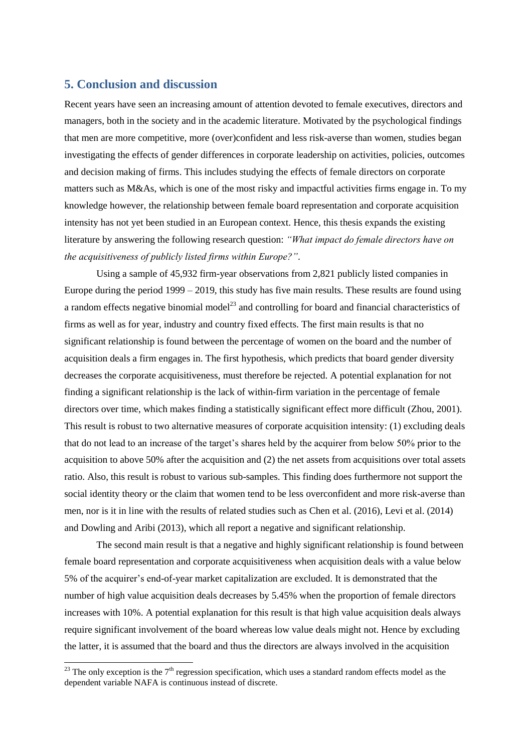# <span id="page-47-0"></span>**5. Conclusion and discussion**

1

Recent years have seen an increasing amount of attention devoted to female executives, directors and managers, both in the society and in the academic literature. Motivated by the psychological findings that men are more competitive, more (over)confident and less risk-averse than women, studies began investigating the effects of gender differences in corporate leadership on activities, policies, outcomes and decision making of firms. This includes studying the effects of female directors on corporate matters such as M&As, which is one of the most risky and impactful activities firms engage in. To my knowledge however, the relationship between female board representation and corporate acquisition intensity has not yet been studied in an European context. Hence, this thesis expands the existing literature by answering the following research question: *"What impact do female directors have on the acquisitiveness of publicly listed firms within Europe?"*.

Using a sample of 45,932 firm-year observations from 2,821 publicly listed companies in Europe during the period 1999 – 2019, this study has five main results. These results are found using a random effects negative binomial model<sup>23</sup> and controlling for board and financial characteristics of firms as well as for year, industry and country fixed effects. The first main results is that no significant relationship is found between the percentage of women on the board and the number of acquisition deals a firm engages in. The first hypothesis, which predicts that board gender diversity decreases the corporate acquisitiveness, must therefore be rejected. A potential explanation for not finding a significant relationship is the lack of within-firm variation in the percentage of female directors over time, which makes finding a statistically significant effect more difficult (Zhou, 2001). This result is robust to two alternative measures of corporate acquisition intensity: (1) excluding deals that do not lead to an increase of the target's shares held by the acquirer from below 50% prior to the acquisition to above 50% after the acquisition and (2) the net assets from acquisitions over total assets ratio. Also, this result is robust to various sub-samples. This finding does furthermore not support the social identity theory or the claim that women tend to be less overconfident and more risk-averse than men, nor is it in line with the results of related studies such as Chen et al. (2016), Levi et al. (2014) and Dowling and Aribi (2013), which all report a negative and significant relationship.

The second main result is that a negative and highly significant relationship is found between female board representation and corporate acquisitiveness when acquisition deals with a value below 5% of the acquirer's end-of-year market capitalization are excluded. It is demonstrated that the number of high value acquisition deals decreases by 5.45% when the proportion of female directors increases with 10%. A potential explanation for this result is that high value acquisition deals always require significant involvement of the board whereas low value deals might not. Hence by excluding the latter, it is assumed that the board and thus the directors are always involved in the acquisition

<sup>&</sup>lt;sup>23</sup> The only exception is the  $7<sup>th</sup>$  regression specification, which uses a standard random effects model as the dependent variable NAFA is continuous instead of discrete.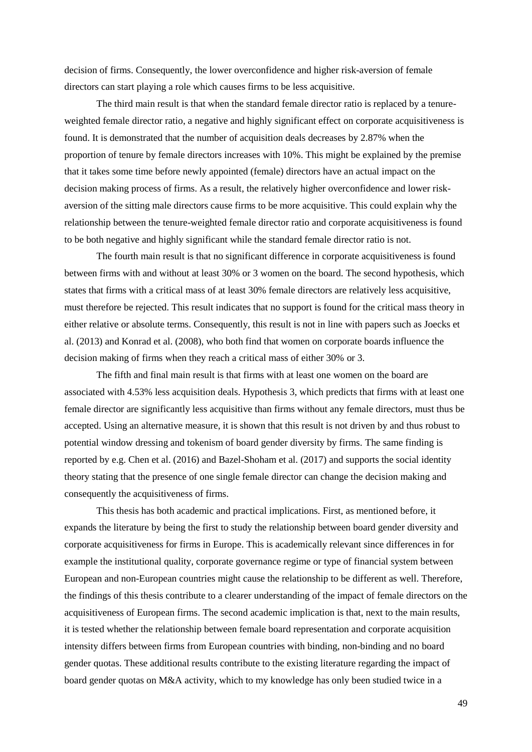decision of firms. Consequently, the lower overconfidence and higher risk-aversion of female directors can start playing a role which causes firms to be less acquisitive.

The third main result is that when the standard female director ratio is replaced by a tenureweighted female director ratio, a negative and highly significant effect on corporate acquisitiveness is found. It is demonstrated that the number of acquisition deals decreases by 2.87% when the proportion of tenure by female directors increases with 10%. This might be explained by the premise that it takes some time before newly appointed (female) directors have an actual impact on the decision making process of firms. As a result, the relatively higher overconfidence and lower riskaversion of the sitting male directors cause firms to be more acquisitive. This could explain why the relationship between the tenure-weighted female director ratio and corporate acquisitiveness is found to be both negative and highly significant while the standard female director ratio is not.

The fourth main result is that no significant difference in corporate acquisitiveness is found between firms with and without at least 30% or 3 women on the board. The second hypothesis, which states that firms with a critical mass of at least 30% female directors are relatively less acquisitive, must therefore be rejected. This result indicates that no support is found for the critical mass theory in either relative or absolute terms. Consequently, this result is not in line with papers such as Joecks et al. (2013) and Konrad et al. (2008), who both find that women on corporate boards influence the decision making of firms when they reach a critical mass of either 30% or 3.

The fifth and final main result is that firms with at least one women on the board are associated with 4.53% less acquisition deals. Hypothesis 3, which predicts that firms with at least one female director are significantly less acquisitive than firms without any female directors, must thus be accepted. Using an alternative measure, it is shown that this result is not driven by and thus robust to potential window dressing and tokenism of board gender diversity by firms. The same finding is reported by e.g. Chen et al. (2016) and Bazel-Shoham et al. (2017) and supports the social identity theory stating that the presence of one single female director can change the decision making and consequently the acquisitiveness of firms.

This thesis has both academic and practical implications. First, as mentioned before, it expands the literature by being the first to study the relationship between board gender diversity and corporate acquisitiveness for firms in Europe. This is academically relevant since differences in for example the institutional quality, corporate governance regime or type of financial system between European and non-European countries might cause the relationship to be different as well. Therefore, the findings of this thesis contribute to a clearer understanding of the impact of female directors on the acquisitiveness of European firms. The second academic implication is that, next to the main results, it is tested whether the relationship between female board representation and corporate acquisition intensity differs between firms from European countries with binding, non-binding and no board gender quotas. These additional results contribute to the existing literature regarding the impact of board gender quotas on M&A activity, which to my knowledge has only been studied twice in a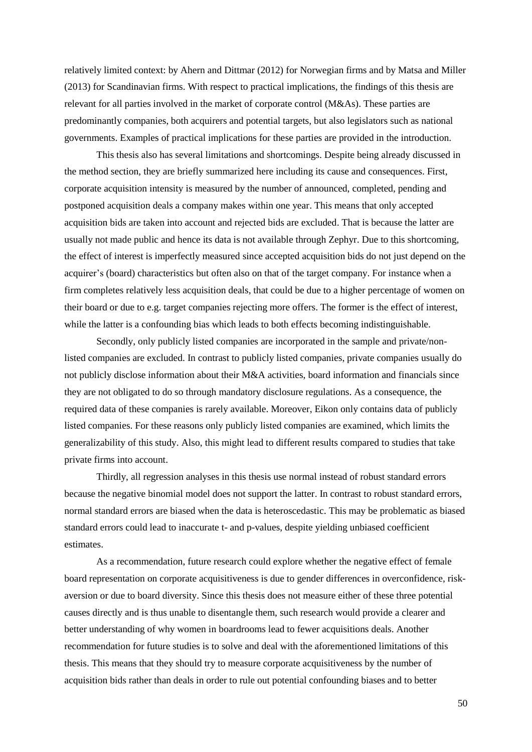relatively limited context: by Ahern and Dittmar (2012) for Norwegian firms and by Matsa and Miller (2013) for Scandinavian firms. With respect to practical implications, the findings of this thesis are relevant for all parties involved in the market of corporate control (M&As). These parties are predominantly companies, both acquirers and potential targets, but also legislators such as national governments. Examples of practical implications for these parties are provided in the introduction.

This thesis also has several limitations and shortcomings. Despite being already discussed in the method section, they are briefly summarized here including its cause and consequences. First, corporate acquisition intensity is measured by the number of announced, completed, pending and postponed acquisition deals a company makes within one year. This means that only accepted acquisition bids are taken into account and rejected bids are excluded. That is because the latter are usually not made public and hence its data is not available through Zephyr. Due to this shortcoming, the effect of interest is imperfectly measured since accepted acquisition bids do not just depend on the acquirer's (board) characteristics but often also on that of the target company. For instance when a firm completes relatively less acquisition deals, that could be due to a higher percentage of women on their board or due to e.g. target companies rejecting more offers. The former is the effect of interest, while the latter is a confounding bias which leads to both effects becoming indistinguishable.

Secondly, only publicly listed companies are incorporated in the sample and private/nonlisted companies are excluded. In contrast to publicly listed companies, private companies usually do not publicly disclose information about their M&A activities, board information and financials since they are not obligated to do so through mandatory disclosure regulations. As a consequence, the required data of these companies is rarely available. Moreover, Eikon only contains data of publicly listed companies. For these reasons only publicly listed companies are examined, which limits the generalizability of this study. Also, this might lead to different results compared to studies that take private firms into account.

Thirdly, all regression analyses in this thesis use normal instead of robust standard errors because the negative binomial model does not support the latter. In contrast to robust standard errors, normal standard errors are biased when the data is heteroscedastic. This may be problematic as biased standard errors could lead to inaccurate t- and p-values, despite yielding unbiased coefficient estimates.

As a recommendation, future research could explore whether the negative effect of female board representation on corporate acquisitiveness is due to gender differences in overconfidence, riskaversion or due to board diversity. Since this thesis does not measure either of these three potential causes directly and is thus unable to disentangle them, such research would provide a clearer and better understanding of why women in boardrooms lead to fewer acquisitions deals. Another recommendation for future studies is to solve and deal with the aforementioned limitations of this thesis. This means that they should try to measure corporate acquisitiveness by the number of acquisition bids rather than deals in order to rule out potential confounding biases and to better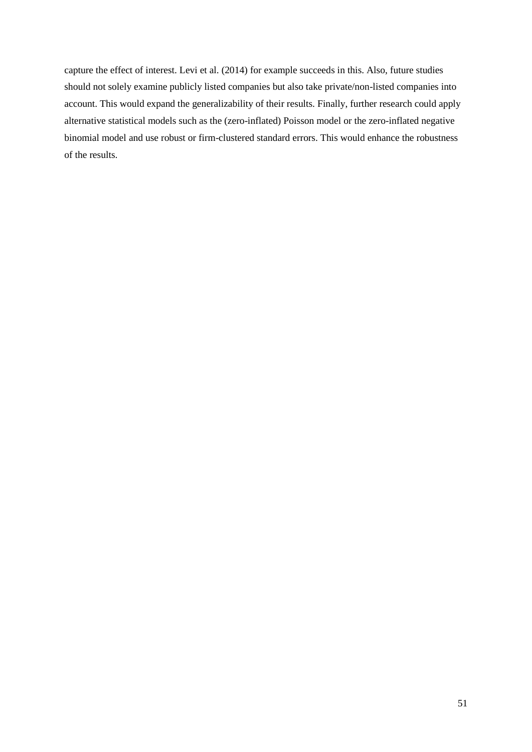capture the effect of interest. Levi et al. (2014) for example succeeds in this. Also, future studies should not solely examine publicly listed companies but also take private/non-listed companies into account. This would expand the generalizability of their results. Finally, further research could apply alternative statistical models such as the (zero-inflated) Poisson model or the zero-inflated negative binomial model and use robust or firm-clustered standard errors. This would enhance the robustness of the results.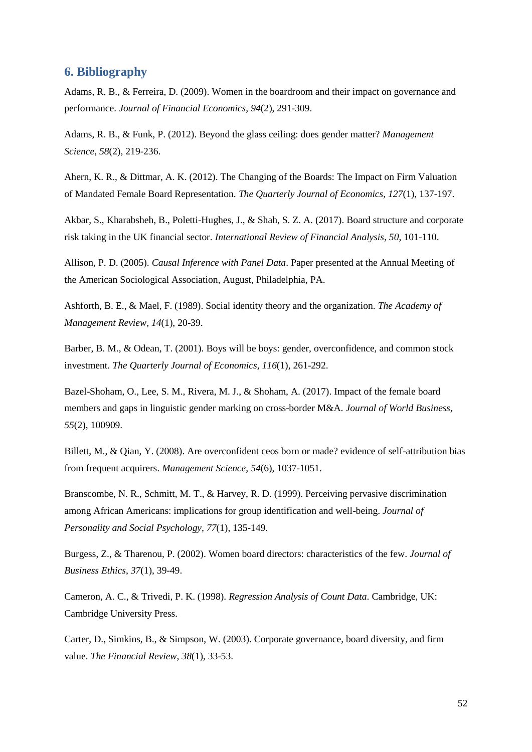# <span id="page-51-0"></span>**6. Bibliography**

Adams, R. B., & Ferreira, D. (2009). Women in the boardroom and their impact on governance and performance. *Journal of Financial Economics, 94*(2), 291-309.

Adams, R. B., & Funk, P. (2012). Beyond the glass ceiling: does gender matter? *Management Science*, *58*(2), 219-236.

Ahern, K. R., & Dittmar, A. K. (2012). The Changing of the Boards: The Impact on Firm Valuation of Mandated Female Board Representation. *The Quarterly Journal of Economics, 127*(1), 137-197.

Akbar, S., Kharabsheh, B., Poletti-Hughes, J., & Shah, S. Z. A. (2017). Board structure and corporate risk taking in the UK financial sector. *International Review of Financial Analysis*, *50*, 101-110.

Allison, P. D. (2005). *Causal Inference with Panel Data*. Paper presented at the Annual Meeting of the American Sociological Association, August, Philadelphia, PA.

Ashforth, B. E., & Mael, F. (1989). Social identity theory and the organization. *The Academy of Management Review, 14*(1), 20-39.

Barber, B. M., & Odean, T. (2001). Boys will be boys: gender, overconfidence, and common stock investment. *The Quarterly Journal of Economics*, *116*(1), 261-292.

Bazel-Shoham, O., Lee, S. M., Rivera, M. J., & Shoham, A. (2017). Impact of the female board members and gaps in linguistic gender marking on cross-border M&A. *Journal of World Business, 55*(2), 100909.

Billett, M., & Qian, Y. (2008). Are overconfident ceos born or made? evidence of self-attribution bias from frequent acquirers. *Management Science, 54*(6), 1037-1051.

Branscombe, N. R., Schmitt, M. T., & Harvey, R. D. (1999). Perceiving pervasive discrimination among African Americans: implications for group identification and well-being. *Journal of Personality and Social Psychology, 77*(1), 135-149.

Burgess, Z., & Tharenou, P. (2002). Women board directors: characteristics of the few. *Journal of Business Ethics*, *37*(1), 39-49.

Cameron, A. C., & Trivedi, P. K. (1998). *Regression Analysis of Count Data*. Cambridge, UK: Cambridge University Press.

Carter, D., Simkins, B., & Simpson, W. (2003). Corporate governance, board diversity, and firm value. *The Financial Review, 38*(1), 33-53.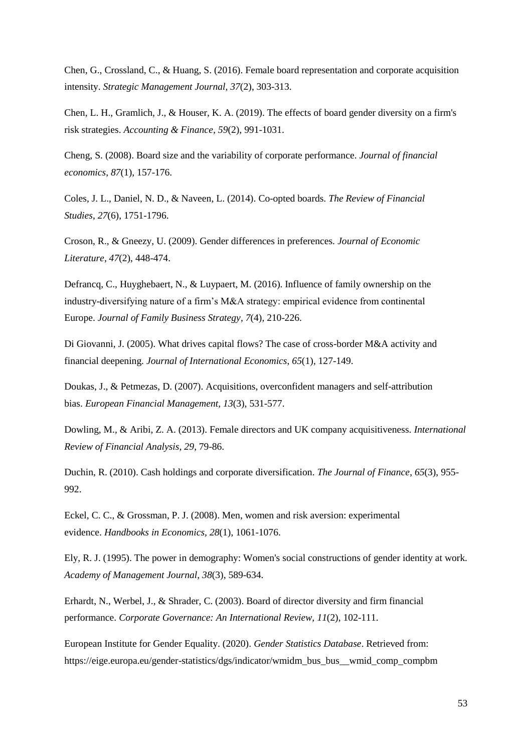Chen, G., Crossland, C., & Huang, S. (2016). Female board representation and corporate acquisition intensity. *Strategic Management Journal, 37*(2), 303-313.

Chen, L. H., Gramlich, J., & Houser, K. A. (2019). The effects of board gender diversity on a firm's risk strategies. *Accounting & Finance, 59*(2), 991-1031.

Cheng, S. (2008). Board size and the variability of corporate performance. *Journal of financial economics*, *87*(1), 157-176.

Coles, J. L., Daniel, N. D., & Naveen, L. (2014). Co-opted boards. *The Review of Financial Studies*, *27*(6), 1751-1796.

Croson, R., & Gneezy, U. (2009). Gender differences in preferences. *Journal of Economic Literature, 47*(2), 448-474.

Defrancq, C., Huyghebaert, N., & Luypaert, M. (2016). Influence of family ownership on the industry-diversifying nature of a firm's M&A strategy: empirical evidence from continental Europe. *Journal of Family Business Strategy, 7*(4), 210-226.

Di Giovanni, J. (2005). What drives capital flows? The case of cross-border M&A activity and financial deepening. *Journal of International Economics*, *65*(1), 127-149.

Doukas, J., & Petmezas, D. (2007). Acquisitions, overconfident managers and self-attribution bias. *European Financial Management, 13*(3), 531-577.

Dowling, M., & Aribi, Z. A. (2013). Female directors and UK company acquisitiveness. *International Review of Financial Analysis, 29*, 79-86.

Duchin, R. (2010). Cash holdings and corporate diversification. *The Journal of Finance*, *65*(3), 955- 992.

Eckel, C. C., & Grossman, P. J. (2008). Men, women and risk aversion: experimental evidence. *Handbooks in Economics, 28*(1), 1061-1076.

Ely, R. J. (1995). The power in demography: Women's social constructions of gender identity at work. *Academy of Management Journal, 38*(3), 589-634.

Erhardt, N., Werbel, J., & Shrader, C. (2003). Board of director diversity and firm financial performance. *Corporate Governance: An International Review, 11*(2), 102-111.

European Institute for Gender Equality. (2020). *Gender Statistics Database*. Retrieved from: https://eige.europa.eu/gender-statistics/dgs/indicator/wmidm\_bus\_bus\_\_wmid\_comp\_compbm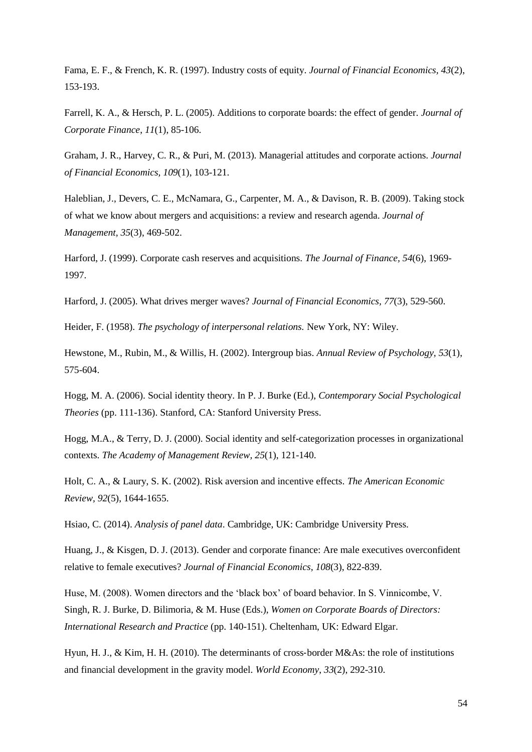Fama, E. F., & French, K. R. (1997). Industry costs of equity. *Journal of Financial Economics, 43*(2), 153-193.

Farrell, K. A., & Hersch, P. L. (2005). Additions to corporate boards: the effect of gender. *Journal of Corporate Finance*, *11*(1), 85-106.

Graham, J. R., Harvey, C. R., & Puri, M. (2013). Managerial attitudes and corporate actions. *Journal of Financial Economics, 109*(1), 103-121.

Haleblian, J., Devers, C. E., McNamara, G., Carpenter, M. A., & Davison, R. B. (2009). Taking stock of what we know about mergers and acquisitions: a review and research agenda. *Journal of Management, 35*(3), 469-502.

Harford, J. (1999). Corporate cash reserves and acquisitions. *The Journal of Finance, 54*(6), 1969- 1997.

Harford, J. (2005). What drives merger waves? *Journal of Financial Economics, 77*(3), 529-560.

Heider, F. (1958). *The psychology of interpersonal relations.* New York, NY: Wiley.

Hewstone, M., Rubin, M., & Willis, H. (2002). Intergroup bias. *Annual Review of Psychology, 53*(1), 575-604.

Hogg, M. A. (2006). Social identity theory. In P. J. Burke (Ed.), *Contemporary Social Psychological Theories* (pp. 111-136). Stanford, CA: Stanford University Press.

Hogg, M.A., & Terry, D. J. (2000). Social identity and self-categorization processes in organizational contexts. *The Academy of Management Review, 25*(1), 121-140.

Holt, C. A., & Laury, S. K. (2002). Risk aversion and incentive effects. *The American Economic Review, 92*(5), 1644-1655.

Hsiao, C. (2014). *Analysis of panel data*. Cambridge, UK: Cambridge University Press.

Huang, J., & Kisgen, D. J. (2013). Gender and corporate finance: Are male executives overconfident relative to female executives? *Journal of Financial Economics, 108*(3), 822-839.

Huse, M. (2008). Women directors and the 'black box' of board behavior. In S. Vinnicombe, V. Singh, R. J. Burke, D. Bilimoria, & M. Huse (Eds.), *Women on Corporate Boards of Directors: International Research and Practice* (pp. 140-151). Cheltenham, UK: Edward Elgar.

Hyun, H. J., & Kim, H. H. (2010). The determinants of cross border M&As: the role of institutions and financial development in the gravity model. *World Economy*, *33*(2), 292-310.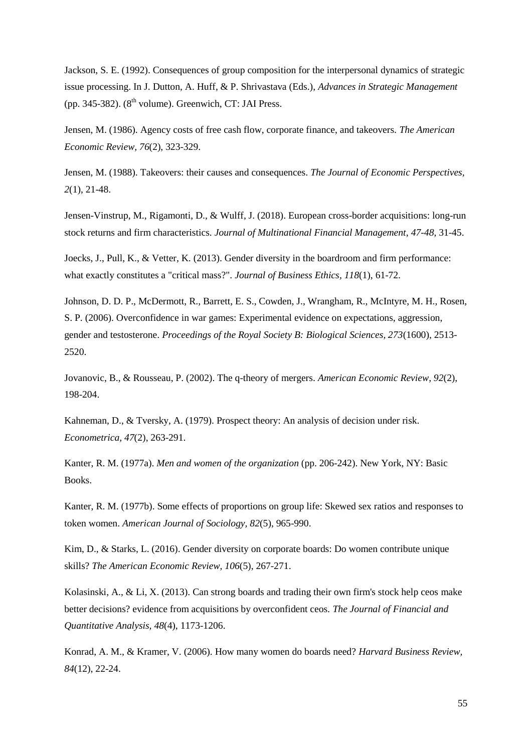Jackson, S. E. (1992). Consequences of group composition for the interpersonal dynamics of strategic issue processing. In J. Dutton, A. Huff, & P. Shrivastava (Eds.), *Advances in Strategic Management* (pp. 345-382).  $(8<sup>th</sup>$  volume). Greenwich, CT: JAI Press.

Jensen, M. (1986). Agency costs of free cash flow, corporate finance, and takeovers. *The American Economic Review, 76*(2), 323-329.

Jensen, M. (1988). Takeovers: their causes and consequences. *The Journal of Economic Perspectives, 2*(1), 21-48.

Jensen-Vinstrup, M., Rigamonti, D., & Wulff, J. (2018). European cross-border acquisitions: long-run stock returns and firm characteristics. *Journal of Multinational Financial Management, 47-48*, 31-45.

Joecks, J., Pull, K., & Vetter, K. (2013). Gender diversity in the boardroom and firm performance: what exactly constitutes a "critical mass?". *Journal of Business Ethics, 118*(1), 61-72.

Johnson, D. D. P., McDermott, R., Barrett, E. S., Cowden, J., Wrangham, R., McIntyre, M. H., Rosen, S. P. (2006). Overconfidence in war games: Experimental evidence on expectations, aggression, gender and testosterone. *Proceedings of the Royal Society B: Biological Sciences, 273*(1600), 2513- 2520.

Jovanovic, B., & Rousseau, P. (2002). The q-theory of mergers. *American Economic Review, 92*(2), 198-204.

Kahneman, D., & Tversky, A. (1979). Prospect theory: An analysis of decision under risk. *Econometrica, 47*(2), 263-291.

Kanter, R. M. (1977a). *Men and women of the organization* (pp. 206-242). New York, NY: Basic Books.

Kanter, R. M. (1977b). Some effects of proportions on group life: Skewed sex ratios and responses to token women. *American Journal of Sociology, 82*(5), 965-990.

Kim, D., & Starks, L. (2016). Gender diversity on corporate boards: Do women contribute unique skills? *The American Economic Review, 106*(5), 267-271.

Kolasinski, A., & Li, X. (2013). Can strong boards and trading their own firm's stock help ceos make better decisions? evidence from acquisitions by overconfident ceos. *The Journal of Financial and Quantitative Analysis, 48*(4), 1173-1206.

Konrad, A. M., & Kramer, V. (2006). How many women do boards need? *Harvard Business Review, 84*(12), 22-24.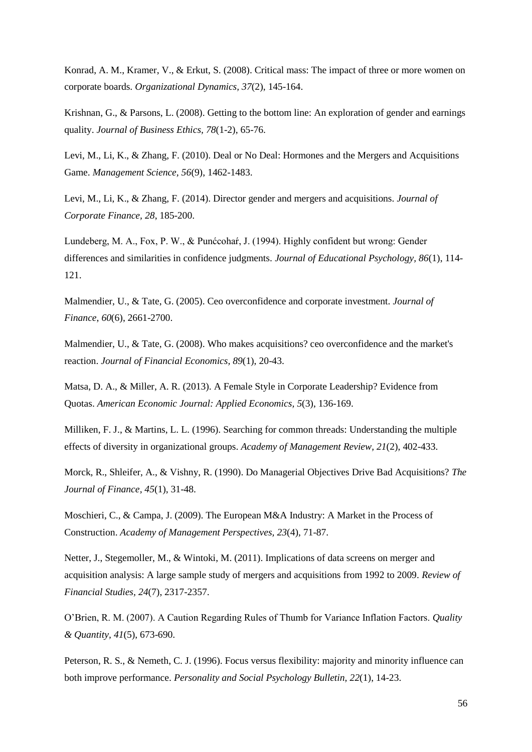Konrad, A. M., Kramer, V., & Erkut, S. (2008). Critical mass: The impact of three or more women on corporate boards. *Organizational Dynamics, 37*(2), 145-164.

Krishnan, G., & Parsons, L. (2008). Getting to the bottom line: An exploration of gender and earnings quality. *Journal of Business Ethics, 78*(1-2), 65-76.

Levi, M., Li, K., & Zhang, F. (2010). Deal or No Deal: Hormones and the Mergers and Acquisitions Game. *Management Science, 56*(9), 1462-1483.

Levi, M., Li, K., & Zhang, F. (2014). Director gender and mergers and acquisitions. *Journal of Corporate Finance, 28*, 185-200.

Lundeberg, M. A., Fox, P. W., & Punćcohaŕ, J. (1994). Highly confident but wrong: Gender differences and similarities in confidence judgments. *Journal of Educational Psychology, 86*(1), 114- 121.

Malmendier, U., & Tate, G. (2005). Ceo overconfidence and corporate investment. *Journal of Finance*, *60*(6), 2661-2700.

Malmendier, U., & Tate, G. (2008). Who makes acquisitions? ceo overconfidence and the market's reaction. *Journal of Financial Economics, 89*(1), 20-43.

Matsa, D. A., & Miller, A. R. (2013). A Female Style in Corporate Leadership? Evidence from Quotas. *American Economic Journal: Applied Economics, 5*(3), 136-169.

Milliken, F. J., & Martins, L. L. (1996). Searching for common threads: Understanding the multiple effects of diversity in organizational groups. *Academy of Management Review, 21*(2), 402-433.

Morck, R., Shleifer, A., & Vishny, R. (1990). Do Managerial Objectives Drive Bad Acquisitions? *The Journal of Finance, 45*(1), 31-48.

Moschieri, C., & Campa, J. (2009). The European M&A Industry: A Market in the Process of Construction. *Academy of Management Perspectives, 23*(4), 71-87.

Netter, J., Stegemoller, M., & Wintoki, M. (2011). Implications of data screens on merger and acquisition analysis: A large sample study of mergers and acquisitions from 1992 to 2009. *Review of Financial Studies, 24*(7), 2317-2357.

O'Brien, R. M. (2007). A Caution Regarding Rules of Thumb for Variance Inflation Factors. *Quality & Quantity, 41*(5), 673-690.

Peterson, R. S., & Nemeth, C. J. (1996). Focus versus flexibility: majority and minority influence can both improve performance. *Personality and Social Psychology Bulletin, 22*(1), 14-23.

56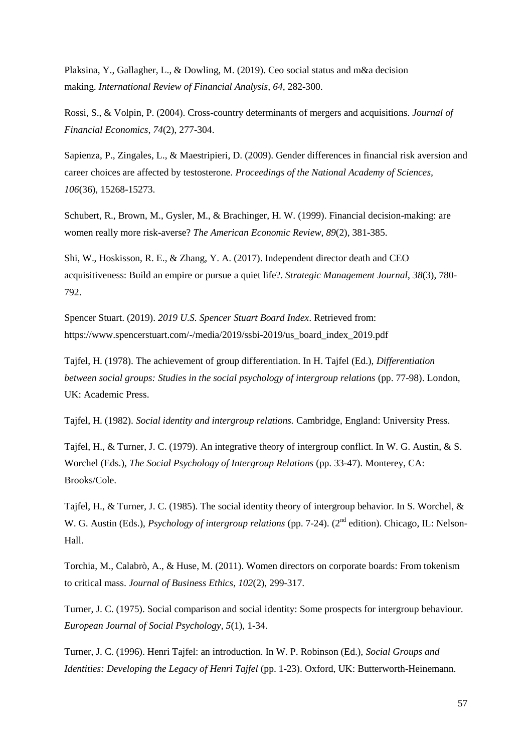Plaksina, Y., Gallagher, L., & Dowling, M. (2019). Ceo social status and m&a decision making. *International Review of Financial Analysis, 64*, 282-300.

Rossi, S., & Volpin, P. (2004). Cross-country determinants of mergers and acquisitions. *Journal of Financial Economics, 74*(2), 277-304.

Sapienza, P., Zingales, L., & Maestripieri, D. (2009). Gender differences in financial risk aversion and career choices are affected by testosterone. *Proceedings of the National Academy of Sciences, 106*(36), 15268-15273.

Schubert, R., Brown, M., Gysler, M., & Brachinger, H. W. (1999). Financial decision-making: are women really more risk-averse? *The American Economic Review*, *89*(2), 381-385.

Shi, W., Hoskisson, R. E., & Zhang, Y. A. (2017). Independent director death and CEO acquisitiveness: Build an empire or pursue a quiet life?. *Strategic Management Journal*, *38*(3), 780- 792.

Spencer Stuart. (2019). *2019 U.S. Spencer Stuart Board Index*. Retrieved from: https://www.spencerstuart.com/-/media/2019/ssbi-2019/us\_board\_index\_2019.pdf

Tajfel, H. (1978). The achievement of group differentiation. In H. Tajfel (Ed.), *Differentiation between social groups: Studies in the social psychology of intergroup relations* (pp. 77-98). London, UK: Academic Press.

Tajfel, H. (1982). *Social identity and intergroup relations.* Cambridge, England: University Press.

Tajfel, H., & Turner, J. C. (1979). An integrative theory of intergroup conflict. In W. G. Austin, & S. Worchel (Eds.), *The Social Psychology of Intergroup Relations* (pp. 33-47). Monterey, CA: Brooks/Cole.

Tajfel, H., & Turner, J. C. (1985). The social identity theory of intergroup behavior. In S. Worchel, & W. G. Austin (Eds.), *Psychology of intergroup relations* (pp. 7-24). (2<sup>nd</sup> edition). Chicago, IL: Nelson-Hall.

Torchia, M., Calabrò, A., & Huse, M. (2011). Women directors on corporate boards: From tokenism to critical mass. *Journal of Business Ethics, 102*(2), 299-317.

Turner, J. C. (1975). Social comparison and social identity: Some prospects for intergroup behaviour. *European Journal of Social Psychology, 5*(1), 1-34.

Turner, J. C. (1996). Henri Tajfel: an introduction. In W. P. Robinson (Ed.), *Social Groups and Identities: Developing the Legacy of Henri Tajfel* (pp. 1-23). Oxford, UK: Butterworth-Heinemann.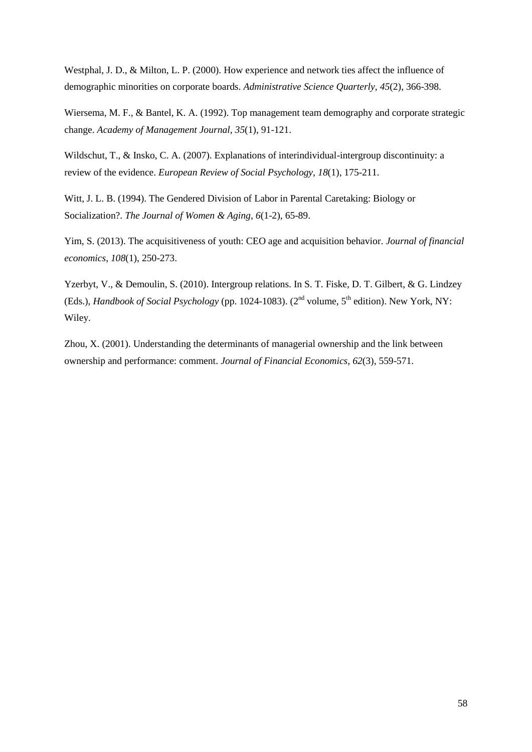Westphal, J. D., & Milton, L. P. (2000). How experience and network ties affect the influence of demographic minorities on corporate boards. *Administrative Science Quarterly, 45*(2), 366-398.

Wiersema, M. F., & Bantel, K. A. (1992). Top management team demography and corporate strategic change. *Academy of Management Journal, 35*(1), 91-121.

Wildschut, T., & Insko, C. A. (2007). Explanations of interindividual-intergroup discontinuity: a review of the evidence. *European Review of Social Psychology, 18*(1), 175-211.

Witt, J. L. B. (1994). The Gendered Division of Labor in Parental Caretaking: Biology or Socialization?. *The Journal of Women & Aging, 6*(1-2), 65-89.

Yim, S. (2013). The acquisitiveness of youth: CEO age and acquisition behavior. *Journal of financial economics*, *108*(1), 250-273.

Yzerbyt, V., & Demoulin, S. (2010). Intergroup relations. In S. T. Fiske, D. T. Gilbert, & G. Lindzey (Eds.), *Handbook of Social Psychology* (pp. 1024-1083). (2<sup>nd</sup> volume, 5<sup>th</sup> edition). New York, NY: Wiley.

Zhou, X. (2001). Understanding the determinants of managerial ownership and the link between ownership and performance: comment. *Journal of Financial Economics, 62*(3), 559-571.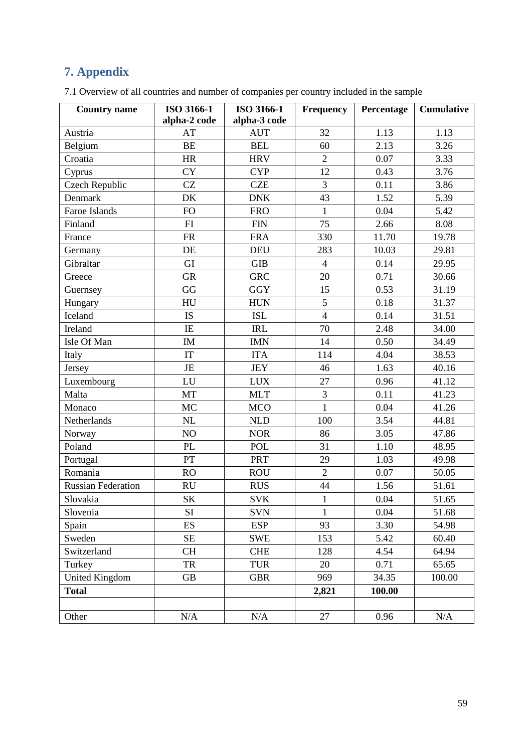# <span id="page-58-0"></span>**7. Appendix**

| <b>Country name</b>       | ISO 3166-1<br>alpha-2 code | ISO 3166-1<br>alpha-3 code | <b>Frequency</b> | Percentage | <b>Cumulative</b> |
|---------------------------|----------------------------|----------------------------|------------------|------------|-------------------|
| Austria                   | AT                         | <b>AUT</b>                 | 32               | 1.13       | 1.13              |
| Belgium                   | <b>BE</b>                  | <b>BEL</b>                 | 60               | 2.13       | 3.26              |
| Croatia                   | HR                         | <b>HRV</b>                 | $\overline{2}$   | 0.07       | 3.33              |
| Cyprus                    | <b>CY</b>                  | <b>CYP</b>                 | 12               | 0.43       | 3.76              |
| Czech Republic            | CZ                         | <b>CZE</b>                 | 3                | 0.11       | 3.86              |
| Denmark                   | DK                         | <b>DNK</b>                 | 43               | 1.52       | 5.39              |
| Faroe Islands             | FO                         | <b>FRO</b>                 | $\mathbf{1}$     | 0.04       | 5.42              |
| Finland                   | FI                         | <b>FIN</b>                 | 75               | 2.66       | 8.08              |
| France                    | ${\sf FR}$                 | <b>FRA</b>                 | 330              | 11.70      | 19.78             |
| Germany                   | DE                         | <b>DEU</b>                 | 283              | 10.03      | 29.81             |
| Gibraltar                 | GI                         | <b>GIB</b>                 | $\overline{4}$   | 0.14       | 29.95             |
| Greece                    | <b>GR</b>                  | <b>GRC</b>                 | 20               | 0.71       | 30.66             |
| Guernsey                  | GG                         | <b>GGY</b>                 | 15               | 0.53       | 31.19             |
| Hungary                   | HU                         | <b>HUN</b>                 | 5                | 0.18       | 31.37             |
| Iceland                   | <b>IS</b>                  | <b>ISL</b>                 | $\overline{4}$   | 0.14       | 31.51             |
| Ireland                   | IE                         | <b>IRL</b>                 | 70               | 2.48       | 34.00             |
| Isle Of Man               | IM                         | <b>IMN</b>                 | 14               | 0.50       | 34.49             |
| Italy                     | IT                         | <b>ITA</b>                 | 114              | 4.04       | 38.53             |
| Jersey                    | JE                         | <b>JEY</b>                 | 46               | 1.63       | 40.16             |
| Luxembourg                | LU                         | <b>LUX</b>                 | 27               | 0.96       | 41.12             |
| Malta                     | MT                         | <b>MLT</b>                 | 3                | 0.11       | 41.23             |
| Monaco                    | <b>MC</b>                  | <b>MCO</b>                 | $\mathbf{1}$     | 0.04       | 41.26             |
| Netherlands               | NL                         | <b>NLD</b>                 | 100              | 3.54       | 44.81             |
| Norway                    | NO                         | <b>NOR</b>                 | 86               | 3.05       | 47.86             |
| Poland                    | <b>PL</b>                  | <b>POL</b>                 | 31               | 1.10       | 48.95             |
| Portugal                  | PT                         | <b>PRT</b>                 | 29               | 1.03       | 49.98             |
| Romania                   | RO                         | <b>ROU</b>                 | $\overline{2}$   | 0.07       | 50.05             |
| <b>Russian Federation</b> | RU                         | <b>RUS</b>                 | 44               | 1.56       | 51.61             |
| Slovakia                  | SK                         | <b>SVK</b>                 | $\,1$            | 0.04       | 51.65             |
| Slovenia                  | <b>SI</b>                  | <b>SVN</b>                 | 1                | 0.04       | 51.68             |
| Spain                     | ES                         | <b>ESP</b>                 | 93               | 3.30       | 54.98             |
| Sweden                    | <b>SE</b>                  | SWE                        | 153              | 5.42       | 60.40             |
| Switzerland               | <b>CH</b>                  | <b>CHE</b>                 | 128              | 4.54       | 64.94             |
| Turkey                    | <b>TR</b>                  | <b>TUR</b>                 | 20               | 0.71       | 65.65             |
| <b>United Kingdom</b>     | <b>GB</b>                  | <b>GBR</b>                 | 969              | 34.35      | 100.00            |
| <b>Total</b>              |                            |                            | 2,821            | 100.00     |                   |
| Other                     | $\rm N/A$                  | $\rm N/A$                  | 27               | 0.96       | $\rm N/A$         |

7.1 Overview of all countries and number of companies per country included in the sample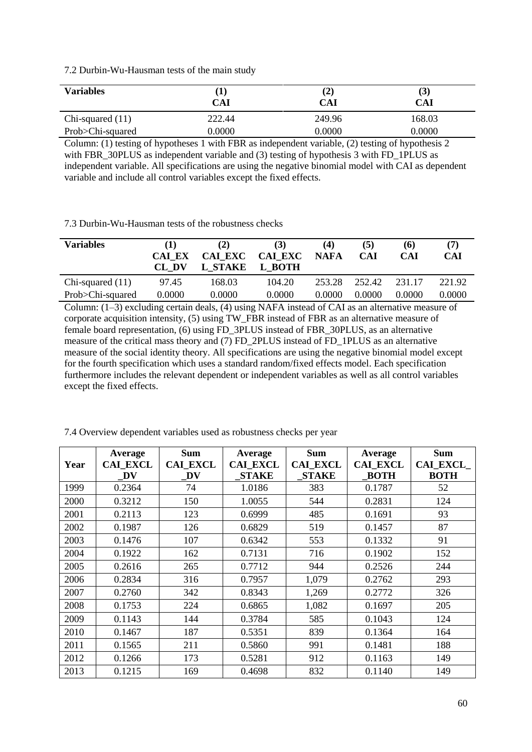7.2 Durbin-Wu-Hausman tests of the main study

| <b>Variables</b>   | CAI    | $\bf(2)$<br>CAI | $\mathcal{S}$<br>CAI |
|--------------------|--------|-----------------|----------------------|
| Chi-squared $(11)$ | 222.44 | 249.96          | 168.03               |
| Prob>Chi-squared   | 0.0000 | 0.0000          | 0.0000               |

Column: (1) testing of hypotheses 1 with FBR as independent variable, (2) testing of hypothesis 2 with FBR\_30PLUS as independent variable and (3) testing of hypothesis 3 with FD\_1PLUS as independent variable. All specifications are using the negative binomial model with CAI as dependent variable and include all control variables except the fixed effects.

7.3 Durbin-Wu-Hausman tests of the robustness checks

| <b>Variables</b>   | <b>CAI EX</b><br>CL DV | (2)<br>CAI EXC<br>L STAKE | (3)<br><b>CAI EXC</b><br>L BOTH | (4)<br><b>NAFA</b> | (5)<br><b>CAI</b> | (6)<br><b>CAI</b> | (7)<br><b>CAI</b> |
|--------------------|------------------------|---------------------------|---------------------------------|--------------------|-------------------|-------------------|-------------------|
| Chi-squared $(11)$ | 97.45                  | 168.03                    | 104.20                          | 253.28             | 252.42            | 231 17            | 221.92            |
| Prob>Chi-squared   | 0.0000                 | 0.0000                    | 0.0000                          | 0.0000             | 0.0000            | 0.0000            | 0.0000            |

Column: (1–3) excluding certain deals, (4) using NAFA instead of CAI as an alternative measure of corporate acquisition intensity, (5) using TW\_FBR instead of FBR as an alternative measure of female board representation, (6) using FD\_3PLUS instead of FBR\_30PLUS, as an alternative measure of the critical mass theory and (7) FD\_2PLUS instead of FD\_1PLUS as an alternative measure of the social identity theory. All specifications are using the negative binomial model except for the fourth specification which uses a standard random/fixed effects model. Each specification furthermore includes the relevant dependent or independent variables as well as all control variables except the fixed effects.

| Year | Average<br><b>CAI EXCL</b><br>DV | <b>Sum</b><br><b>CAI EXCL</b><br>DV | Average<br><b>CAI EXCL</b><br><b>STAKE</b> | <b>Sum</b><br><b>CAI EXCL</b><br><b>STAKE</b> | Average<br><b>CAI EXCL</b><br><b>BOTH</b> | <b>Sum</b><br><b>CAI EXCL</b><br><b>BOTH</b> |
|------|----------------------------------|-------------------------------------|--------------------------------------------|-----------------------------------------------|-------------------------------------------|----------------------------------------------|
| 1999 | 0.2364                           | 74                                  | 1.0186                                     | 383                                           | 0.1787                                    | 52                                           |
| 2000 | 0.3212                           | 150                                 | 1.0055                                     | 544                                           | 0.2831                                    | 124                                          |
| 2001 | 0.2113                           | 123                                 | 0.6999                                     | 485                                           | 0.1691                                    | 93                                           |
| 2002 | 0.1987                           | 126                                 | 0.6829                                     | 519                                           | 0.1457                                    | 87                                           |
| 2003 | 0.1476                           | 107                                 | 0.6342                                     | 553                                           | 0.1332                                    | 91                                           |
| 2004 | 0.1922                           | 162                                 | 0.7131                                     | 716                                           | 0.1902                                    | 152                                          |
| 2005 | 0.2616                           | 265                                 | 0.7712                                     | 944                                           | 0.2526                                    | 244                                          |
| 2006 | 0.2834                           | 316                                 | 0.7957                                     | 1,079                                         | 0.2762                                    | 293                                          |
| 2007 | 0.2760                           | 342                                 | 0.8343                                     | 1,269                                         | 0.2772                                    | 326                                          |
| 2008 | 0.1753                           | 224                                 | 0.6865                                     | 1,082                                         | 0.1697                                    | 205                                          |
| 2009 | 0.1143                           | 144                                 | 0.3784                                     | 585                                           | 0.1043                                    | 124                                          |
| 2010 | 0.1467                           | 187                                 | 0.5351                                     | 839                                           | 0.1364                                    | 164                                          |
| 2011 | 0.1565                           | 211                                 | 0.5860                                     | 991                                           | 0.1481                                    | 188                                          |
| 2012 | 0.1266                           | 173                                 | 0.5281                                     | 912                                           | 0.1163                                    | 149                                          |
| 2013 | 0.1215                           | 169                                 | 0.4698                                     | 832                                           | 0.1140                                    | 149                                          |

7.4 Overview dependent variables used as robustness checks per year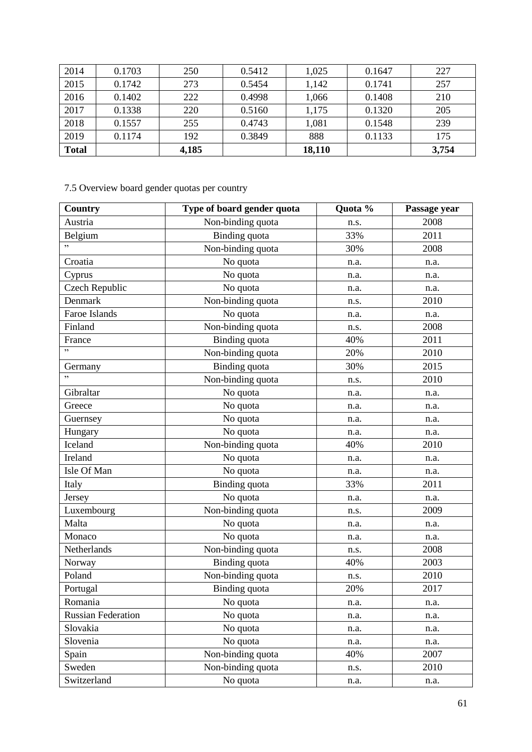| 2014         | 0.1703 | 250   | 0.5412 | 1,025  | 0.1647 | 227   |
|--------------|--------|-------|--------|--------|--------|-------|
| 2015         | 0.1742 | 273   | 0.5454 | 1,142  | 0.1741 | 257   |
| 2016         | 0.1402 | 222   | 0.4998 | 1,066  | 0.1408 | 210   |
| 2017         | 0.1338 | 220   | 0.5160 | 1,175  | 0.1320 | 205   |
| 2018         | 0.1557 | 255   | 0.4743 | 1,081  | 0.1548 | 239   |
| 2019         | 0.1174 | 192   | 0.3849 | 888    | 0.1133 | 175   |
| <b>Total</b> |        | 4,185 |        | 18,110 |        | 3,754 |

# 7.5 Overview board gender quotas per country

| Country                   | Type of board gender quota | Quota % | Passage year |
|---------------------------|----------------------------|---------|--------------|
| Austria                   | Non-binding quota          | n.s.    | 2008         |
| Belgium                   | <b>Binding</b> quota       | 33%     | 2011         |
| , ,                       | Non-binding quota          | 30%     | 2008         |
| Croatia                   | No quota                   | n.a.    | n.a.         |
| Cyprus                    | No quota                   | n.a.    | n.a.         |
| Czech Republic            | No quota                   | n.a.    | n.a.         |
| Denmark                   | Non-binding quota          | n.s.    | 2010         |
| Faroe Islands             | No quota                   | n.a.    | n.a.         |
| Finland                   | Non-binding quota          | n.s.    | 2008         |
| France                    | Binding quota              | 40%     | 2011         |
| , 2                       | Non-binding quota          | 20%     | 2010         |
| Germany                   | Binding quota              | 30%     | 2015         |
|                           | Non-binding quota          | n.s.    | 2010         |
| Gibraltar                 | No quota                   | n.a.    | n.a.         |
| Greece                    | No quota                   | n.a.    | n.a.         |
| Guernsey                  | No quota                   | n.a.    | n.a.         |
| Hungary                   | No quota                   | n.a.    | n.a.         |
| Iceland                   | Non-binding quota          | 40%     | 2010         |
| Ireland                   | No quota                   | n.a.    | n.a.         |
| Isle Of Man               | No quota                   | n.a.    | n.a.         |
| Italy                     | Binding quota              | 33%     | 2011         |
| Jersey                    | No quota                   | n.a.    | n.a.         |
| Luxembourg                | Non-binding quota          | n.s.    | 2009         |
| Malta                     | No quota                   | n.a.    | n.a.         |
| Monaco                    | No quota                   | n.a.    | n.a.         |
| Netherlands               | Non-binding quota          | n.s.    | 2008         |
| Norway                    | <b>Binding</b> quota       | 40%     | 2003         |
| Poland                    | Non-binding quota          | n.s.    | 2010         |
| Portugal                  | Binding quota              | 20%     | 2017         |
| Romania                   | No quota                   | n.a.    | n.a.         |
| <b>Russian Federation</b> | No quota                   | n.a.    | n.a.         |
| Slovakia                  | No quota                   | n.a.    | n.a.         |
| Slovenia                  | No quota                   | n.a.    | n.a.         |
| Spain                     | Non-binding quota          | 40%     | 2007         |
| Sweden                    | Non-binding quota          | n.s.    | 2010         |
| Switzerland               | No quota                   | n.a.    | n.a.         |